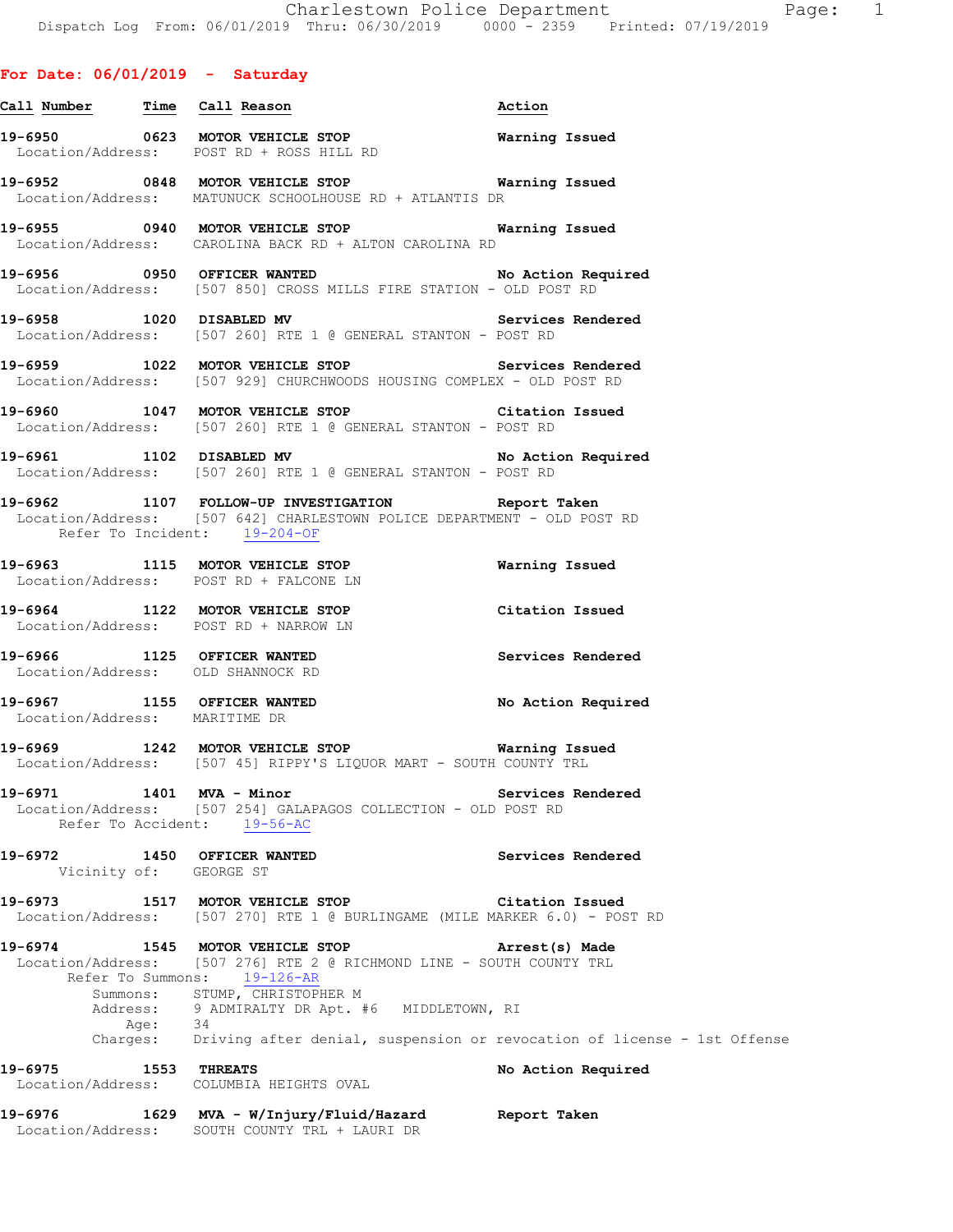# **For Date: 06/01/2019 - Saturday**

| <u>Call Number — Time Call Reason</u>                 |                                                                                                                                                                         | Action             |
|-------------------------------------------------------|-------------------------------------------------------------------------------------------------------------------------------------------------------------------------|--------------------|
|                                                       | 19-6950 0623 MOTOR VEHICLE STOP 19-6950 Warning Issued<br>Location/Address: POST RD + ROSS HILL RD                                                                      |                    |
|                                                       | 19-6952 0848 MOTOR VEHICLE STOP <b>Warning Issued</b><br>Location/Address: MATUNUCK SCHOOLHOUSE RD + ATLANTIS DR                                                        |                    |
|                                                       | 19-6955 0940 MOTOR VEHICLE STOP <b>Warning Issued</b><br>Location/Address: CAROLINA BACK RD + ALTON CAROLINA RD                                                         |                    |
|                                                       | 19-6956 0950 OFFICER WANTED No Action Required<br>Location/Address: [507 850] CROSS MILLS FIRE STATION - OLD POST RD                                                    |                    |
|                                                       | 19-6958 1020 DISABLED MV<br>Location/Address: [507 260] RTE 1 @ GENERAL STANTON - POST RD                                                                               | Services Rendered  |
|                                                       | 19-6959 1022 MOTOR VEHICLE STOP 1990 Services Rendered<br>Location/Address: [507 929] CHURCHWOODS HOUSING COMPLEX - OLD POST RD                                         |                    |
|                                                       | 19-6960 1047 MOTOR VEHICLE STOP 19-6960 Citation Issued<br>Location/Address: [507 260] RTE 1 @ GENERAL STANTON - POST RD                                                |                    |
|                                                       | 19-6961 1102 DISABLED MV No Action Required<br>Location/Address: [507 260] RTE 1 @ GENERAL STANTON - POST RD                                                            |                    |
| Refer To Incident: 19-204-OF                          | 19-6962 1107 FOLLOW-UP INVESTIGATION Report Taken<br>Location/Address: [507 642] CHARLESTOWN POLICE DEPARTMENT - OLD POST RD                                            |                    |
|                                                       | 19-6963 1115 MOTOR VEHICLE STOP 6 Warning Issued<br>Location/Address: POST RD + FALCONE LN                                                                              |                    |
|                                                       | 19-6964 1122 MOTOR VEHICLE STOP<br>Location/Address: POST RD + NARROW LN                                                                                                | Citation Issued    |
|                                                       | 19-6966 1125 OFFICER WANTED<br>Location/Address: OLD SHANNOCK RD                                                                                                        | Services Rendered  |
| Location/Address: MARITIME DR                         | 19-6967 1155 OFFICER WANTED                                                                                                                                             | No Action Required |
|                                                       | 19-6969 1242 MOTOR VEHICLE STOP <b>Warning Issued</b><br>Location/Address: [507 45] RIPPY'S LIQUOR MART - SOUTH COUNTY TRL                                              |                    |
| 19-6971                                               | 1401 MVA - Minor<br>Location/Address: [507 254] GALAPAGOS COLLECTION - OLD POST RD<br>Refer To Accident: 19-56-AC                                                       | Services Rendered  |
| 19-6972 1450 OFFICER WANTED<br>Vicinity of: GEORGE ST |                                                                                                                                                                         | Services Rendered  |
|                                                       | 19-6973 1517 MOTOR VEHICLE STOP<br>Location/Address: [507 270] RTE 1 @ BURLINGAME (MILE MARKER 6.0) - POST RD                                                           | Citation Issued    |
|                                                       | 19-6974 1545 MOTOR VEHICLE STOP<br>Location/Address: [507 276] RTE 2 @ RICHMOND LINE - SOUTH COUNTY TRL<br>Refer To Summons: 19-126-AR<br>Summons: STUMP, CHRISTOPHER M | Arrest(s) Made     |
|                                                       | Address: 9 ADMIRALTY DR Apt. #6 MIDDLETOWN, RI<br>Age: 34<br>Charges: Driving after denial, suspension or revocation of license - 1st Offense                           |                    |
| 19-6975 1553 THREATS                                  | Location/Address: COLUMBIA HEIGHTS OVAL                                                                                                                                 | No Action Required |
| 19-6976                                               | 1629 MVA - W/Injury/Fluid/Hazard Report Taken                                                                                                                           |                    |

Location/Address: SOUTH COUNTY TRL + LAURI DR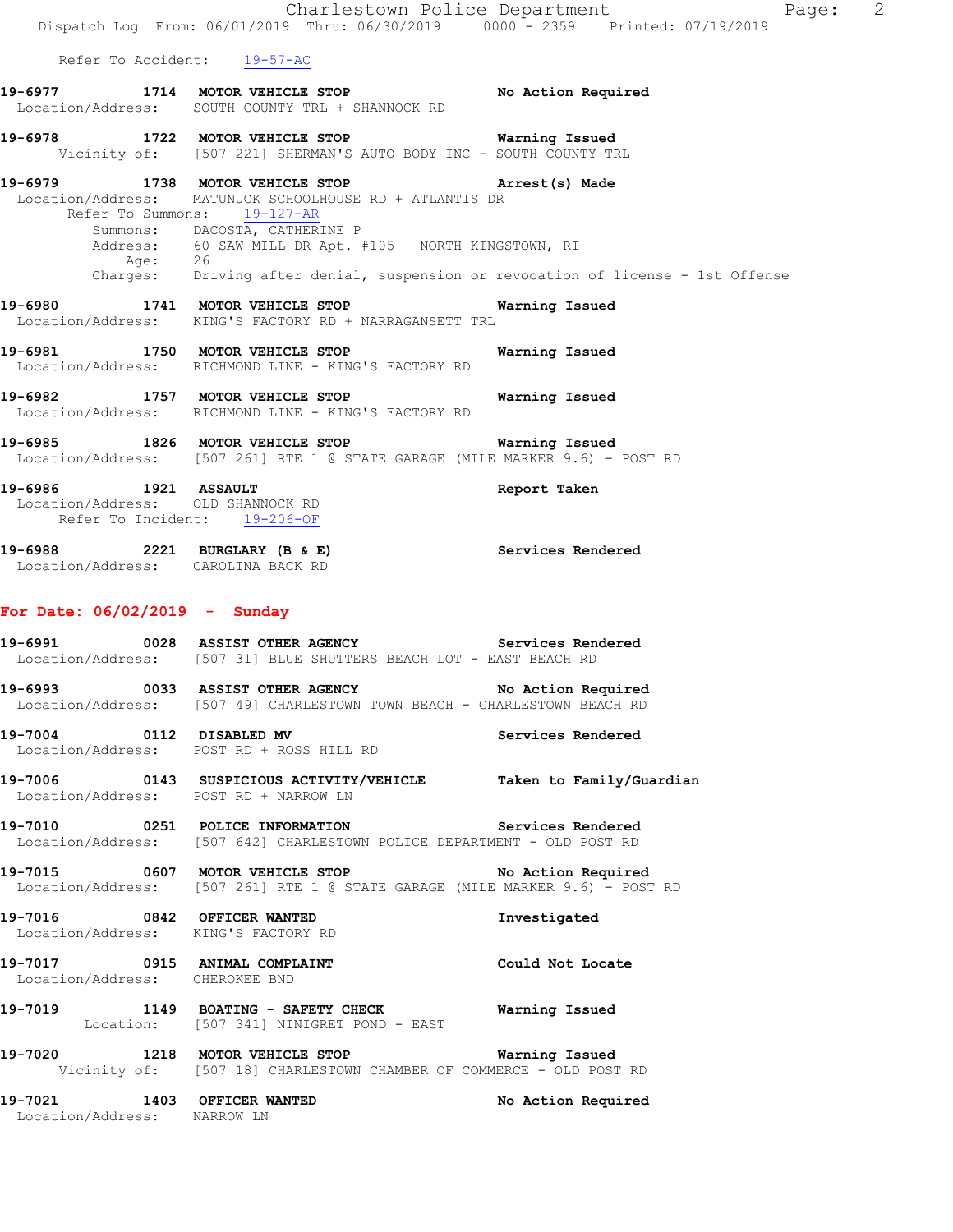Summons: DACOSTA, CATHERINE P<br>Address: 60 SAW MILL DR Apt. # 60 SAW MILL DR Apt. #105 NORTH KINGSTOWN, RI Aae: Charges: Driving after denial, suspension or revocation of license - 1st Offense

- **19-6980 1741 MOTOR VEHICLE STOP Warning Issued**  Location/Address: KING'S FACTORY RD + NARRAGANSETT TRL
- **19-6981 1750 MOTOR VEHICLE STOP Warning Issued**  Location/Address: RICHMOND LINE - KING'S FACTORY RD
- **19-6982 1757 MOTOR VEHICLE STOP Warning Issued**  Location/Address: RICHMOND LINE - KING'S FACTORY RD
- **19-6985 1826 MOTOR VEHICLE STOP Warning Issued**  Location/Address: [507 261] RTE 1 @ STATE GARAGE (MILE MARKER 9.6) - POST RD

**19-6986 1921 ASSAULT Report Taken**  Location/Address: OLD SHANNOCK RD Refer To Incident: 19-206-OF

19-6988 2221 BURGLARY (B & E) Services Rendered Location/Address: CAROLINA BACK RD

## **For Date: 06/02/2019 - Sunday**

**19-6991 0028 ASSIST OTHER AGENCY Services Rendered**  Location/Address: [507 31] BLUE SHUTTERS BEACH LOT - EAST BEACH RD

**19-6993 0033 ASSIST OTHER AGENCY No Action Required**  Location/Address: [507 49] CHARLESTOWN TOWN BEACH - CHARLESTOWN BEACH RD

- **19-7004 0112 DISABLED MV Services Rendered**  Location/Address: POST RD + ROSS HILL RD
- **19-7006 0143 SUSPICIOUS ACTIVITY/VEHICLE Taken to Family/Guardian**  Location/Address: POST RD + NARROW LN
- **19-7010 0251 POLICE INFORMATION Services Rendered**  Location/Address: [507 642] CHARLESTOWN POLICE DEPARTMENT - OLD POST RD
- **19-7015 0607 MOTOR VEHICLE STOP No Action Required**  Location/Address: [507 261] RTE 1 @ STATE GARAGE (MILE MARKER 9.6) - POST RD
- **19-7016 0842 OFFICER WANTED Investigated**  Location/Address: KING'S FACTORY RD
- **19-7017 0915 ANIMAL COMPLAINT Could Not Locate**  Location/Address: CHEROKEE BND
- **19-7019 1149 BOATING SAFETY CHECK Warning Issued**  Location: [507 341] NINIGRET POND - EAST
- **19-7020 1218 MOTOR VEHICLE STOP Warning Issued**  Vicinity of: [507 18] CHARLESTOWN CHAMBER OF COMMERCE - OLD POST RD
- **19-7021 1403 OFFICER WANTED No Action Required**  Location/Address: NARROW LN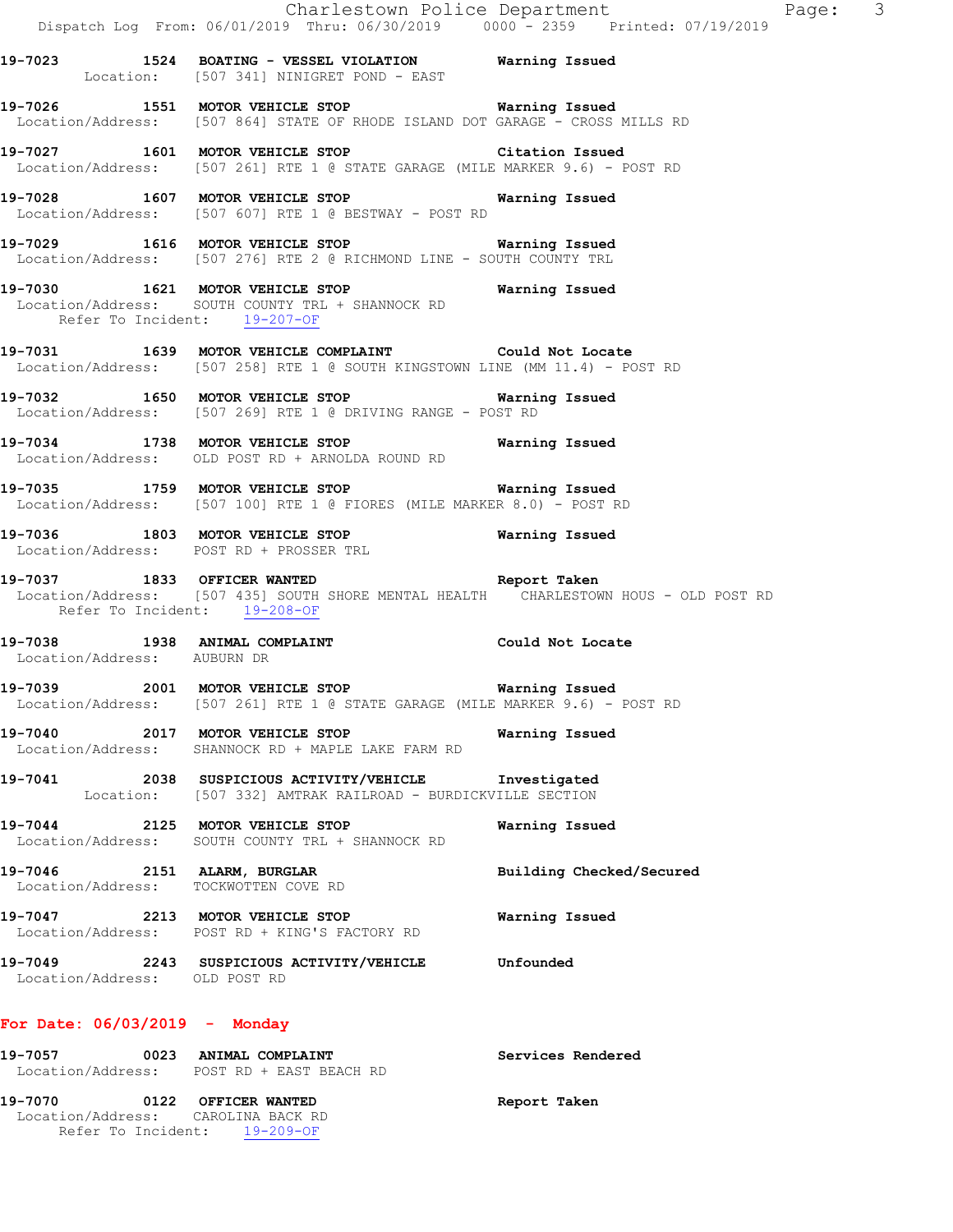|                                 | Dispatch Log From: 06/01/2019 Thru: 06/30/2019 0000 <sup>-</sup> 2359 Printed: 07/19/2019                                                                                | Charlestown Police Department | Page: 3 |  |
|---------------------------------|--------------------------------------------------------------------------------------------------------------------------------------------------------------------------|-------------------------------|---------|--|
|                                 | 19-7023 1524 BOATING - VESSEL VIOLATION Warning Issued<br>Location: [507 341] NINIGRET POND - EAST                                                                       |                               |         |  |
|                                 | 19-7026 1551 MOTOR VEHICLE STOP <b>Warning Issued</b><br>Location/Address: [507 864] STATE OF RHODE ISLAND DOT GARAGE - CROSS MILLS RD                                   |                               |         |  |
|                                 | 19-7027 1601 MOTOR VEHICLE STOP Citation Issued<br>Location/Address: [507 261] RTE 1 @ STATE GARAGE (MILE MARKER 9.6) - POST RD                                          |                               |         |  |
|                                 | 19-7028 1607 MOTOR VEHICLE STOP<br>Location/Address: [507 607] RTE 1 @ BESTWAY - POST RD                                                                                 | Warning Issued                |         |  |
|                                 | 19-7029 1616 MOTOR VEHICLE STOP <b>Warning Issued</b><br>Location/Address: [507 276] RTE 2 @ RICHMOND LINE - SOUTH COUNTY TRL                                            |                               |         |  |
| Refer To Incident: 19-207-OF    | 19-7030 1621 MOTOR VEHICLE STOP <b>Warning Issued</b><br>Location/Address: SOUTH COUNTY TRL + SHANNOCK RD                                                                |                               |         |  |
|                                 | 19-7031 1639 MOTOR VEHICLE COMPLAINT Could Not Locate<br>Location/Address: [507 258] RTE 1 @ SOUTH KINGSTOWN LINE (MM 11.4) - POST RD                                    |                               |         |  |
|                                 | 19-7032 1650 MOTOR VEHICLE STOP 6 Warning Issued<br>Location/Address: [507 269] RTE 1 @ DRIVING RANGE - POST RD                                                          |                               |         |  |
|                                 | 19-7034 1738 MOTOR VEHICLE STOP <b>Warning Issued</b><br>Location/Address: OLD POST RD + ARNOLDA ROUND RD                                                                |                               |         |  |
|                                 | 19-7035 1759 MOTOR VEHICLE STOP <b>WARE Marning Issued</b><br>Location/Address: [507 100] RTE 1 @ FIORES (MILE MARKER 8.0) - POST RD                                     |                               |         |  |
|                                 | 19-7036 1803 MOTOR VEHICLE STOP <b>Warning Issued</b><br>Location/Address: POST RD + PROSSER TRL                                                                         |                               |         |  |
|                                 | 19-7037 1833 OFFICER WANTED <b>Report Taken</b><br>Location/Address: [507 435] SOUTH SHORE MENTAL HEALTH  CHARLESTOWN HOUS - OLD POST RD<br>Refer To Incident: 19-208-OF |                               |         |  |
| Location/Address: AUBURN DR     | 19-7038 1938 ANIMAL COMPLAINT COULD Could Not Locate                                                                                                                     |                               |         |  |
|                                 | 19-7039 2001 MOTOR VEHICLE STOP <b>WATER</b> Warning Issued<br>Location/Address: [507 261] RTE 1 @ STATE GARAGE (MILE MARKER 9.6) - POST RD                              |                               |         |  |
|                                 | 19-7040 2017 MOTOR VEHICLE STOP <b>Warning Issued</b><br>Location/Address: SHANNOCK RD + MAPLE LAKE FARM RD                                                              |                               |         |  |
|                                 | 19-7041 2038 SUSPICIOUS ACTIVITY/VEHICLE Investigated<br>Location: [507 332] AMTRAK RAILROAD - BURDICKVILLE SECTION                                                      |                               |         |  |
|                                 | 19-7044 2125 MOTOR VEHICLE STOP<br>Location/Address: SOUTH COUNTY TRL + SHANNOCK RD                                                                                      | Warning Issued                |         |  |
|                                 | 19-7046 2151 ALARM, BURGLAR<br>Location/Address: TOCKWOTTEN COVE RD                                                                                                      | Building Checked/Secured      |         |  |
|                                 | 19-7047 2213 MOTOR VEHICLE STOP<br>Location/Address: POST RD + KING'S FACTORY RD                                                                                         | Warning Issued                |         |  |
| Location/Address: OLD POST RD   | 19-7049 2243 SUSPICIOUS ACTIVITY/VEHICLE Unfounded                                                                                                                       |                               |         |  |
| For Date: $06/03/2019$ - Monday |                                                                                                                                                                          |                               |         |  |
|                                 | 19-7057 0023 ANIMAL COMPLAINT<br>Location/Address: POST RD + EAST BEACH RD                                                                                               | Services Rendered             |         |  |
| 19-7070 0122 OFFICER WANTED     |                                                                                                                                                                          | Report Taken                  |         |  |

 Location/Address: CAROLINA BACK RD Refer To Incident: 19-209-OF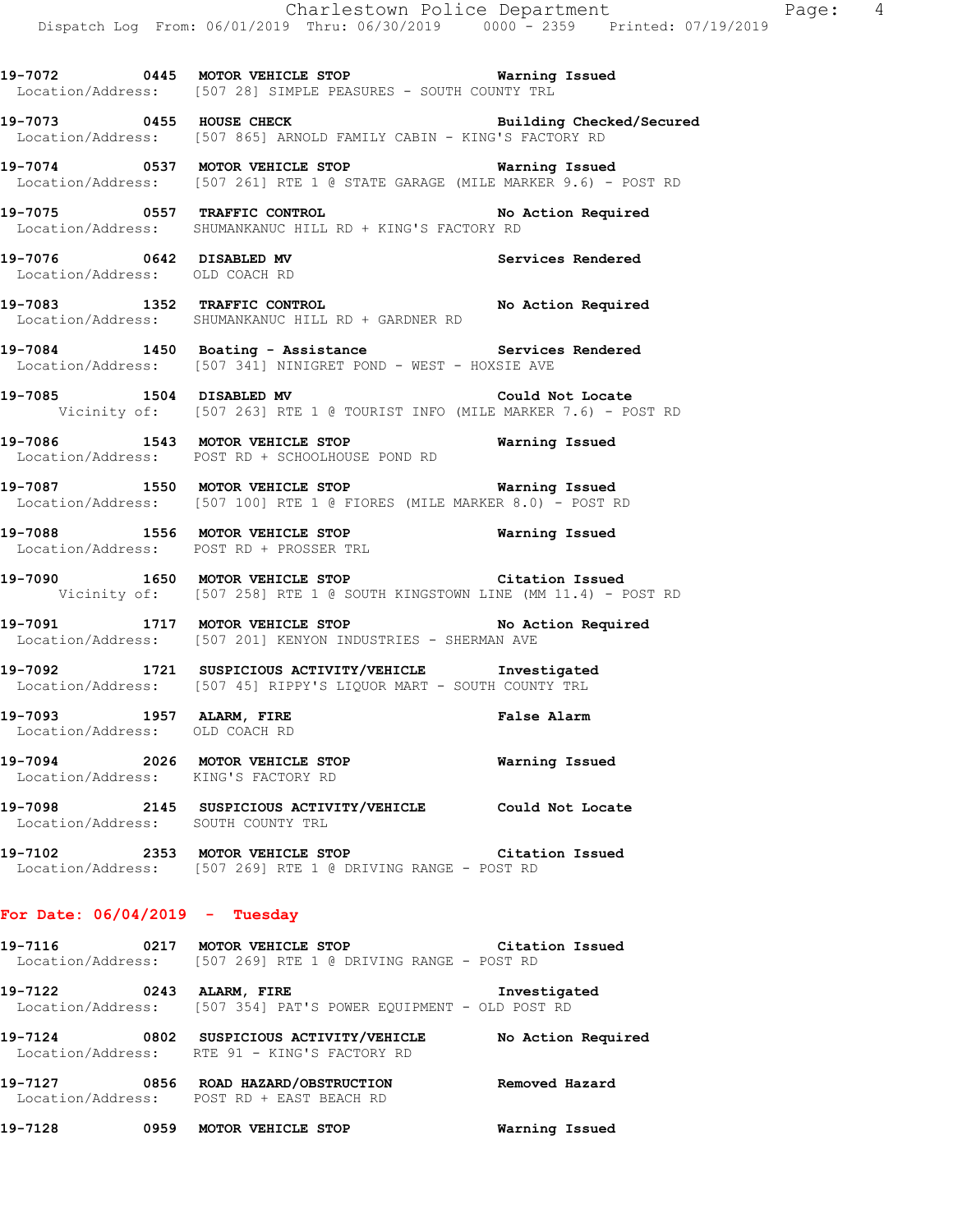**19-7072 0445 MOTOR VEHICLE STOP Warning Issued**  Location/Address: [507 28] SIMPLE PEASURES - SOUTH COUNTY TRL

**19-7073 0455 HOUSE CHECK Building Checked/Secured**  Location/Address: [507 865] ARNOLD FAMILY CABIN - KING'S FACTORY RD

**19-7074 0537 MOTOR VEHICLE STOP Warning Issued**  Location/Address: [507 261] RTE 1 @ STATE GARAGE (MILE MARKER 9.6) - POST RD

**19-7075 0557 TRAFFIC CONTROL No Action Required**  Location/Address: SHUMANKANUC HILL RD + KING'S FACTORY RD

**19-7076 0642 DISABLED MV Services Rendered**  Location/Address: OLD COACH RD

19-7083 1352 TRAFFIC CONTROL **No Action Required** Location/Address: SHUMANKANUC HILL RD + GARDNER RD

**19-7084 1450 Boating - Assistance Services Rendered**  Location/Address: [507 341] NINIGRET POND - WEST - HOXSIE AVE

**19-7085 1504 DISABLED MV Could Not Locate**  Vicinity of: [507 263] RTE 1 @ TOURIST INFO (MILE MARKER 7.6) - POST RD

**19-7086 1543 MOTOR VEHICLE STOP Warning Issued**  Location/Address: POST RD + SCHOOLHOUSE POND RD

**19-7087 1550 MOTOR VEHICLE STOP Warning Issued**  Location/Address: [507 100] RTE 1 @ FIORES (MILE MARKER 8.0) - POST RD

**19-7088 1556 MOTOR VEHICLE STOP Warning Issued**  Location/Address: POST RD + PROSSER TRL

**19-7090 1650 MOTOR VEHICLE STOP Citation Issued**  Vicinity of: [507 258] RTE 1 @ SOUTH KINGSTOWN LINE (MM 11.4) - POST RD

19-7091 1717 MOTOR VEHICLE STOP No Action Required Location/Address: [507 201] KENYON INDUSTRIES - SHERMAN AVE

**19-7092 1721 SUSPICIOUS ACTIVITY/VEHICLE Investigated**  Location/Address: [507 45] RIPPY'S LIQUOR MART - SOUTH COUNTY TRL

**19-7093 1957 ALARM, FIRE False Alarm**  Location/Address: OLD COACH RD

**19-7094 2026 MOTOR VEHICLE STOP Warning Issued**  Location/Address: KING'S FACTORY RD

**19-7098 2145 SUSPICIOUS ACTIVITY/VEHICLE Could Not Locate**  Location/Address: SOUTH COUNTY TRL

**19-7102 2353 MOTOR VEHICLE STOP Citation Issued**  Location/Address: [507 269] RTE 1 @ DRIVING RANGE - POST RD

#### **For Date: 06/04/2019 - Tuesday**

**19-7116 0217 MOTOR VEHICLE STOP Citation Issued**  Location/Address: [507 269] RTE 1 @ DRIVING RANGE - POST RD

**19-7122 0243 ALARM, FIRE Investigated**  Location/Address: [507 354] PAT'S POWER EQUIPMENT - OLD POST RD

**19-7124 0802 SUSPICIOUS ACTIVITY/VEHICLE No Action Required**  Location/Address: RTE 91 - KING'S FACTORY RD

**19-7127 0856 ROAD HAZARD/OBSTRUCTION Removed Hazard**  Location/Address: POST RD + EAST BEACH RD

**19-7128 0959 MOTOR VEHICLE STOP Warning Issued**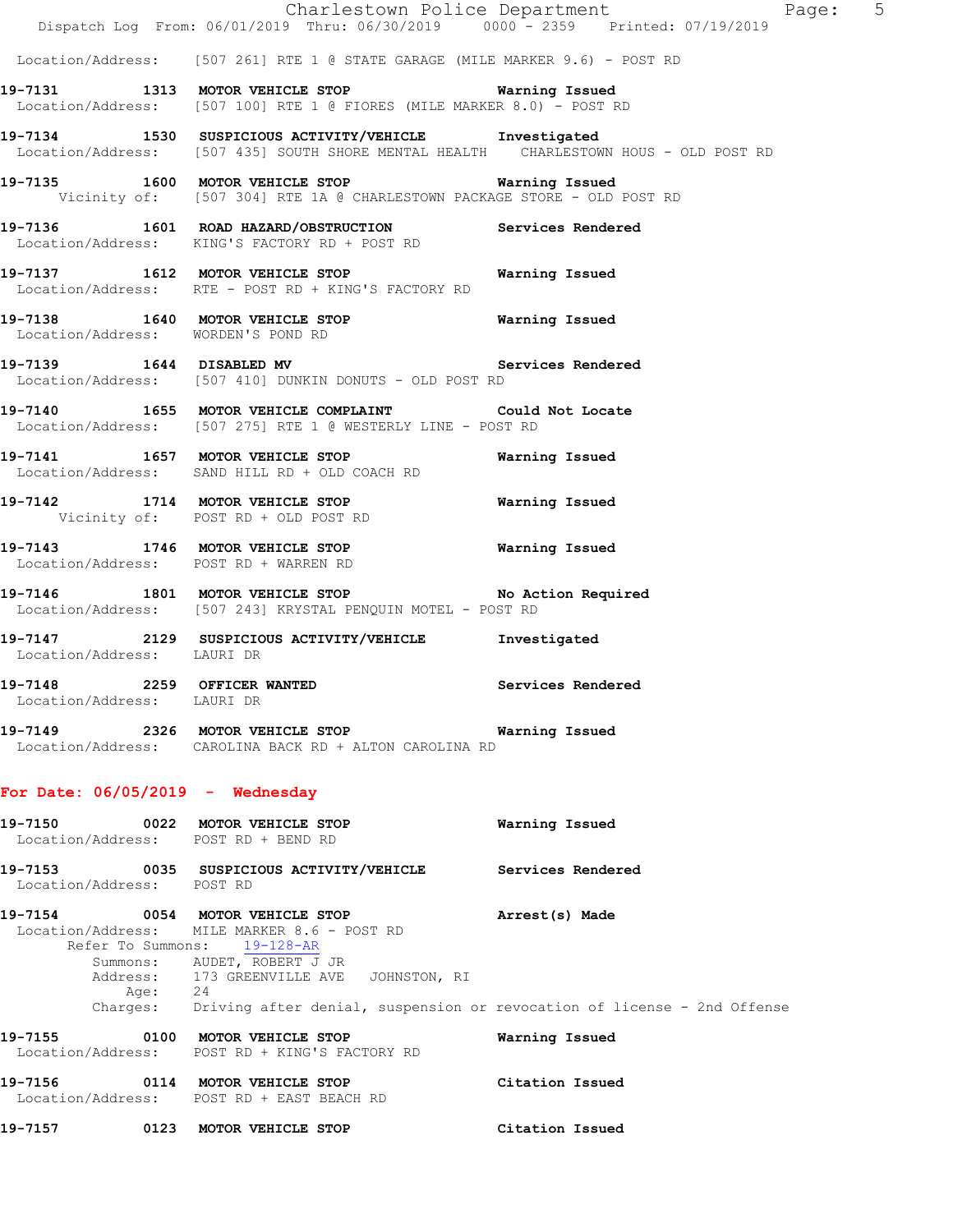|                                     | Dispatch Log From: 06/01/2019 Thru: 06/30/2019 0000 - 2359 Printed: 07/19/2019                                                                                                           | Charlestown Police Department | Page: 5 |  |
|-------------------------------------|------------------------------------------------------------------------------------------------------------------------------------------------------------------------------------------|-------------------------------|---------|--|
|                                     | Location/Address: [507 261] RTE 1 @ STATE GARAGE (MILE MARKER 9.6) - POST RD                                                                                                             |                               |         |  |
|                                     | 19-7131 1313 MOTOR VEHICLE STOP 6 Warning Issued<br>Location/Address: [507 100] RTE 1 @ FIORES (MILE MARKER 8.0) - POST RD                                                               |                               |         |  |
|                                     | 19-7134 1530 SUSPICIOUS ACTIVITY/VEHICLE Investigated<br>Location/Address: [507 435] SOUTH SHORE MENTAL HEALTH CHARLESTOWN HOUS - OLD POST RD                                            |                               |         |  |
|                                     | 19-7135 1600 MOTOR VEHICLE STOP 5 Warning Issued<br>Vicinity of: [507 304] RTE 1A @ CHARLESTOWN PACKAGE STORE - OLD POST RD                                                              |                               |         |  |
|                                     | 19-7136 1601 ROAD HAZARD/OBSTRUCTION Services Rendered<br>Location/Address: KING'S FACTORY RD + POST RD                                                                                  |                               |         |  |
|                                     | 19-7137 1612 MOTOR VEHICLE STOP 19 Warning Issued<br>Location/Address: RTE - POST RD + KING'S FACTORY RD                                                                                 |                               |         |  |
| Location/Address: WORDEN'S POND RD  | 19-7138 1640 MOTOR VEHICLE STOP <b>Warning Issued</b>                                                                                                                                    |                               |         |  |
|                                     | 19-7139 1644 DISABLED MV 3ervices Rendered<br>Location/Address: [507 410] DUNKIN DONUTS - OLD POST RD                                                                                    |                               |         |  |
|                                     | 19-7140 1655 MOTOR VEHICLE COMPLAINT Could Not Locate<br>Location/Address: [507 275] RTE 1 @ WESTERLY LINE - POST RD                                                                     |                               |         |  |
|                                     | 19-7141 1657 MOTOR VEHICLE STOP<br>Location/Address: SAND HILL RD + OLD COACH RD                                                                                                         | Warning Issued                |         |  |
|                                     | 19-7142 1714 MOTOR VEHICLE STOP<br>Vicinity of: POST RD + OLD POST RD                                                                                                                    | Warning Issued                |         |  |
|                                     | 19-7143 1746 MOTOR VEHICLE STOP Warning Issued<br>Location/Address: POST RD + WARREN RD                                                                                                  |                               |         |  |
|                                     | 19-7146 1801 MOTOR VEHICLE STOP No Action Required<br>Location/Address: [507 243] KRYSTAL PENQUIN MOTEL - POST RD                                                                        |                               |         |  |
| Location/Address: LAURI DR          | 19-7147 2129 SUSPICIOUS ACTIVITY/VEHICLE Investigated                                                                                                                                    |                               |         |  |
| Location/Address: LAURI DR          | 19-7148 2259 OFFICER WANTED Services Rendered                                                                                                                                            |                               |         |  |
|                                     | 19-7149 2326 MOTOR VEHICLE STOP Warning Issued<br>Location/Address: CAROLINA BACK RD + ALTON CAROLINA RD                                                                                 |                               |         |  |
| For Date: $06/05/2019$ - Wednesday  |                                                                                                                                                                                          |                               |         |  |
| Location/Address: POST RD + BEND RD | 19-7150 0022 MOTOR VEHICLE STOP                                                                                                                                                          | Warning Issued                |         |  |
| Location/Address: POST RD           | 19-7153 0035 SUSPICIOUS ACTIVITY/VEHICLE Services Rendered                                                                                                                               |                               |         |  |
| Age: 24                             | 19-7154 0054 MOTOR VEHICLE STOP<br>Location/Address: MILE MARKER 8.6 - POST RD<br>Refer To Summons: 19-128-AR<br>Summons: AUDET, ROBERT J JR<br>Address: 173 GREENVILLE AVE JOHNSTON, RI | Arrest(s) Made                |         |  |
|                                     | Charges: Driving after denial, suspension or revocation of license - 2nd Offense                                                                                                         |                               |         |  |
| 19-7155 0100 MOTOR VEHICLE STOP     | Location/Address: POST RD + KING'S FACTORY RD                                                                                                                                            | Warning Issued                |         |  |
|                                     | 19-7156 0114 MOTOR VEHICLE STOP<br>Location/Address: POST RD + EAST BEACH RD                                                                                                             | Citation Issued               |         |  |
| 19-7157 0123 MOTOR VEHICLE STOP     |                                                                                                                                                                                          | Citation Issued               |         |  |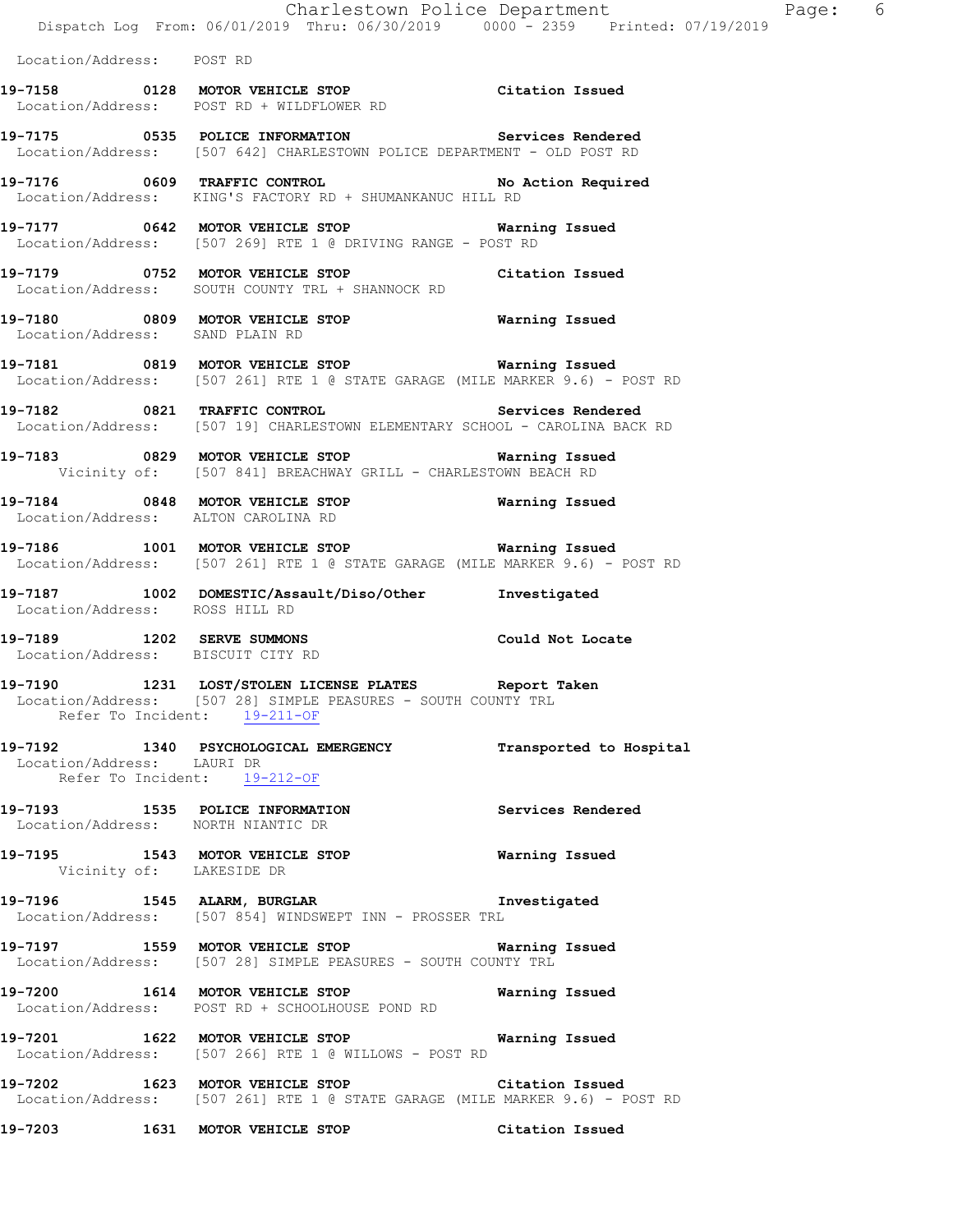Charlestown Police Department Fage: 6 Dispatch Log From: 06/01/2019 Thru: 06/30/2019 0000 - 2359 Printed: 07/19/2019 Location/Address: POST RD **19-7158 0128 MOTOR VEHICLE STOP Citation Issued**  Location/Address: POST RD + WILDFLOWER RD **19-7175 0535 POLICE INFORMATION Services Rendered**  Location/Address: [507 642] CHARLESTOWN POLICE DEPARTMENT - OLD POST RD 19-7176 0609 TRAFFIC CONTROL No Action Required Location/Address: KING'S FACTORY RD + SHUMANKANUC HILL RD **19-7177 0642 MOTOR VEHICLE STOP Warning Issued**  Location/Address: [507 269] RTE 1 @ DRIVING RANGE - POST RD **19-7179 0752 MOTOR VEHICLE STOP Citation Issued**  Location/Address: SOUTH COUNTY TRL + SHANNOCK RD **19-7180 0809 MOTOR VEHICLE STOP Warning Issued**  Location/Address: SAND PLAIN RD **19-7181 0819 MOTOR VEHICLE STOP Warning Issued**  Location/Address: [507 261] RTE 1 @ STATE GARAGE (MILE MARKER 9.6) - POST RD **19-7182 0821 TRAFFIC CONTROL Services Rendered**  Location/Address: [507 19] CHARLESTOWN ELEMENTARY SCHOOL - CAROLINA BACK RD **19-7183 0829 MOTOR VEHICLE STOP Warning Issued**  Vicinity of: [507 841] BREACHWAY GRILL - CHARLESTOWN BEACH RD **19-7184 0848 MOTOR VEHICLE STOP Warning Issued**  Location/Address: ALTON CAROLINA RD **19-7186 1001 MOTOR VEHICLE STOP Warning Issued**  Location/Address: [507 261] RTE 1 @ STATE GARAGE (MILE MARKER 9.6) - POST RD **19-7187 1002 DOMESTIC/Assault/Diso/Other Investigated**  Location/Address: ROSS HILL RD **19-7189 1202 SERVE SUMMONS Could Not Locate**  Location/Address: BISCUIT CITY RD **19-7190 1231 LOST/STOLEN LICENSE PLATES Report Taken**  Location/Address: [507 28] SIMPLE PEASURES - SOUTH COUNTY TRL Refer To Incident: 19-211-OF **19-7192 1340 PSYCHOLOGICAL EMERGENCY Transported to Hospital**  Location/Address: LAURI DR Refer To Incident: 19-212-OF **19-7193 1535 POLICE INFORMATION Services Rendered**  Location/Address: NORTH NIANTIC DR **19-7195 1543 MOTOR VEHICLE STOP Warning Issued**  Vicinity of: LAKESIDE DR **19-7196 1545 ALARM, BURGLAR Investigated**  Location/Address: [507 854] WINDSWEPT INN - PROSSER TRL **19-7197 1559 MOTOR VEHICLE STOP Warning Issued**  Location/Address: [507 28] SIMPLE PEASURES - SOUTH COUNTY TRL **19-7200 1614 MOTOR VEHICLE STOP Warning Issued**  Location/Address: POST RD + SCHOOLHOUSE POND RD **19-7201 1622 MOTOR VEHICLE STOP Warning Issued**  Location/Address: [507 266] RTE 1 @ WILLOWS - POST RD **19-7202 1623 MOTOR VEHICLE STOP Citation Issued**  Location/Address: [507 261] RTE 1 @ STATE GARAGE (MILE MARKER 9.6) - POST RD

**19-7203 1631 MOTOR VEHICLE STOP Citation Issued**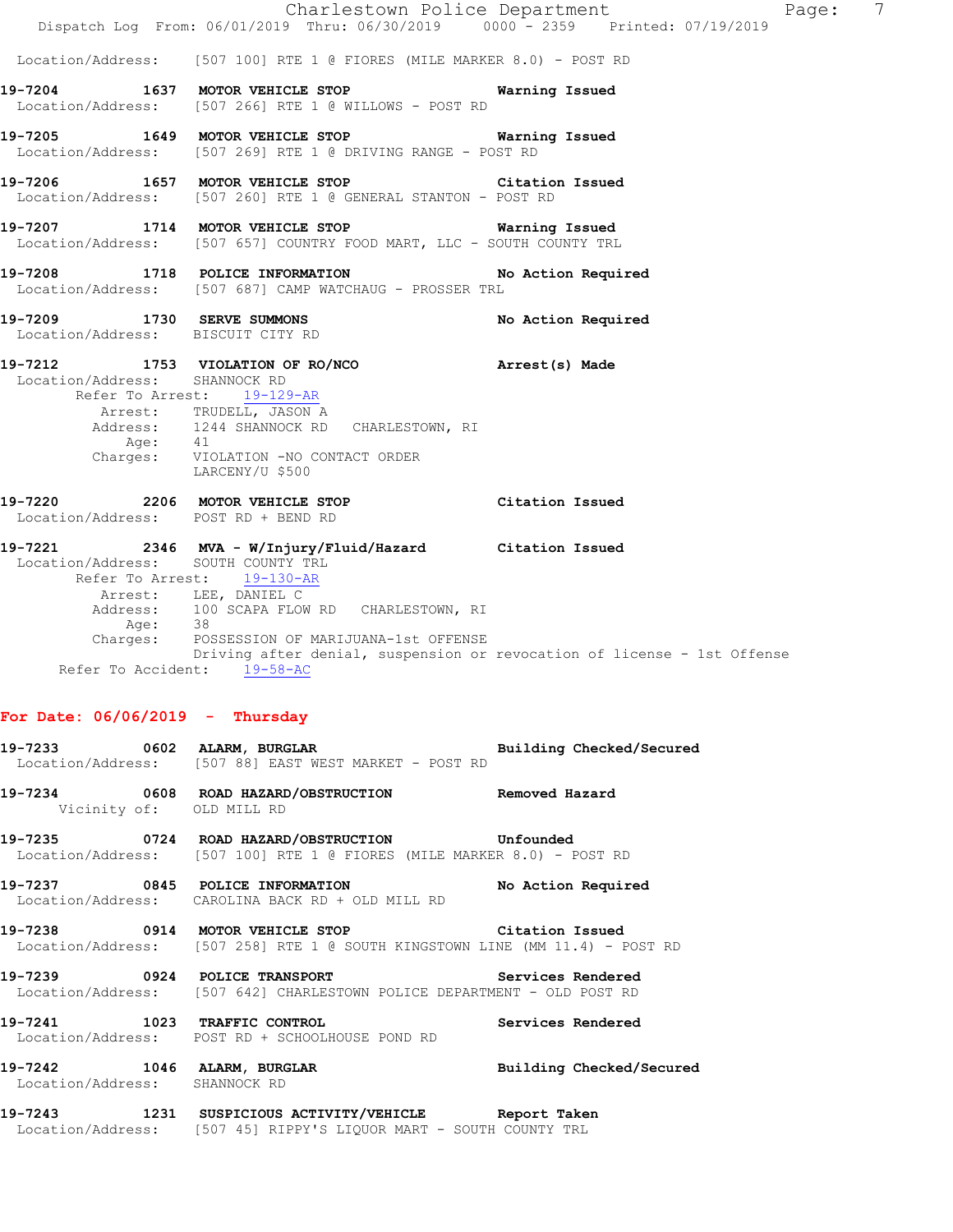|                                                                 | Dispatch Log From: 06/01/2019 Thru: 06/30/2019 0000 - 2359 Printed: 07/19/2019                                                  | 7<br>Charlestown Police Department<br>Page: |
|-----------------------------------------------------------------|---------------------------------------------------------------------------------------------------------------------------------|---------------------------------------------|
|                                                                 | Location/Address: [507 100] RTE 1 @ FIORES (MILE MARKER 8.0) - POST RD                                                          |                                             |
|                                                                 | 19-7204 1637 MOTOR VEHICLE STOP Warning Issued<br>Location/Address: [507 266] RTE 1 @ WILLOWS - POST RD                         |                                             |
|                                                                 | 19-7205 1649 MOTOR VEHICLE STOP 6 Warning Issued<br>Location/Address: [507 269] RTE 1 @ DRIVING RANGE - POST RD                 |                                             |
|                                                                 | 19-7206 1657 MOTOR VEHICLE STOP Citation Issued<br>Location/Address: [507 260] RTE 1 @ GENERAL STANTON - POST RD                |                                             |
|                                                                 | 19-7207 1714 MOTOR VEHICLE STOP<br>Location/Address: [507 657] COUNTRY FOOD MART, LLC - SOUTH COUNTY TRL                        | Warning Issued                              |
|                                                                 | 19-7208 1718 POLICE INFORMATION No Action Required<br>Location/Address: [507 687] CAMP WATCHAUG - PROSSER TRL                   |                                             |
| 19-7209 1730 SERVE SUMMONS<br>Location/Address: BISCUIT CITY RD |                                                                                                                                 | No Action Required                          |
| Location/Address: SHANNOCK RD                                   | 19-7212 1753 VIOLATION OF RO/NCO Arrest(s) Made<br>Refer To Arrest: 19-129-AR                                                   |                                             |
|                                                                 | Arrest: TRUDELL, JASON A<br>Address: 1244 SHANNOCK RD CHARLESTOWN, RI                                                           |                                             |
|                                                                 | Age: 41<br>Charges: VIOLATION -NO CONTACT ORDER<br>LARCENY/U \$500                                                              |                                             |
| Location/Address: POST RD + BEND RD                             | 19-7220 2206 MOTOR VEHICLE STOP Citation Issued                                                                                 |                                             |
| Location/Address: SOUTH COUNTY TRL                              | 19-7221 2346 MVA - W/Injury/Fluid/Hazard Citation Issued<br>Refer To Arrest: 19-130-AR                                          |                                             |
|                                                                 | Arrest: LEE, DANIEL C<br>Address: 100 SCAPA FLOW RD CHARLESTOWN, RI<br>Age: 38                                                  |                                             |
| Refer To Accident: 19-58-AC                                     | Charges: POSSESSION OF MARIJUANA-1st OFFENSE<br>Driving after denial, suspension or revocation of license - 1st Offense         |                                             |
| For Date: $06/06/2019$ - Thursday                               |                                                                                                                                 |                                             |
|                                                                 | 19-7233 0602 ALARM, BURGLAR BURGER Building Checked/Secured<br>Location/Address: [507 88] EAST WEST MARKET - POST RD            |                                             |
| Vicinity of: OLD MILL RD                                        | 19-7234 0608 ROAD HAZARD/OBSTRUCTION Removed Hazard                                                                             |                                             |
|                                                                 | 19-7235 0724 ROAD HAZARD/OBSTRUCTION Unfounded<br>Location/Address: [507 100] RTE 1 @ FIORES (MILE MARKER 8.0) - POST RD        |                                             |
|                                                                 | 19-7237 0845 POLICE INFORMATION No Action Required<br>Location/Address: CAROLINA BACK RD + OLD MILL RD                          |                                             |
|                                                                 | 19-7238 0914 MOTOR VEHICLE STOP Citation Issued<br>Location/Address: [507 258] RTE 1 @ SOUTH KINGSTOWN LINE (MM 11.4) - POST RD |                                             |
|                                                                 | 19-7239 0924 POLICE TRANSPORT<br>Location/Address: [507 642] CHARLESTOWN POLICE DEPARTMENT - OLD POST RD                        | Services Rendered                           |
|                                                                 | 19-7241 1023 TRAFFIC CONTROL<br>Location/Address: POST RD + SCHOOLHOUSE POND RD                                                 | Services Rendered                           |
| Location/Address: SHANNOCK RD                                   | 19-7242 1046 ALARM, BURGLAR BURGER Building Checked/Secured                                                                     |                                             |
|                                                                 | 19-7243 1231 SUSPICIOUS ACTIVITY/VEHICLE Report Taken<br>Location/Address: [507 45] RIPPY'S LIQUOR MART - SOUTH COUNTY TRL      |                                             |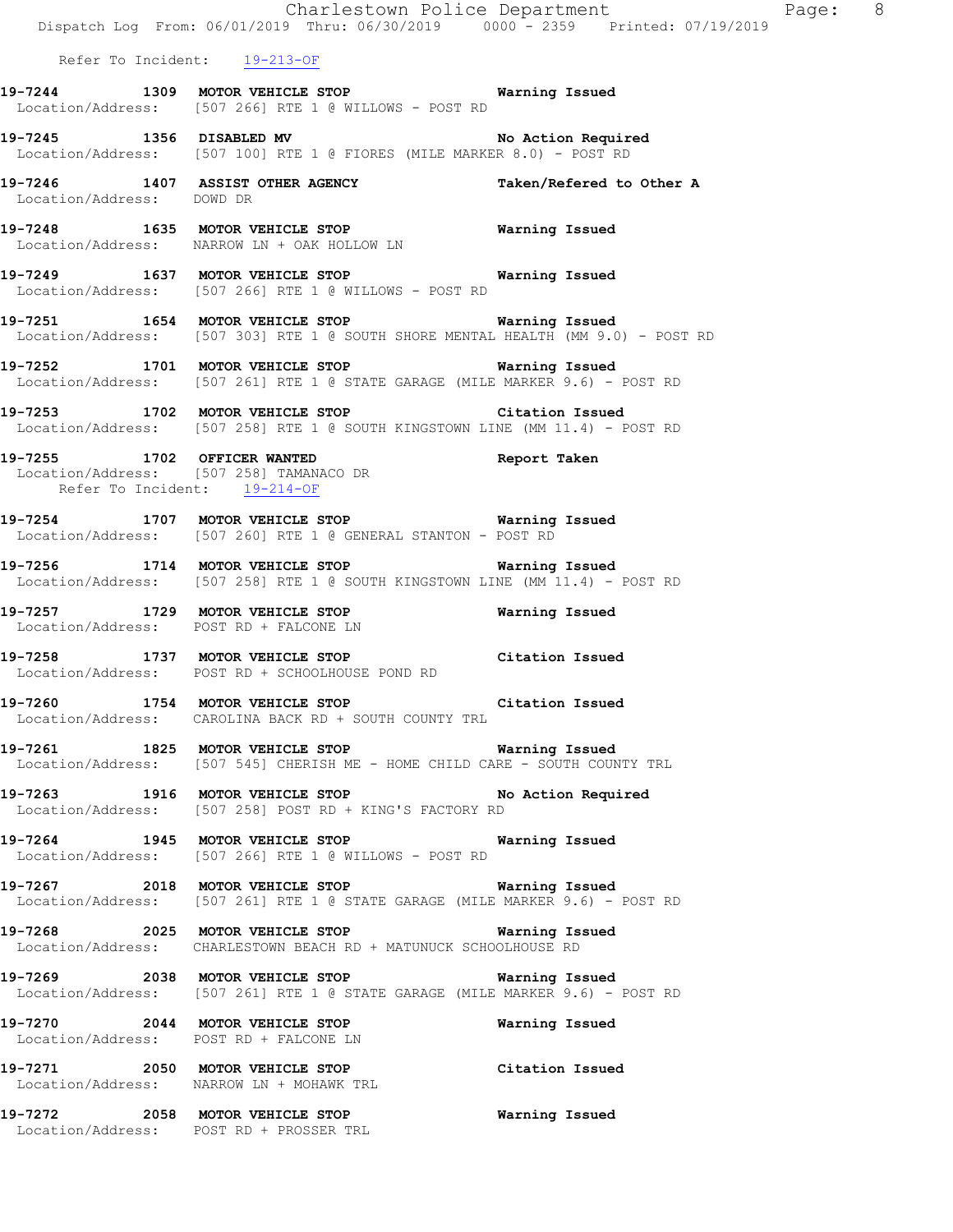|                              | Dispatch Log From: 06/01/2019 Thru: 06/30/2019 0000 - 2359 Printed: 07/19/2019                                                            | Charlestown Police Department<br>Page: 8 |  |
|------------------------------|-------------------------------------------------------------------------------------------------------------------------------------------|------------------------------------------|--|
|                              | Refer To Incident: 19-213-OF                                                                                                              |                                          |  |
|                              | 19-7244 1309 MOTOR VEHICLE STOP Warning Issued<br>Location/Address: [507 266] RTE 1 @ WILLOWS - POST RD                                   |                                          |  |
|                              | 19-7245 1356 DISABLED MV No Action Required<br>Location/Address: [507 100] RTE 1 @ FIORES (MILE MARKER 8.0) - POST RD                     |                                          |  |
| Location/Address: DOWD DR    | 19-7246 1407 ASSIST OTHER AGENCY                                                                                                          | Taken/Refered to Other A                 |  |
|                              | 19-7248 1635 MOTOR VEHICLE STOP <b>Warning Issued</b><br>Location/Address: NARROW LN + OAK HOLLOW LN                                      |                                          |  |
|                              | 19-7249 1637 MOTOR VEHICLE STOP 6 Warning Issued<br>Location/Address: [507 266] RTE 1 @ WILLOWS - POST RD                                 |                                          |  |
|                              | 19-7251 1654 MOTOR VEHICLE STOP <b>Warning Issued</b><br>Location/Address: [507 303] RTE 1 @ SOUTH SHORE MENTAL HEALTH (MM 9.0) - POST RD |                                          |  |
|                              | 19-7252 1701 MOTOR VEHICLE STOP 6 Warning Issued<br>Location/Address: [507 261] RTE 1 @ STATE GARAGE (MILE MARKER 9.6) - POST RD          |                                          |  |
|                              | 19-7253 1702 MOTOR VEHICLE STOP Citation Issued<br>Location/Address: [507 258] RTE 1 @ SOUTH KINGSTOWN LINE (MM 11.4) - POST RD           |                                          |  |
| Refer To Incident: 19-214-OF | 19-7255 1702 OFFICER WANTED <b>Report Taken</b><br>Location/Address: [507 258] TAMANACO DR                                                |                                          |  |
|                              | 19-7254 1707 MOTOR VEHICLE STOP 6 Warning Issued<br>Location/Address: [507 260] RTE 1 @ GENERAL STANTON - POST RD                         |                                          |  |
|                              | 19-7256 1714 MOTOR VEHICLE STOP Warning Issued<br>Location/Address: [507 258] RTE 1 @ SOUTH KINGSTOWN LINE (MM 11.4) - POST RD            |                                          |  |
|                              | 19-7257 1729 MOTOR VEHICLE STOP<br>Location/Address: POST RD + FALCONE LN                                                                 | Warning Issued                           |  |
|                              | 19-7258 1737 MOTOR VEHICLE STOP Citation Issued<br>Location/Address: POST RD + SCHOOLHOUSE POND RD                                        |                                          |  |
|                              | 19-7260 1754 MOTOR VEHICLE STOP Citation Issued<br>Location/Address: CAROLINA BACK RD + SOUTH COUNTY TRL                                  |                                          |  |
|                              | 19-7261 1825 MOTOR VEHICLE STOP 6 Warning Issued<br>Location/Address: [507 545] CHERISH ME - HOME CHILD CARE - SOUTH COUNTY TRL           |                                          |  |
|                              | 19-7263 1916 MOTOR VEHICLE STOP No Action Required<br>Location/Address: [507 258] POST RD + KING'S FACTORY RD                             |                                          |  |
|                              | 19-7264 1945 MOTOR VEHICLE STOP Warning Issued<br>Location/Address: [507 266] RTE 1 @ WILLOWS - POST RD                                   |                                          |  |
|                              | 19-7267 2018 MOTOR VEHICLE STOP Warning Issued<br>Location/Address: [507 261] RTE 1 @ STATE GARAGE (MILE MARKER 9.6) - POST RD            |                                          |  |
|                              | 19-7268 2025 MOTOR VEHICLE STOP 6 Warning Issued<br>Location/Address: CHARLESTOWN BEACH RD + MATUNUCK SCHOOLHOUSE RD                      |                                          |  |
|                              | 19-7269 2038 MOTOR VEHICLE STOP Warning Issued<br>Location/Address: [507 261] RTE 1 @ STATE GARAGE (MILE MARKER 9.6) - POST RD            |                                          |  |
|                              | 19-7270 2044 MOTOR VEHICLE STOP<br>Location/Address: POST RD + FALCONE LN                                                                 | Warning Issued                           |  |
|                              | 19-7271 2050 MOTOR VEHICLE STOP Citation Issued<br>Location/Address: NARROW LN + MOHAWK TRL                                               |                                          |  |
|                              | 19-7272 2058 MOTOR VEHICLE STOP<br>Location/Address: POST RD + PROSSER TRL                                                                | Warning Issued                           |  |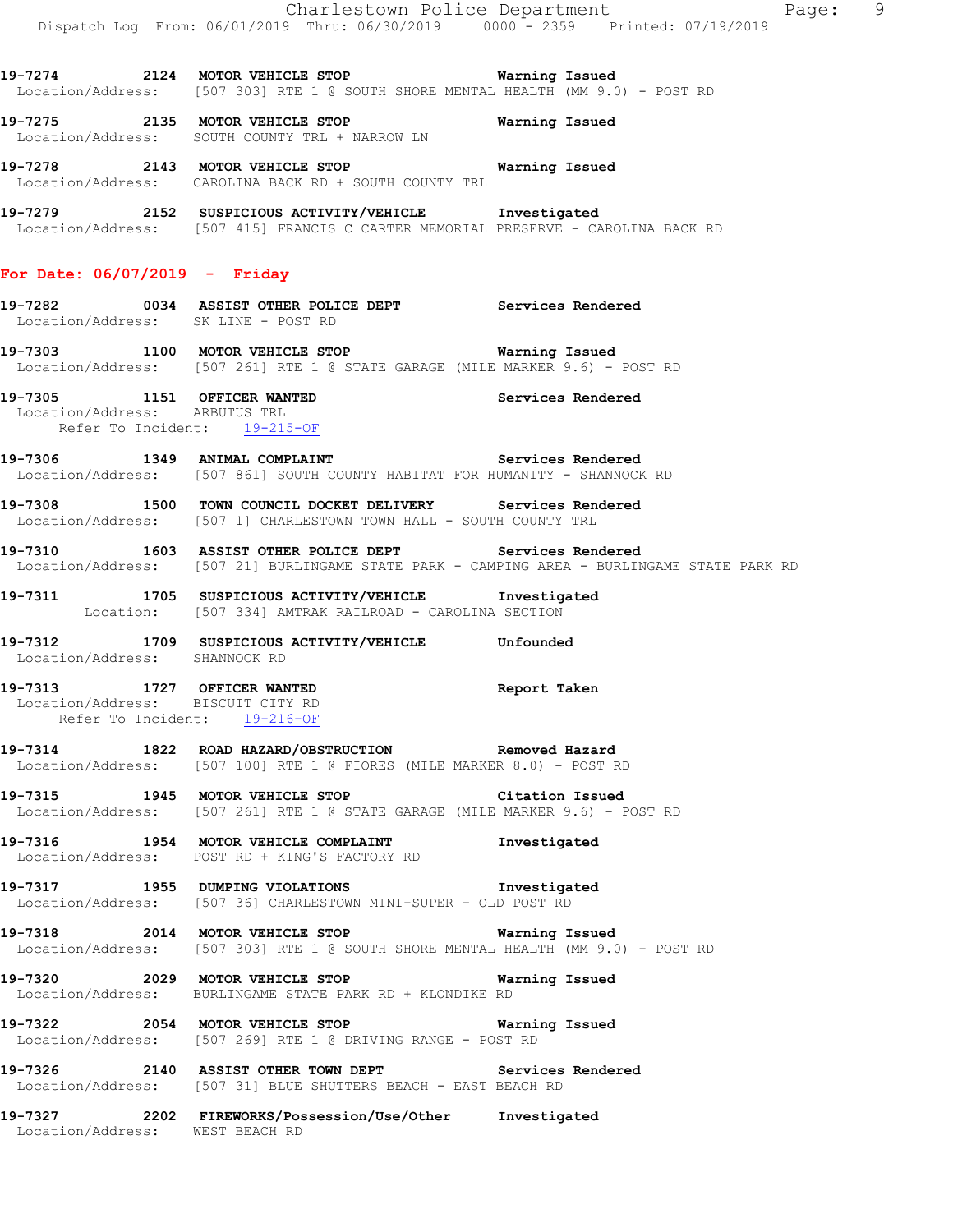**19-7274 2124 MOTOR VEHICLE STOP Warning Issued**  Location/Address: [507 303] RTE 1 @ SOUTH SHORE MENTAL HEALTH (MM 9.0) - POST RD

**19-7275 2135 MOTOR VEHICLE STOP Warning Issued**  Location/Address: SOUTH COUNTY TRL + NARROW LN

**19-7278 2143 MOTOR VEHICLE STOP Warning Issued**  Location/Address: CAROLINA BACK RD + SOUTH COUNTY TRL

**19-7279 2152 SUSPICIOUS ACTIVITY/VEHICLE Investigated**  Location/Address: [507 415] FRANCIS C CARTER MEMORIAL PRESERVE - CAROLINA BACK RD

### **For Date: 06/07/2019 - Friday**

- **19-7282 0034 ASSIST OTHER POLICE DEPT Services Rendered**  Location/Address: SK LINE - POST RD
- **19-7303 1100 MOTOR VEHICLE STOP Warning Issued**  Location/Address: [507 261] RTE 1 @ STATE GARAGE (MILE MARKER 9.6) - POST RD

**19-7305 1151 OFFICER WANTED Services Rendered**  Location/Address: ARBUTUS TRL Refer To Incident: 19-215-OF

19-7306 1349 ANIMAL COMPLAINT **19-7306** Services Rendered Location/Address: [507 861] SOUTH COUNTY HABITAT FOR HUMANITY - SHANNOCK RD

**19-7308 1500 TOWN COUNCIL DOCKET DELIVERY Services Rendered**  Location/Address: [507 1] CHARLESTOWN TOWN HALL - SOUTH COUNTY TRL

**19-7310 1603 ASSIST OTHER POLICE DEPT Services Rendered**  Location/Address: [507 21] BURLINGAME STATE PARK - CAMPING AREA - BURLINGAME STATE PARK RD

**19-7311 1705 SUSPICIOUS ACTIVITY/VEHICLE Investigated**  Location: [507 334] AMTRAK RAILROAD - CAROLINA SECTION

**19-7312 1709 SUSPICIOUS ACTIVITY/VEHICLE Unfounded**  Location/Address: SHANNOCK RD

**19-7313 1727 OFFICER WANTED Report Taken**  Location/Address: BISCUIT CITY RD Refer To Incident: 19-216-OF

**19-7314 1822 ROAD HAZARD/OBSTRUCTION Removed Hazard**  Location/Address: [507 100] RTE 1 @ FIORES (MILE MARKER 8.0) - POST RD

**19-7315 1945 MOTOR VEHICLE STOP Citation Issued**  Location/Address: [507 261] RTE 1 @ STATE GARAGE (MILE MARKER 9.6) - POST RD

**19-7316 1954 MOTOR VEHICLE COMPLAINT Investigated**  Location/Address: POST RD + KING'S FACTORY RD

**19-7317 1955 DUMPING VIOLATIONS Investigated**  Location/Address: [507 36] CHARLESTOWN MINI-SUPER - OLD POST RD

**19-7318 2014 MOTOR VEHICLE STOP Warning Issued**  Location/Address: [507 303] RTE 1 @ SOUTH SHORE MENTAL HEALTH (MM 9.0) - POST RD

**19-7320 2029 MOTOR VEHICLE STOP Warning Issued**  Location/Address: BURLINGAME STATE PARK RD + KLONDIKE RD

**19-7322 2054 MOTOR VEHICLE STOP Warning Issued**  Location/Address: [507 269] RTE 1 @ DRIVING RANGE - POST RD

**19-7326 2140 ASSIST OTHER TOWN DEPT Services Rendered**  Location/Address: [507 31] BLUE SHUTTERS BEACH - EAST BEACH RD

**19-7327 2202 FIREWORKS/Possession/Use/Other Investigated**  Location/Address: WEST BEACH RD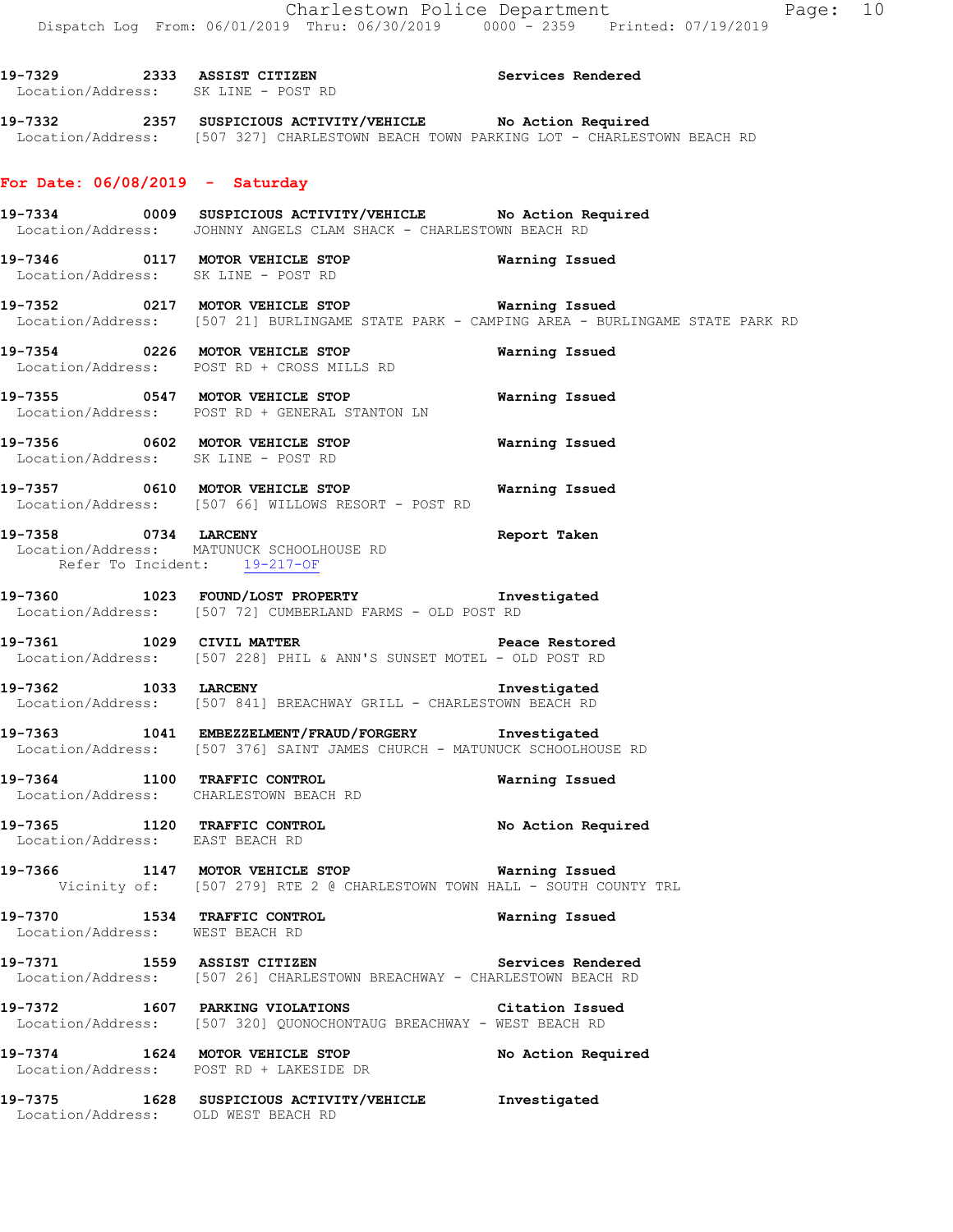**19-7329 2333 ASSIST CITIZEN Services Rendered**  Location/Address: SK LINE - POST RD **19-7332 2357 SUSPICIOUS ACTIVITY/VEHICLE No Action Required**  Location/Address: [507 327] CHARLESTOWN BEACH TOWN PARKING LOT - CHARLESTOWN BEACH RD **For Date: 06/08/2019 - Saturday 19-7334 0009 SUSPICIOUS ACTIVITY/VEHICLE No Action Required**  Location/Address: JOHNNY ANGELS CLAM SHACK - CHARLESTOWN BEACH RD **19-7346 0117 MOTOR VEHICLE STOP Warning Issued**  Location/Address: SK LINE - POST RD **19-7352 0217 MOTOR VEHICLE STOP Warning Issued**  Location/Address: [507 21] BURLINGAME STATE PARK - CAMPING AREA - BURLINGAME STATE PARK RD **19-7354 0226 MOTOR VEHICLE STOP Warning Issued**  Location/Address: POST RD + CROSS MILLS RD **19-7355 0547 MOTOR VEHICLE STOP Warning Issued**  Location/Address: POST RD + GENERAL STANTON LN **19-7356 0602 MOTOR VEHICLE STOP Warning Issued**  Location/Address: SK LINE - POST RD **19-7357 0610 MOTOR VEHICLE STOP Warning Issued**  Location/Address: [507 66] WILLOWS RESORT - POST RD **19-7358 0734 LARCENY Report Taken**  Location/Address: MATUNUCK SCHOOLHOUSE RD Refer To Incident: 19-217-OF **19-7360 1023 FOUND/LOST PROPERTY Investigated**  Location/Address: [507 72] CUMBERLAND FARMS - OLD POST RD **19-7361 1029 CIVIL MATTER Peace Restored**  Location/Address: [507 228] PHIL & ANN'S SUNSET MOTEL - OLD POST RD **19-7362 1033 LARCENY Investigated**  Location/Address: [507 841] BREACHWAY GRILL - CHARLESTOWN BEACH RD **19-7363 1041 EMBEZZELMENT/FRAUD/FORGERY Investigated**  Location/Address: [507 376] SAINT JAMES CHURCH - MATUNUCK SCHOOLHOUSE RD **19-7364 1100 TRAFFIC CONTROL Warning Issued**  Location/Address: CHARLESTOWN BEACH RD **19-7365 1120 TRAFFIC CONTROL No Action Required**  Location/Address: EAST BEACH RD **19-7366 1147 MOTOR VEHICLE STOP Warning Issued**  Vicinity of: [507 279] RTE 2 @ CHARLESTOWN TOWN HALL - SOUTH COUNTY TRL **19-7370 1534 TRAFFIC CONTROL Warning Issued**  Location/Address: WEST BEACH RD **19-7371 1559 ASSIST CITIZEN Services Rendered**  Location/Address: [507 26] CHARLESTOWN BREACHWAY - CHARLESTOWN BEACH RD **19-7372 1607 PARKING VIOLATIONS Citation Issued**  Location/Address: [507 320] QUONOCHONTAUG BREACHWAY - WEST BEACH RD

**19-7374 1624 MOTOR VEHICLE STOP No Action Required** 

Location/Address: POST RD + LAKESIDE DR

**19-7375 1628 SUSPICIOUS ACTIVITY/VEHICLE Investigated**  Location/Address: OLD WEST BEACH RD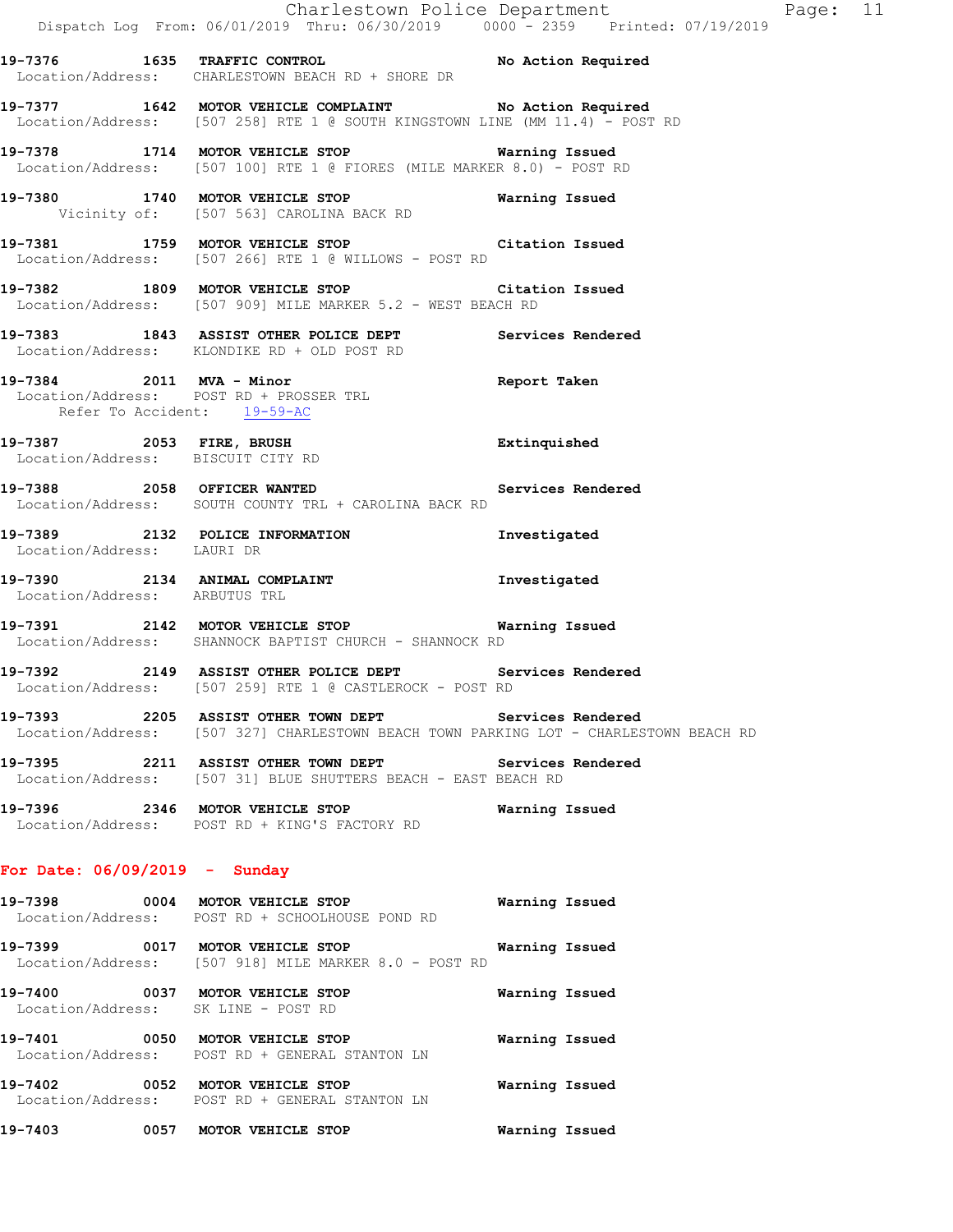|                                 | Dispatch Log From: 06/01/2019 Thru: 06/30/2019 0000 - 2359 Printed: 07/19/2019                                                                 | Charlestown Police Department Page: 11 |  |
|---------------------------------|------------------------------------------------------------------------------------------------------------------------------------------------|----------------------------------------|--|
|                                 | 19-7376 1635 TRAFFIC CONTROL No Action Required<br>Location/Address: CHARLESTOWN BEACH RD + SHORE DR                                           |                                        |  |
|                                 | 19-7377 1642 MOTOR VEHICLE COMPLAINT No Action Required<br>Location/Address: [507 258] RTE 1 @ SOUTH KINGSTOWN LINE (MM 11.4) - POST RD        |                                        |  |
|                                 | 19-7378 1714 MOTOR VEHICLE STOP 6 Warning Issued<br>Location/Address: [507 100] RTE 1 @ FIORES (MILE MARKER 8.0) - POST RD                     |                                        |  |
|                                 | 19-7380 1740 MOTOR VEHICLE STOP Warning Issued<br>Vicinity of: [507 563] CAROLINA BACK RD                                                      |                                        |  |
|                                 | 19-7381 1759 MOTOR VEHICLE STOP Citation Issued<br>Location/Address: [507 266] RTE 1 @ WILLOWS - POST RD                                       |                                        |  |
|                                 | 19-7382 1809 MOTOR VEHICLE STOP Citation Issued<br>Location/Address: [507 909] MILE MARKER 5.2 - WEST BEACH RD                                 |                                        |  |
|                                 | 19-7383 1843 ASSIST OTHER POLICE DEPT Services Rendered<br>Location/Address: KLONDIKE RD + OLD POST RD                                         |                                        |  |
| Refer To Accident: 19-59-AC     | 19-7384 2011 MVA - Minor<br>Location/Address: POST RD + PROSSER TRL                                                                            | Report Taken                           |  |
|                                 | 19-7387 2053 FIRE, BRUSH<br>Location/Address: BISCUIT CITY RD                                                                                  | Extinquished                           |  |
|                                 | 19-7388 2058 OFFICER WANTED Services Rendered<br>Location/Address: SOUTH COUNTY TRL + CAROLINA BACK RD                                         |                                        |  |
| Location/Address: LAURI DR      | 19-7389 2132 POLICE INFORMATION 1nvestigated                                                                                                   |                                        |  |
| Location/Address: ARBUTUS TRL   | 19-7390 2134 ANIMAL COMPLAINT                                                                                                                  | Investigated                           |  |
|                                 | -<br>19-7391 2142 MOTOR VEHICLE STOP 6 Warning Issued<br>Location/Address: SHANNOCK BAPTIST CHURCH - SHANNOCK RD                               |                                        |  |
|                                 | 19-7392 2149 ASSIST OTHER POLICE DEPT Services Rendered<br>Location/Address: [507 259] RTE 1 @ CASTLEROCK - POST RD                            |                                        |  |
|                                 | 19-7393 2205 ASSIST OTHER TOWN DEPT Services Rendered<br>Location/Address: [507 327] CHARLESTOWN BEACH TOWN PARKING LOT - CHARLESTOWN BEACH RD |                                        |  |
|                                 | 19-7395 2211 ASSIST OTHER TOWN DEPT Services Rendered<br>Location/Address: [507 31] BLUE SHUTTERS BEACH - EAST BEACH RD                        |                                        |  |
|                                 | 19-7396 2346 MOTOR VEHICLE STOP<br>Location/Address: POST RD + KING'S FACTORY RD                                                               | Warning Issued                         |  |
| For Date: $06/09/2019$ - Sunday |                                                                                                                                                |                                        |  |
| 19-7398                         | 0004 MOTOR VEHICLE STOP<br>Location/Address: POST RD + SCHOOLHOUSE POND RD                                                                     | Warning Issued                         |  |
|                                 | 19-7399 0017 MOTOR VEHICLE STOP<br>Location/Address: [507 918] MILE MARKER 8.0 - POST RD                                                       | Warning Issued                         |  |

**19-7400 0037 MOTOR VEHICLE STOP Warning Issued**  Location/Address: SK LINE - POST RD

**19-7401 0050 MOTOR VEHICLE STOP Warning Issued**  Location/Address: POST RD + GENERAL STANTON LN **19-7402 0052 MOTOR VEHICLE STOP Warning Issued** 

 Location/Address: POST RD + GENERAL STANTON LN **19-7403 0057 MOTOR VEHICLE STOP Warning Issued**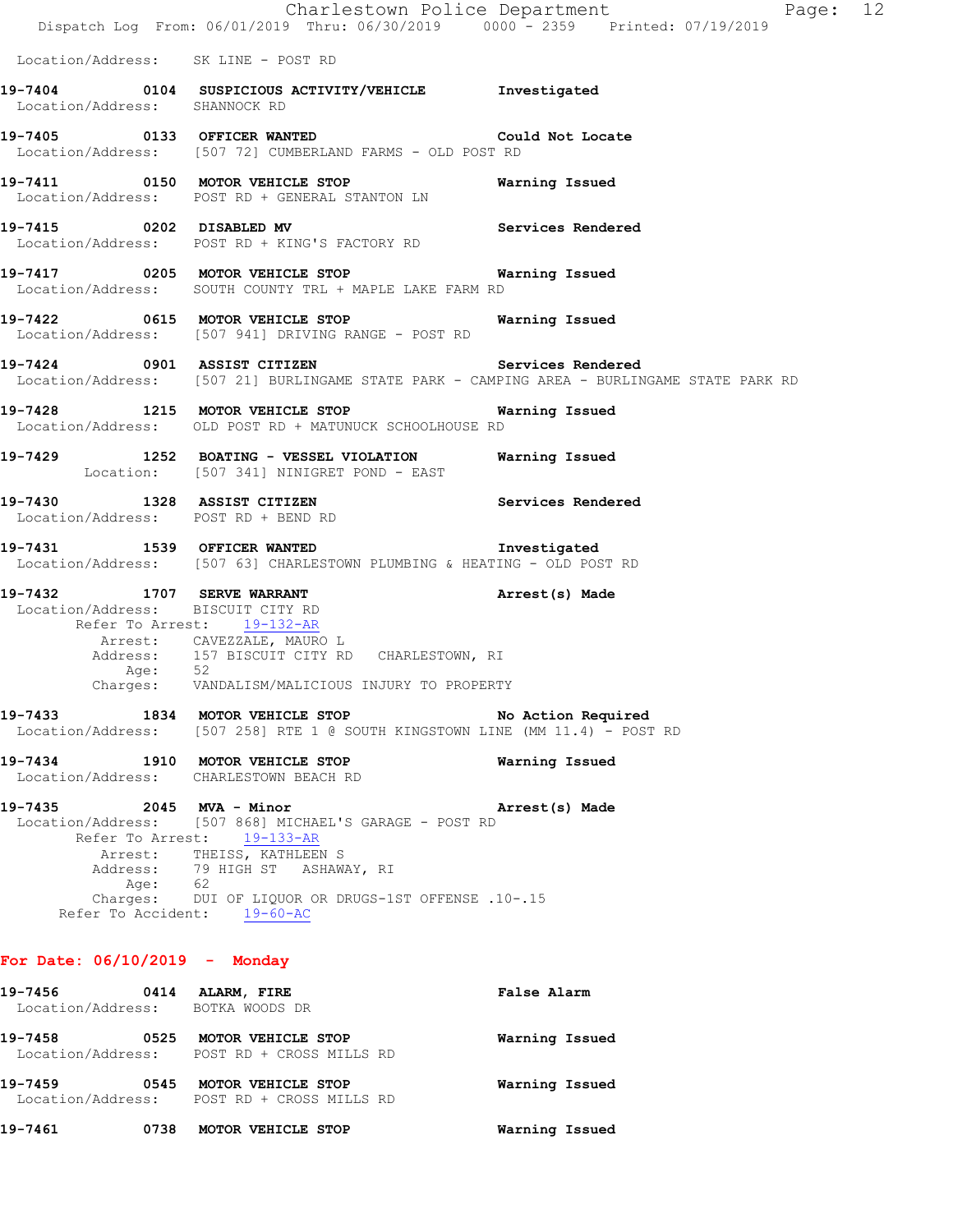|                                                                 |                                                                                                                                                                                                                                             | Page: 12<br>Charlestown Police Department<br>Dispatch Log From: 06/01/2019 Thru: 06/30/2019 0000 - 2359 Printed: 07/19/2019 |
|-----------------------------------------------------------------|---------------------------------------------------------------------------------------------------------------------------------------------------------------------------------------------------------------------------------------------|-----------------------------------------------------------------------------------------------------------------------------|
| Location/Address: SK LINE - POST RD                             |                                                                                                                                                                                                                                             |                                                                                                                             |
| Location/Address: SHANNOCK RD                                   | 19-7404 0104 SUSPICIOUS ACTIVITY/VEHICLE Investigated                                                                                                                                                                                       |                                                                                                                             |
|                                                                 | 19-7405 0133 OFFICER WANTED Could Not Locate<br>Location/Address: [507 72] CUMBERLAND FARMS - OLD POST RD                                                                                                                                   |                                                                                                                             |
|                                                                 | 19-7411   0150 MOTOR VEHICLE STOP   Warning Issued<br>Location/Address: POST RD + GENERAL STANTON LN                                                                                                                                        |                                                                                                                             |
| 19-7415 0202 DISABLED MV                                        | Location/Address: POST RD + KING'S FACTORY RD                                                                                                                                                                                               | Services Rendered                                                                                                           |
|                                                                 | 19-7417 6205 MOTOR VEHICLE STOP 6 Warning Issued<br>Location/Address: SOUTH COUNTY TRL + MAPLE LAKE FARM RD                                                                                                                                 |                                                                                                                             |
|                                                                 | 19-7422 0615 MOTOR VEHICLE STOP Warning Issued<br>Location/Address: [507 941] DRIVING RANGE - POST RD                                                                                                                                       |                                                                                                                             |
|                                                                 | 19-7424 0901 ASSIST CITIZEN Services Rendered                                                                                                                                                                                               | Location/Address: [507 21] BURLINGAME STATE PARK - CAMPING AREA - BURLINGAME STATE PARK RD                                  |
|                                                                 | 19-7428 1215 MOTOR VEHICLE STOP 6 Warning Issued<br>Location/Address: OLD POST RD + MATUNUCK SCHOOLHOUSE RD                                                                                                                                 |                                                                                                                             |
|                                                                 | 19-7429 1252 BOATING - VESSEL VIOLATION Warning Issued<br>Location: [507 341] NINIGRET POND - EAST                                                                                                                                          |                                                                                                                             |
| Location/Address: POST RD + BEND RD                             | 19-7430 1328 ASSIST CITIZEN Services Rendered                                                                                                                                                                                               |                                                                                                                             |
|                                                                 | 19-7431 1539 OFFICER WANTED<br>Location/Address: [507 63] CHARLESTOWN PLUMBING & HEATING - OLD POST RD                                                                                                                                      | Investigated                                                                                                                |
| 19-7432 1707 SERVE WARRANT<br>Location/Address: BISCUIT CITY RD | Refer To Arrest: 19-132-AR<br>Arrest: CAVEZZALE, MAURO L<br>Address: 157 BISCUIT CITY RD CHARLESTOWN, RI<br>Age: 52<br>Charges: VANDALISM/MALICIOUS INJURY TO PROPERTY                                                                      | Arrest(s) Made                                                                                                              |
|                                                                 | 19-7433 1834 MOTOR VEHICLE STOP No Action Required<br>Location/Address: [507 258] RTE 1 @ SOUTH KINGSTOWN LINE (MM 11.4) - POST RD                                                                                                          |                                                                                                                             |
|                                                                 | 19-7434 1910 MOTOR VEHICLE STOP<br>Location/Address: CHARLESTOWN BEACH RD                                                                                                                                                                   | Warning Issued                                                                                                              |
| 19-7435 2045 MVA - Minor<br>Age: 62                             | Location/Address: [507 868] MICHAEL'S GARAGE - POST RD<br>Refer To Arrest: 19-133-AR<br>Arrest: THEISS, KATHLEEN S<br>Address: 79 HIGH ST ASHAWAY, RI<br>Charges: DUI OF LIQUOR OR DRUGS-1ST OFFENSE .10-.15<br>Refer To Accident: 19-60-AC | Arrest(s) Made                                                                                                              |
| For Date: $06/10/2019$ - Monday                                 |                                                                                                                                                                                                                                             |                                                                                                                             |
| 19-7456 0414 ATARM FTRE                                         |                                                                                                                                                                                                                                             | False Alarm                                                                                                                 |

| 19-7461<br>0738                                            | MOTOR VEHICLE STOP                                               | Warning Issued |
|------------------------------------------------------------|------------------------------------------------------------------|----------------|
| 19-7459<br>0545                                            | MOTOR VEHICLE STOP<br>Location/Address: POST RD + CROSS MILLS RD | Warning Issued |
| 19-7458<br>0525                                            | MOTOR VEHICLE STOP<br>Location/Address: POST RD + CROSS MILLS RD | Warning Issued |
| 19-7456 - 19-7<br>0414<br>Location/Address: BOTKA WOODS DR | ALARM, FIRE                                                      | False Alarm    |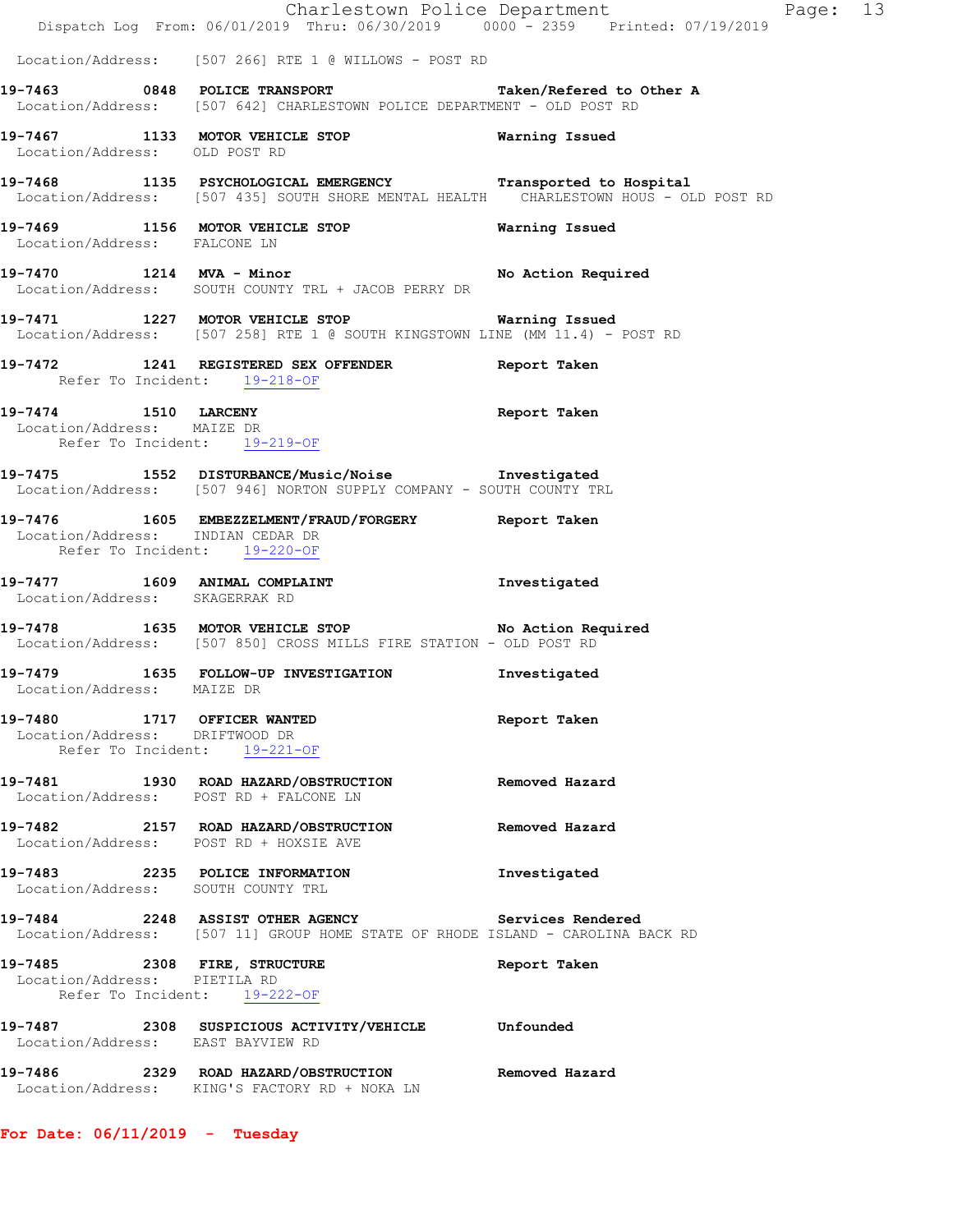| Location/Address: [507 266] RTE 1 @ WILLOWS - POST RD<br>19-7463 0848 POLICE TRANSPORT<br>Taken/Refered to Other A<br>Location/Address: [507 642] CHARLESTOWN POLICE DEPARTMENT - OLD POST RD<br>Warning Issued<br>Location/Address: OLD POST RD<br>Location/Address: [507 435] SOUTH SHORE MENTAL HEALTH CHARLESTOWN HOUS - OLD POST RD<br>19-7469 1156 MOTOR VEHICLE STOP 6 Warning Issued<br>Location/Address: FALCONE LN<br>Location/Address: SOUTH COUNTY TRL + JACOB PERRY DR<br>Location/Address: [507 258] RTE 1 @ SOUTH KINGSTOWN LINE (MM 11.4) - POST RD<br>19-7472 1241 REGISTERED SEX OFFENDER Report Taken<br>Refer To Incident: 19-218-OF<br>Report Taken<br>Location/Address: MAIZE DR<br>Refer To Incident: 19-219-OF<br>Location/Address: [507 946] NORTON SUPPLY COMPANY - SOUTH COUNTY TRL<br>Location/Address: INDIAN CEDAR DR<br>Refer To Incident: 19-220-OF<br>19-7477 1609 ANIMAL COMPLAINT<br>Investigated<br>Location/Address: SKAGERRAK RD<br>Location/Address: [507 850] CROSS MILLS FIRE STATION - OLD POST RD<br>Investigated<br>Location/Address: MAIZE DR<br>19-7480 1717 OFFICER WANTED<br>Report Taken<br>Location/Address: DRIFTWOOD DR<br>Refer To Incident: 19-221-OF<br>Removed Hazard<br>Location/Address: POST RD + FALCONE LN<br>Location/Address: POST RD + HOXSIE AVE<br>19-7483 2235 POLICE INFORMATION<br>Investigated<br>Location/Address: SOUTH COUNTY TRL<br>Location/Address: [507 11] GROUP HOME STATE OF RHODE ISLAND - CAROLINA BACK RD<br>Report Taken<br>Location/Address: PIETILA RD<br>Refer To Incident: 19-222-OF<br>Location/Address: EAST BAYVIEW RD<br>19-7486 2329 ROAD HAZARD/OBSTRUCTION Removed Hazard | Page: 13 |
|--------------------------------------------------------------------------------------------------------------------------------------------------------------------------------------------------------------------------------------------------------------------------------------------------------------------------------------------------------------------------------------------------------------------------------------------------------------------------------------------------------------------------------------------------------------------------------------------------------------------------------------------------------------------------------------------------------------------------------------------------------------------------------------------------------------------------------------------------------------------------------------------------------------------------------------------------------------------------------------------------------------------------------------------------------------------------------------------------------------------------------------------------------------------------------------------------------------------------------------------------------------------------------------------------------------------------------------------------------------------------------------------------------------------------------------------------------------------------------------------------------------------------------------------------------------------------------------------------------------------------------------------------------------------------|----------|
|                                                                                                                                                                                                                                                                                                                                                                                                                                                                                                                                                                                                                                                                                                                                                                                                                                                                                                                                                                                                                                                                                                                                                                                                                                                                                                                                                                                                                                                                                                                                                                                                                                                                          |          |
| 19-7467 1133 MOTOR VEHICLE STOP<br>19-7468 1135 PSYCHOLOGICAL EMERGENCY Transported to Hospital<br>19-7470 1214 MVA - Minor No Action Required<br>19-7471 1227 MOTOR VEHICLE STOP <b>Warning Issued</b><br>19-7474 1510 LARCENY<br>19-7475 1552 DISTURBANCE/Music/Noise Investigated<br>19-7476 1605 EMBEZZELMENT/FRAUD/FORGERY Report Taken<br>19-7478 1635 MOTOR VEHICLE STOP No Action Required<br>19-7479 1635 FOLLOW-UP INVESTIGATION<br>19-7481 1930 ROAD HAZARD/OBSTRUCTION<br>19-7482 2157 ROAD HAZARD/OBSTRUCTION Removed Hazard<br>19-7484 2248 ASSIST OTHER AGENCY Services Rendered<br>19-7485 2308 FIRE, STRUCTURE<br>19-7487 2308 SUSPICIOUS ACTIVITY/VEHICLE Unfounded                                                                                                                                                                                                                                                                                                                                                                                                                                                                                                                                                                                                                                                                                                                                                                                                                                                                                                                                                                                    |          |
|                                                                                                                                                                                                                                                                                                                                                                                                                                                                                                                                                                                                                                                                                                                                                                                                                                                                                                                                                                                                                                                                                                                                                                                                                                                                                                                                                                                                                                                                                                                                                                                                                                                                          |          |
|                                                                                                                                                                                                                                                                                                                                                                                                                                                                                                                                                                                                                                                                                                                                                                                                                                                                                                                                                                                                                                                                                                                                                                                                                                                                                                                                                                                                                                                                                                                                                                                                                                                                          |          |
|                                                                                                                                                                                                                                                                                                                                                                                                                                                                                                                                                                                                                                                                                                                                                                                                                                                                                                                                                                                                                                                                                                                                                                                                                                                                                                                                                                                                                                                                                                                                                                                                                                                                          |          |
|                                                                                                                                                                                                                                                                                                                                                                                                                                                                                                                                                                                                                                                                                                                                                                                                                                                                                                                                                                                                                                                                                                                                                                                                                                                                                                                                                                                                                                                                                                                                                                                                                                                                          |          |
|                                                                                                                                                                                                                                                                                                                                                                                                                                                                                                                                                                                                                                                                                                                                                                                                                                                                                                                                                                                                                                                                                                                                                                                                                                                                                                                                                                                                                                                                                                                                                                                                                                                                          |          |
|                                                                                                                                                                                                                                                                                                                                                                                                                                                                                                                                                                                                                                                                                                                                                                                                                                                                                                                                                                                                                                                                                                                                                                                                                                                                                                                                                                                                                                                                                                                                                                                                                                                                          |          |
|                                                                                                                                                                                                                                                                                                                                                                                                                                                                                                                                                                                                                                                                                                                                                                                                                                                                                                                                                                                                                                                                                                                                                                                                                                                                                                                                                                                                                                                                                                                                                                                                                                                                          |          |
|                                                                                                                                                                                                                                                                                                                                                                                                                                                                                                                                                                                                                                                                                                                                                                                                                                                                                                                                                                                                                                                                                                                                                                                                                                                                                                                                                                                                                                                                                                                                                                                                                                                                          |          |
|                                                                                                                                                                                                                                                                                                                                                                                                                                                                                                                                                                                                                                                                                                                                                                                                                                                                                                                                                                                                                                                                                                                                                                                                                                                                                                                                                                                                                                                                                                                                                                                                                                                                          |          |
|                                                                                                                                                                                                                                                                                                                                                                                                                                                                                                                                                                                                                                                                                                                                                                                                                                                                                                                                                                                                                                                                                                                                                                                                                                                                                                                                                                                                                                                                                                                                                                                                                                                                          |          |
|                                                                                                                                                                                                                                                                                                                                                                                                                                                                                                                                                                                                                                                                                                                                                                                                                                                                                                                                                                                                                                                                                                                                                                                                                                                                                                                                                                                                                                                                                                                                                                                                                                                                          |          |
|                                                                                                                                                                                                                                                                                                                                                                                                                                                                                                                                                                                                                                                                                                                                                                                                                                                                                                                                                                                                                                                                                                                                                                                                                                                                                                                                                                                                                                                                                                                                                                                                                                                                          |          |
|                                                                                                                                                                                                                                                                                                                                                                                                                                                                                                                                                                                                                                                                                                                                                                                                                                                                                                                                                                                                                                                                                                                                                                                                                                                                                                                                                                                                                                                                                                                                                                                                                                                                          |          |
|                                                                                                                                                                                                                                                                                                                                                                                                                                                                                                                                                                                                                                                                                                                                                                                                                                                                                                                                                                                                                                                                                                                                                                                                                                                                                                                                                                                                                                                                                                                                                                                                                                                                          |          |
|                                                                                                                                                                                                                                                                                                                                                                                                                                                                                                                                                                                                                                                                                                                                                                                                                                                                                                                                                                                                                                                                                                                                                                                                                                                                                                                                                                                                                                                                                                                                                                                                                                                                          |          |
|                                                                                                                                                                                                                                                                                                                                                                                                                                                                                                                                                                                                                                                                                                                                                                                                                                                                                                                                                                                                                                                                                                                                                                                                                                                                                                                                                                                                                                                                                                                                                                                                                                                                          |          |
|                                                                                                                                                                                                                                                                                                                                                                                                                                                                                                                                                                                                                                                                                                                                                                                                                                                                                                                                                                                                                                                                                                                                                                                                                                                                                                                                                                                                                                                                                                                                                                                                                                                                          |          |
|                                                                                                                                                                                                                                                                                                                                                                                                                                                                                                                                                                                                                                                                                                                                                                                                                                                                                                                                                                                                                                                                                                                                                                                                                                                                                                                                                                                                                                                                                                                                                                                                                                                                          |          |
|                                                                                                                                                                                                                                                                                                                                                                                                                                                                                                                                                                                                                                                                                                                                                                                                                                                                                                                                                                                                                                                                                                                                                                                                                                                                                                                                                                                                                                                                                                                                                                                                                                                                          |          |
| Location/Address: KING'S FACTORY RD + NOKA LN                                                                                                                                                                                                                                                                                                                                                                                                                                                                                                                                                                                                                                                                                                                                                                                                                                                                                                                                                                                                                                                                                                                                                                                                                                                                                                                                                                                                                                                                                                                                                                                                                            |          |

**For Date: 06/11/2019 - Tuesday**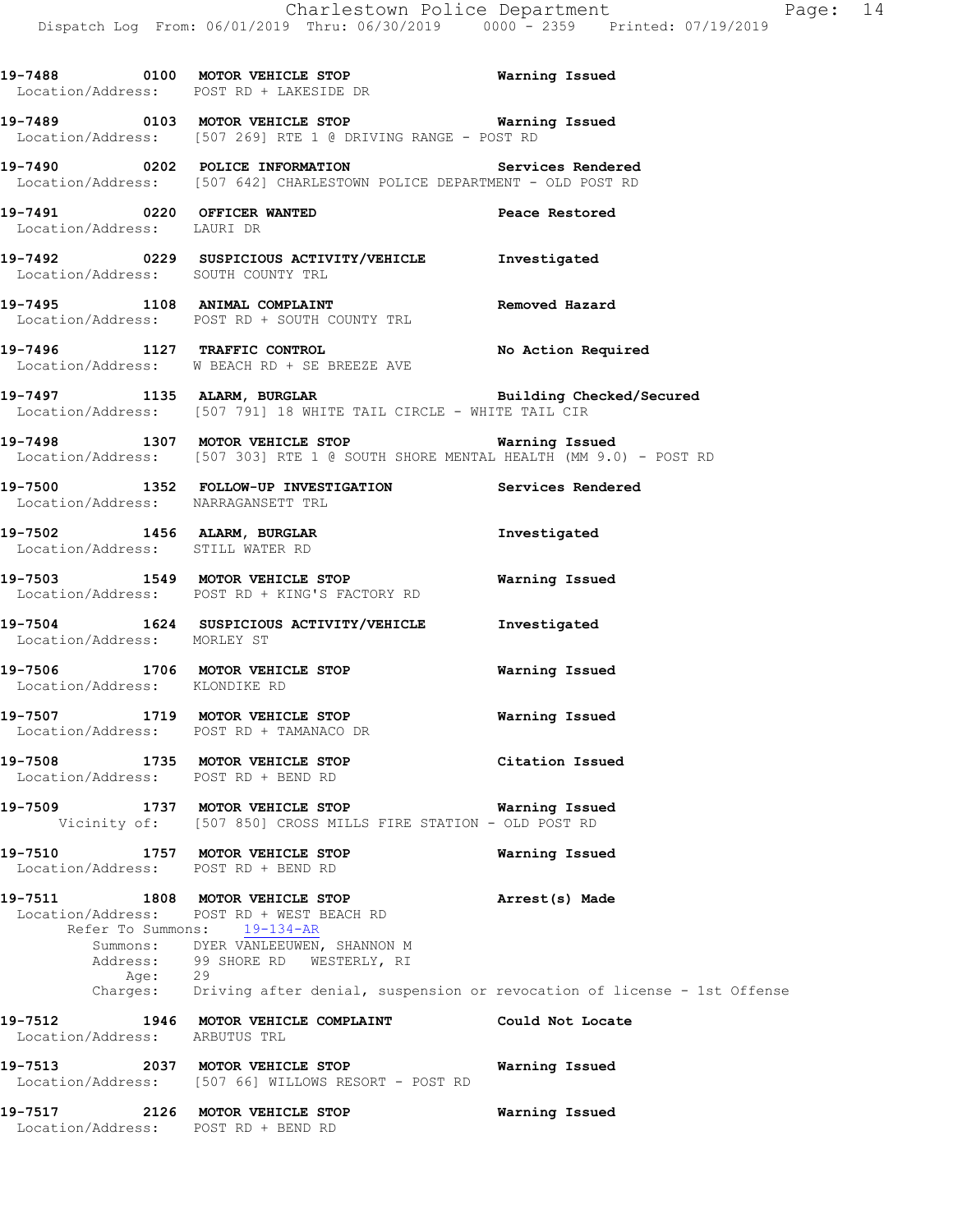**19-7488 0100 MOTOR VEHICLE STOP Warning Issued**  Location/Address: POST RD + LAKESIDE DR **19-7489 0103 MOTOR VEHICLE STOP Warning Issued**  Location/Address: [507 269] RTE 1 @ DRIVING RANGE - POST RD **19-7490 0202 POLICE INFORMATION Services Rendered**  Location/Address: [507 642] CHARLESTOWN POLICE DEPARTMENT - OLD POST RD **19-7491 0220 OFFICER WANTED Peace Restored**  Location/Address: LAURI DR **19-7492 0229 SUSPICIOUS ACTIVITY/VEHICLE Investigated**  Location/Address: SOUTH COUNTY TRL **19-7495 1108 ANIMAL COMPLAINT Removed Hazard**  Location/Address: POST RD + SOUTH COUNTY TRL **19-7496 1127 TRAFFIC CONTROL No Action Required**  Location/Address: W BEACH RD + SE BREEZE AVE **19-7497 1135 ALARM, BURGLAR Building Checked/Secured**  Location/Address: [507 791] 18 WHITE TAIL CIRCLE - WHITE TAIL CIR **19-7498 1307 MOTOR VEHICLE STOP Warning Issued**  Location/Address: [507 303] RTE 1 @ SOUTH SHORE MENTAL HEALTH (MM 9.0) - POST RD **19-7500 1352 FOLLOW-UP INVESTIGATION Services Rendered**  Location/Address: NARRAGANSETT TRL **19-7502 1456 ALARM, BURGLAR Investigated**  Location/Address: STILL WATER RD **19-7503 1549 MOTOR VEHICLE STOP Warning Issued**  Location/Address: POST RD + KING'S FACTORY RD **19-7504 1624 SUSPICIOUS ACTIVITY/VEHICLE Investigated**  Location/Address: MORLEY ST **19-7506 1706 MOTOR VEHICLE STOP Warning Issued**  Location/Address: KLONDIKE RD **19-7507 1719 MOTOR VEHICLE STOP Warning Issued**  Location/Address: POST RD + TAMANACO DR **19-7508 1735 MOTOR VEHICLE STOP Citation Issued**  Location/Address: POST RD + BEND RD **19-7509 1737 MOTOR VEHICLE STOP Warning Issued**  Vicinity of: [507 850] CROSS MILLS FIRE STATION - OLD POST RD **19-7510 1757 MOTOR VEHICLE STOP Warning Issued**  Location/Address: POST RD + BEND RD **19-7511 1808 MOTOR VEHICLE STOP Arrest(s) Made**  Location/Address: POST RD + WEST BEACH RD Refer To Summons: 19-134-AR Summons: DYER VANLEEUWEN, SHANNON M Address: 99 SHORE RD WESTERLY, RI Age: 29 Charges: Driving after denial, suspension or revocation of license - 1st Offense **19-7512 1946 MOTOR VEHICLE COMPLAINT Could Not Locate**  Location/Address: ARBUTUS TRL **19-7513 2037 MOTOR VEHICLE STOP Warning Issued**  Location/Address: [507 66] WILLOWS RESORT - POST RD **19-7517 2126 MOTOR VEHICLE STOP Warning Issued**  Location/Address: POST RD + BEND RD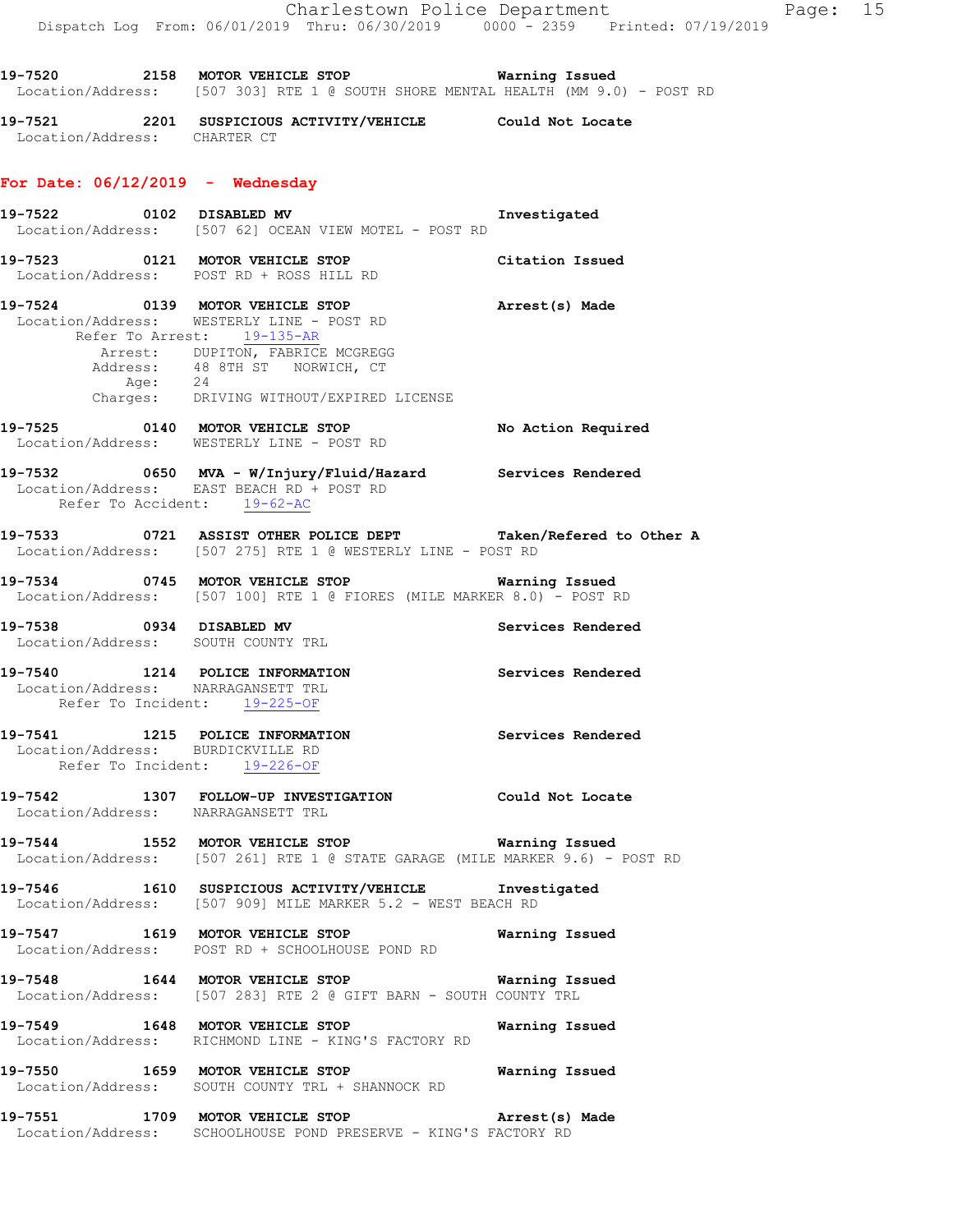**19-7520 2158 MOTOR VEHICLE STOP Warning Issued**  Location/Address: [507 303] RTE 1 @ SOUTH SHORE MENTAL HEALTH (MM 9.0) - POST RD

**19-7521 2201 SUSPICIOUS ACTIVITY/VEHICLE Could Not Locate**  Location/Address: CHARTER CT

#### **For Date: 06/12/2019 - Wednesday**

- **19-7522 0102 DISABLED MV Investigated**  Location/Address: [507 62] OCEAN VIEW MOTEL - POST RD **19-7523 0121 MOTOR VEHICLE STOP Citation Issued**  Location/Address: POST RD + ROSS HILL RD **19-7524 0139 MOTOR VEHICLE STOP Arrest(s) Made**  Location/Address: WESTERLY LINE - POST RD Refer To Arrest: 19-135-AR
- Arrest: DUPITON, FABRICE MCGREGG Address: 48 8TH ST NORWICH, CT Age: 24 Charges: DRIVING WITHOUT/EXPIRED LICENSE
- **19-7525 0140 MOTOR VEHICLE STOP No Action Required**  Location/Address: WESTERLY LINE - POST RD
- **19-7532 0650 MVA W/Injury/Fluid/Hazard Services Rendered**  Location/Address: EAST BEACH RD + POST RD Refer To Accident: 19-62-AC
- **19-7533 0721 ASSIST OTHER POLICE DEPT Taken/Refered to Other A**  Location/Address: [507 275] RTE 1 @ WESTERLY LINE - POST RD
- **19-7534 0745 MOTOR VEHICLE STOP Warning Issued**  Location/Address: [507 100] RTE 1 @ FIORES (MILE MARKER 8.0) - POST RD
- **19-7538 0934 DISABLED MV Services Rendered**  Location/Address: SOUTH COUNTY TRL
- **19-7540 1214 POLICE INFORMATION Services Rendered**  Location/Address: NARRAGANSETT TRL Refer To Incident: 19-225-OF

#### **19-7541 1215 POLICE INFORMATION Services Rendered**  Location/Address: BURDICKVILLE RD Refer To Incident: 19-226-OF

- **19-7542 1307 FOLLOW-UP INVESTIGATION Could Not Locate**  Location/Address: NARRAGANSETT TRL
- **19-7544 1552 MOTOR VEHICLE STOP Warning Issued**  Location/Address: [507 261] RTE 1 @ STATE GARAGE (MILE MARKER 9.6) - POST RD
- **19-7546 1610 SUSPICIOUS ACTIVITY/VEHICLE Investigated**  Location/Address: [507 909] MILE MARKER 5.2 - WEST BEACH RD
- **19-7547 1619 MOTOR VEHICLE STOP Warning Issued**  Location/Address: POST RD + SCHOOLHOUSE POND RD
- **19-7548 1644 MOTOR VEHICLE STOP Warning Issued**  Location/Address: [507 283] RTE 2 @ GIFT BARN - SOUTH COUNTY TRL
- **19-7549 1648 MOTOR VEHICLE STOP Warning Issued**  Location/Address: RICHMOND LINE - KING'S FACTORY RD
- **19-7550 1659 MOTOR VEHICLE STOP Warning Issued**  Location/Address: SOUTH COUNTY TRL + SHANNOCK RD
- **19-7551 1709 MOTOR VEHICLE STOP Arrest(s) Made**  Location/Address: SCHOOLHOUSE POND PRESERVE - KING'S FACTORY RD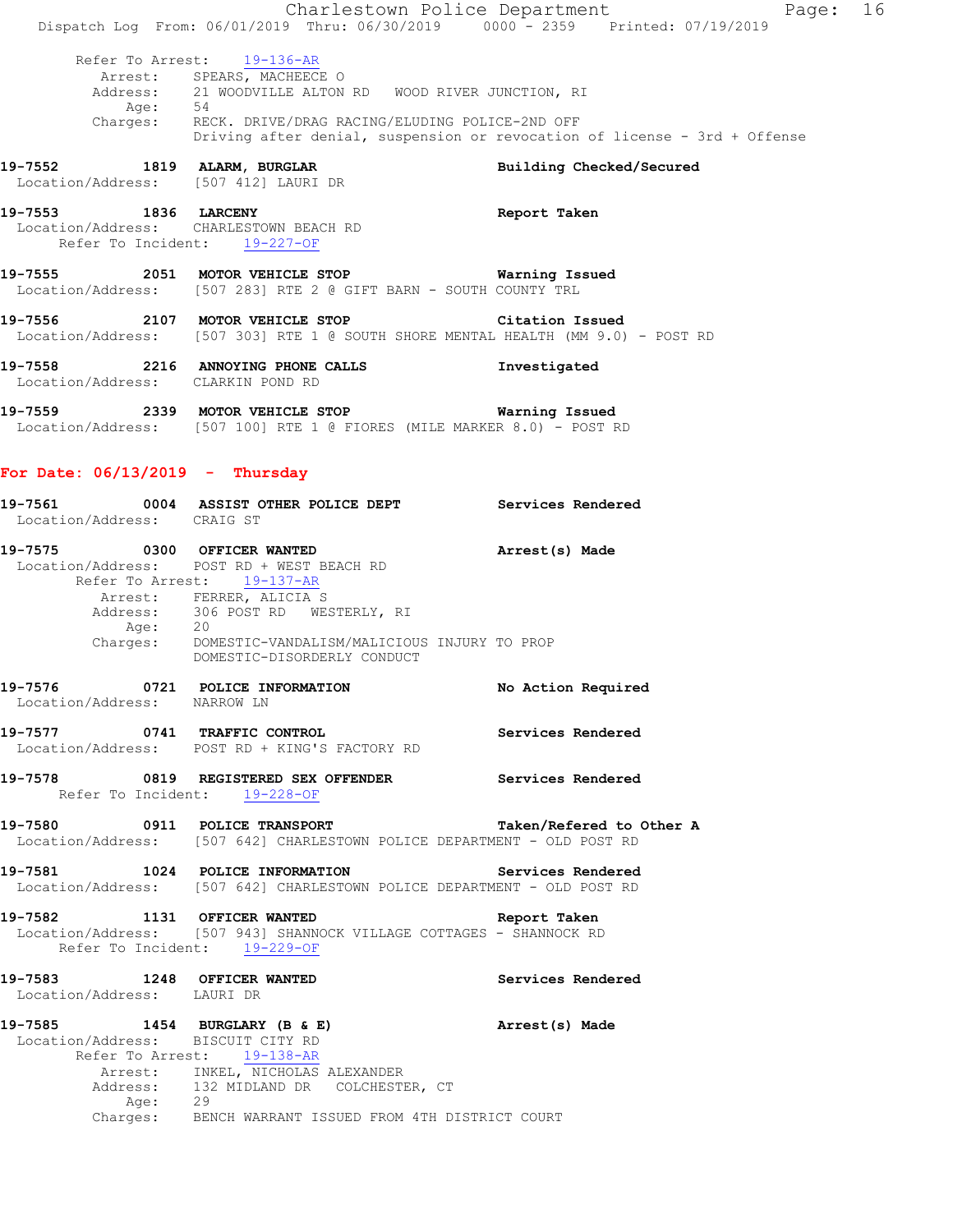|                                                                                                | Dispatch Log From: 06/01/2019 Thru: 06/30/2019 0000 - 2359 Printed: 07/19/2019                                                                                                                                                             | Charlestown Police Department<br>Page: 16                                 |  |
|------------------------------------------------------------------------------------------------|--------------------------------------------------------------------------------------------------------------------------------------------------------------------------------------------------------------------------------------------|---------------------------------------------------------------------------|--|
| Age: 54                                                                                        | Refer To Arrest: 19-136-AR<br>Arrest: SPEARS, MACHEECE O<br>Address: 21 WOODVILLE ALTON RD WOOD RIVER JUNCTION, RI                                                                                                                         |                                                                           |  |
|                                                                                                | Charges: RECK. DRIVE/DRAG RACING/ELUDING POLICE-2ND OFF                                                                                                                                                                                    | Driving after denial, suspension or revocation of license - 3rd + Offense |  |
| 19-7552 1819 ALARM, BURGLAR<br>Location/Address: [507 412] LAURI DR                            |                                                                                                                                                                                                                                            | Building Checked/Secured                                                  |  |
| 19-7553 1836 LARCENY<br>Location/Address: CHARLESTOWN BEACH RD<br>Refer To Incident: 19-227-OF |                                                                                                                                                                                                                                            | Report Taken                                                              |  |
|                                                                                                | 19-7555 2051 MOTOR VEHICLE STOP <b>Warning Issued</b><br>Location/Address: [507 283] RTE 2 @ GIFT BARN - SOUTH COUNTY TRL                                                                                                                  |                                                                           |  |
|                                                                                                | 19-7556 2107 MOTOR VEHICLE STOP Citation Issued<br>Location/Address: [507 303] RTE 1 @ SOUTH SHORE MENTAL HEALTH (MM 9.0) - POST RD                                                                                                        |                                                                           |  |
| Location/Address: CLARKIN POND RD                                                              | 19-7558 2216 ANNOYING PHONE CALLS                                                                                                                                                                                                          | Investigated                                                              |  |
|                                                                                                | Location/Address: [507 100] RTE 1 @ FIORES (MILE MARKER 8.0) - POST RD                                                                                                                                                                     |                                                                           |  |
| For Date: $06/13/2019$ - Thursday                                                              |                                                                                                                                                                                                                                            |                                                                           |  |
| Location/Address: CRAIG ST                                                                     | 19-7561 60004 ASSIST OTHER POLICE DEPT Services Rendered                                                                                                                                                                                   |                                                                           |  |
|                                                                                                | 19-7575 0300 OFFICER WANTED<br>Location/Address: POST RD + WEST BEACH RD<br>Refer To Arrest: 19-137-AR<br>Arrest: FERRER, ALICIA S<br>Address: 306 POST RD WESTERLY, RI<br>Age: 20<br>Charges: DOMESTIC-VANDALISM/MALICIOUS INJURY TO PROP | Arrest(s) Made                                                            |  |
| 19-7576 0721 POLICE INFORMATION<br>Location/Address: NARROW LN                                 | DOMESTIC-DISORDERLY CONDUCT                                                                                                                                                                                                                | No Action Required                                                        |  |
|                                                                                                | 19-7577 0741 TRAFFIC CONTROL 19-7577 0741 TRAFFIC CONTROL<br>Location/Address: POST RD + KING'S FACTORY RD                                                                                                                                 |                                                                           |  |
| Refer To Incident: 19-228-OF                                                                   | 19-7578 6819 REGISTERED SEX OFFENDER Services Rendered                                                                                                                                                                                     |                                                                           |  |
|                                                                                                | 19-7580 0911 POLICE TRANSPORT<br>Location/Address: [507 642] CHARLESTOWN POLICE DEPARTMENT - OLD POST RD                                                                                                                                   | Taken/Refered to Other A                                                  |  |
|                                                                                                | 19-7581 1024 POLICE INFORMATION Services Rendered<br>Location/Address: [507 642] CHARLESTOWN POLICE DEPARTMENT - OLD POST RD                                                                                                               |                                                                           |  |
| 19-7582 1131 OFFICER WANTED<br>Refer To Incident: 19-229-OF                                    | Location/Address: [507 943] SHANNOCK VILLAGE COTTAGES - SHANNOCK RD                                                                                                                                                                        | Report Taken                                                              |  |
| 19-7583 1248 OFFICER WANTED<br>Location/Address: LAURI DR                                      |                                                                                                                                                                                                                                            | Services Rendered                                                         |  |
| Location/Address: BISCUIT CITY RD                                                              | 19-7585 1454 BURGLARY (B & E)<br>Refer To Arrest: 19-138-AR<br>Arrest: INKEL, NICHOLAS ALEXANDER<br>Address: 132 MIDLAND DR COLCHESTER, CT<br>Age: 29<br>Charges: BENCH WARRANT ISSUED FROM 4TH DISTRICT COURT                             | Arrest(s) Made                                                            |  |
|                                                                                                |                                                                                                                                                                                                                                            |                                                                           |  |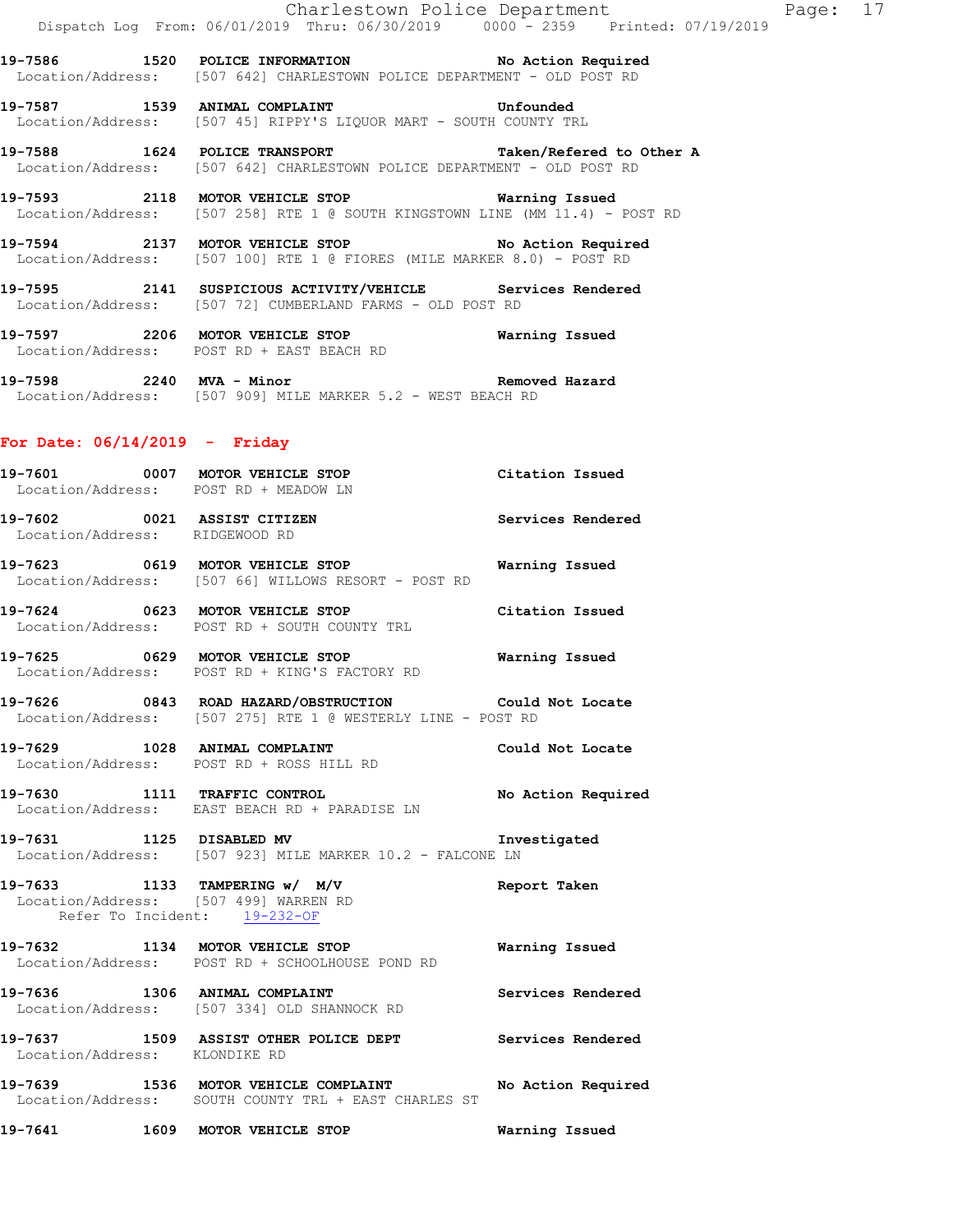**19-7586 1520 POLICE INFORMATION No Action Required**  Location/Address: [507 642] CHARLESTOWN POLICE DEPARTMENT - OLD POST RD

**19-7587 1539 ANIMAL COMPLAINT Unfounded**  Location/Address: [507 45] RIPPY'S LIQUOR MART - SOUTH COUNTY TRL

**19-7588 1624 POLICE TRANSPORT Taken/Refered to Other A**  Location/Address: [507 642] CHARLESTOWN POLICE DEPARTMENT - OLD POST RD

**19-7593 2118 MOTOR VEHICLE STOP Warning Issued**  Location/Address: [507 258] RTE 1 @ SOUTH KINGSTOWN LINE (MM 11.4) - POST RD

**19-7594 2137 MOTOR VEHICLE STOP No Action Required**  Location/Address: [507 100] RTE 1 @ FIORES (MILE MARKER 8.0) - POST RD

**19-7595 2141 SUSPICIOUS ACTIVITY/VEHICLE Services Rendered**  Location/Address: [507 72] CUMBERLAND FARMS - OLD POST RD

**19-7597 2206 MOTOR VEHICLE STOP Warning Issued**  Location/Address: POST RD + EAST BEACH RD

**19-7598 2240 MVA - Minor Removed Hazard**  Location/Address: [507 909] MILE MARKER 5.2 - WEST BEACH RD

### **For Date: 06/14/2019 - Friday**

**19-7601 0007 MOTOR VEHICLE STOP Citation Issued**  Location/Address: POST RD + MEADOW LN **19-7602 0021 ASSIST CITIZEN Services Rendered**  Location/Address: RIDGEWOOD RD **19-7623 0619 MOTOR VEHICLE STOP Warning Issued**  Location/Address: [507 66] WILLOWS RESORT - POST RD **19-7624 0623 MOTOR VEHICLE STOP Citation Issued**  Location/Address: POST RD + SOUTH COUNTY TRL **19-7625 0629 MOTOR VEHICLE STOP Warning Issued**  Location/Address: POST RD + KING'S FACTORY RD **19-7626 0843 ROAD HAZARD/OBSTRUCTION Could Not Locate**  Location/Address: [507 275] RTE 1 @ WESTERLY LINE - POST RD **19-7629 1028 ANIMAL COMPLAINT Could Not Locate**  Location/Address: POST RD + ROSS HILL RD **19-7630 1111 TRAFFIC CONTROL No Action Required**  Location/Address: EAST BEACH RD + PARADISE LN **19-7631 1125 DISABLED MV Investigated**  Location/Address: [507 923] MILE MARKER 10.2 - FALCONE LN **19-7633 1133 TAMPERING w/ M/V Report Taken**  Location/Address: [507 499] WARREN RD Refer To Incident: 19-232-OF **19-7632 1134 MOTOR VEHICLE STOP Warning Issued**  Location/Address: POST RD + SCHOOLHOUSE POND RD **19-7636 1306 ANIMAL COMPLAINT Services Rendered**  Location/Address: [507 334] OLD SHANNOCK RD **19-7637 1509 ASSIST OTHER POLICE DEPT Services Rendered**  Location/Address: KLONDIKE RD **19-7639 1536 MOTOR VEHICLE COMPLAINT No Action Required**  Location/Address: SOUTH COUNTY TRL + EAST CHARLES ST **19-7641 1609 MOTOR VEHICLE STOP Warning Issued**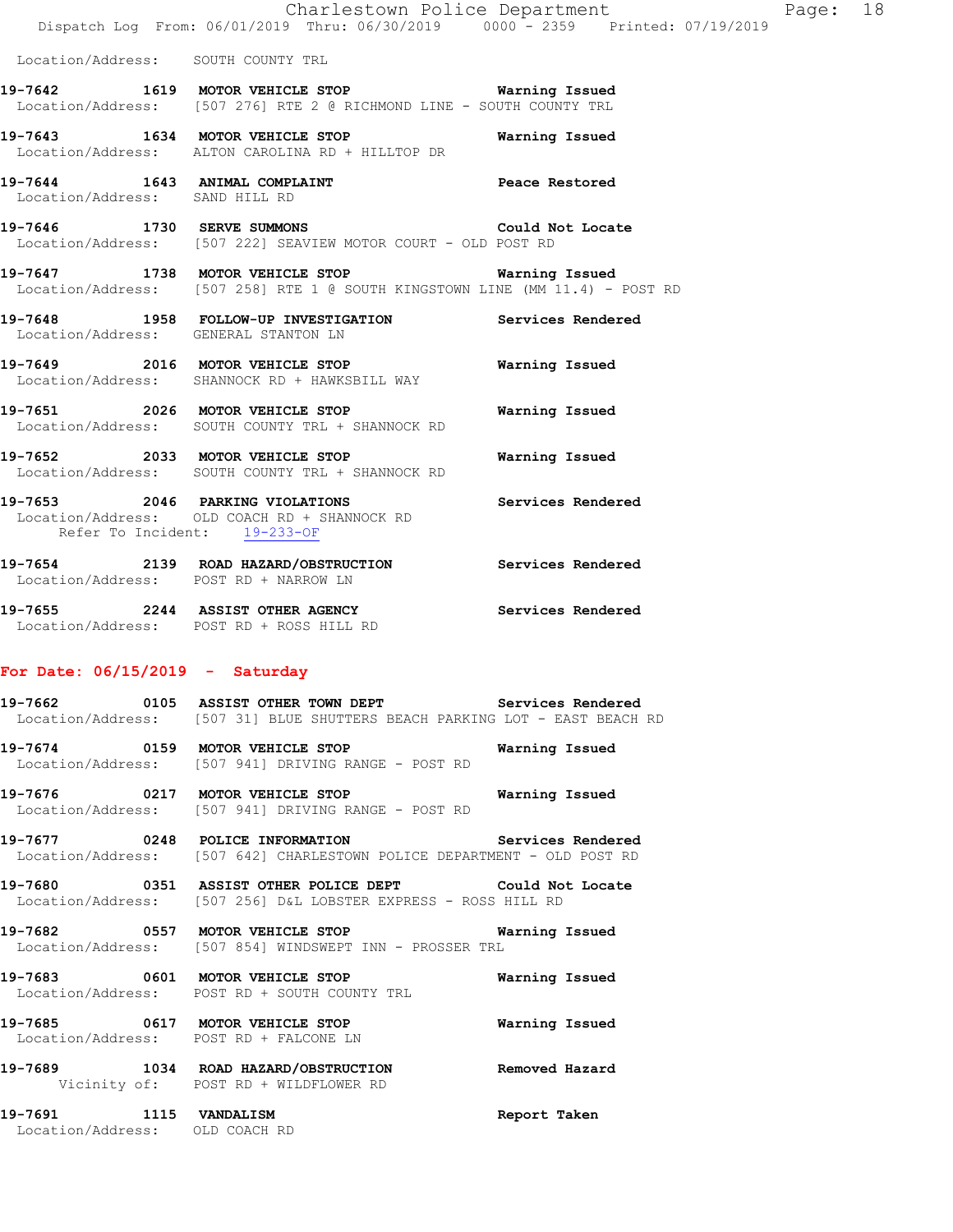|                                    | Dispatch Log From: 06/01/2019 Thru: 06/30/2019 0000 - 2359 Printed: 07/19/2019                                                 | Charlestown Police Department | Page: 18 |  |
|------------------------------------|--------------------------------------------------------------------------------------------------------------------------------|-------------------------------|----------|--|
| Location/Address: SOUTH COUNTY TRL |                                                                                                                                |                               |          |  |
|                                    | 19-7642 1619 MOTOR VEHICLE STOP Warning Issued<br>Location/Address: [507 276] RTE 2 @ RICHMOND LINE - SOUTH COUNTY TRL         |                               |          |  |
|                                    | 19-7643 1634 MOTOR VEHICLE STOP<br>Location/Address: ALTON CAROLINA RD + HILLTOP DR                                            | Warning Issued                |          |  |
| Location/Address: SAND HILL RD     | 19-7644 1643 ANIMAL COMPLAINT THE Peace Restored                                                                               |                               |          |  |
|                                    | 19-7646 1730 SERVE SUMMONS Could Not Locate<br>Location/Address: [507 222] SEAVIEW MOTOR COURT - OLD POST RD                   |                               |          |  |
|                                    | 19-7647 1738 MOTOR VEHICLE STOP Warning Issued<br>Location/Address: [507 258] RTE 1 @ SOUTH KINGSTOWN LINE (MM 11.4) - POST RD |                               |          |  |
|                                    | 19-7648 1958 FOLLOW-UP INVESTIGATION Services Rendered<br>Location/Address: GENERAL STANTON LN                                 |                               |          |  |
|                                    | 19-7649 2016 MOTOR VEHICLE STOP 6 Warning Issued<br>Location/Address: SHANNOCK RD + HAWKSBILL WAY                              |                               |          |  |
|                                    | 19-7651 2026 MOTOR VEHICLE STOP<br>Location/Address: SOUTH COUNTY TRL + SHANNOCK RD                                            | Warning Issued                |          |  |
|                                    | 19-7652 2033 MOTOR VEHICLE STOP<br>Location/Address: SOUTH COUNTY TRL + SHANNOCK RD                                            | Warning Issued                |          |  |
| Refer To Incident: 19-233-OF       | 19-7653 2046 PARKING VIOLATIONS Services Rendered<br>Location/Address: OLD COACH RD + SHANNOCK RD                              |                               |          |  |
|                                    | 19-7654 2139 ROAD HAZARD/OBSTRUCTION Services Rendered<br>Location/Address: POST RD + NARROW LN                                |                               |          |  |

**19-7655 2244 ASSIST OTHER AGENCY Services Rendered**  Location/Address: POST RD + ROSS HILL RD

# **For Date: 06/15/2019 - Saturday**

|                                                          | 19-7662 		 0105 ASSIST OTHER TOWN DEPT Services Rendered<br>Location/Address: [507 31] BLUE SHUTTERS BEACH PARKING LOT - EAST BEACH RD |              |
|----------------------------------------------------------|----------------------------------------------------------------------------------------------------------------------------------------|--------------|
|                                                          | 19-7674 0159 MOTOR VEHICLE STOP <b>WATER</b> Warning Issued<br>Location/Address: [507 941] DRIVING RANGE - POST RD                     |              |
|                                                          | 19-7676 0217 MOTOR VEHICLE STOP 6 Warning Issued<br>Location/Address: [507 941] DRIVING RANGE - POST RD                                |              |
|                                                          | 19-7677 0248 POLICE INFORMATION Services Rendered<br>Location/Address: [507 642] CHARLESTOWN POLICE DEPARTMENT - OLD POST RD           |              |
|                                                          | 19-7680 0351 ASSIST OTHER POLICE DEPT Could Not Locate<br>Location/Address: [507 256] D&L LOBSTER EXPRESS - ROSS HILL RD               |              |
|                                                          | 19-7682 6557 MOTOR VEHICLE STOP 1997 Warning Issued<br>Location/Address: [507 854] WINDSWEPT INN - PROSSER TRL                         |              |
|                                                          | Location/Address: POST RD + SOUTH COUNTY TRL                                                                                           |              |
| Location/Address: POST RD + FALCONE LN                   | 19-7685 0617 MOTOR VEHICLE STOP 6 Warning Issued                                                                                       |              |
| Vicinity of: POST RD + WILDFLOWER RD                     | 19-7689 1034 ROAD HAZARD/OBSTRUCTION Removed Hazard                                                                                    |              |
| 19-7691 1115 VANDALISM<br>Location/Address: OLD COACH RD |                                                                                                                                        | Report Taken |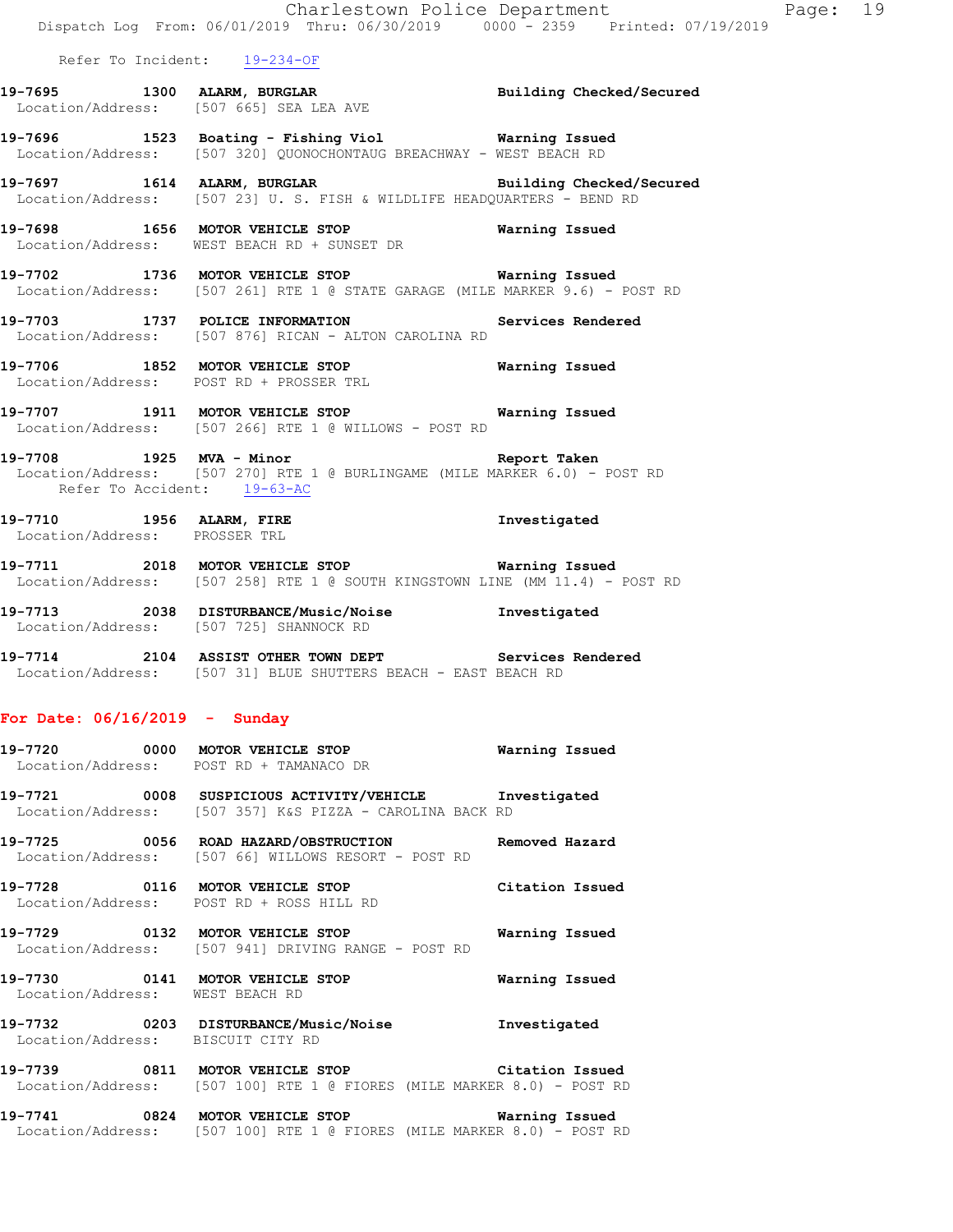|                                   | Charlestown Police Department The Page: 19<br>Dispatch Log From: 06/01/2019 Thru: 06/30/2019 0000 - 2359 Printed: 07/19/2019     |                 |  |
|-----------------------------------|----------------------------------------------------------------------------------------------------------------------------------|-----------------|--|
| Refer To Incident: 19-234-OF      |                                                                                                                                  |                 |  |
|                                   | 19-7695 1300 ALARM, BURGLAR BURGLAR Building Checked/Secured Location/Address: [507 665] SEA LEA AVE                             |                 |  |
|                                   | 19-7696 1523 Boating - Fishing Viol Narning Issued<br>Location/Address: [507 320] QUONOCHONTAUG BREACHWAY - WEST BEACH RD        |                 |  |
|                                   | 19-7697 1614 ALARM, BURGLAR Building Checked/Secured<br>Location/Address: [507 23] U.S. FISH & WILDLIFE HEADQUARTERS - BEND RD   |                 |  |
|                                   | 19-7698 1656 MOTOR VEHICLE STOP 19-7698 Warning Issued<br>Location/Address: WEST BEACH RD + SUNSET DR                            |                 |  |
|                                   | 19-7702 1736 MOTOR VEHICLE STOP 6 Warning Issued<br>Location/Address: [507 261] RTE 1 @ STATE GARAGE (MILE MARKER 9.6) - POST RD |                 |  |
|                                   | 19-7703 1737 POLICE INFORMATION Services Rendered<br>Location/Address: [507 876] RICAN - ALTON CAROLINA RD                       |                 |  |
|                                   | 19-7706 1852 MOTOR VEHICLE STOP Warning Issued<br>Location/Address: POST RD + PROSSER TRL                                        |                 |  |
|                                   | 19-7707 1911 MOTOR VEHICLE STOP <b>Warning Issued</b><br>Location/Address: [507 266] RTE 1 @ WILLOWS - POST RD                   |                 |  |
| Refer To Accident: 19-63-AC       | 19-7708 1925 MVA - Minor Number 2014 Report Taken<br>Location/Address: [507 270] RTE 1 @ BURLINGAME (MILE MARKER 6.0) - POST RD  |                 |  |
| Location/Address: PROSSER TRL     | 19-7710 1956 ALARM, FIRE 19-7710                                                                                                 |                 |  |
|                                   | 19-7711 2018 MOTOR VEHICLE STOP 6 Warning Issued<br>Location/Address: [507 258] RTE 1 @ SOUTH KINGSTOWN LINE (MM 11.4) - POST RD |                 |  |
|                                   | 19-7713 2038 DISTURBANCE/Music/Noise Investigated<br>Location/Address: [507 725] SHANNOCK RD                                     |                 |  |
|                                   | 19-7714 2104 ASSIST OTHER TOWN DEPT Services Rendered<br>Location/Address: [507 31] BLUE SHUTTERS BEACH - EAST BEACH RD          |                 |  |
| For Date: $06/16/2019$ - Sunday   |                                                                                                                                  |                 |  |
|                                   | 19-7720 0000 MOTOR VEHICLE STOP 6 Warning Issued<br>Location/Address: POST RD + TAMANACO DR                                      |                 |  |
|                                   | 19-7721 0008 SUSPICIOUS ACTIVITY/VEHICLE Investigated<br>Location/Address: [507 357] K&S PIZZA - CAROLINA BACK RD                |                 |  |
|                                   | 19-7725 0056 ROAD HAZARD/OBSTRUCTION Removed Hazard<br>Location/Address: [507 66] WILLOWS RESORT - POST RD                       |                 |  |
|                                   | 19-7728 0116 MOTOR VEHICLE STOP<br>Location/Address: POST RD + ROSS HILL RD                                                      | Citation Issued |  |
|                                   | 19-7729 0132 MOTOR VEHICLE STOP<br>Location/Address: [507 941] DRIVING RANGE - POST RD                                           | Warning Issued  |  |
| Location/Address: WEST BEACH RD   | 19-7730 0141 MOTOR VEHICLE STOP                                                                                                  | Warning Issued  |  |
| Location/Address: BISCUIT CITY RD | 19-7732 0203 DISTURBANCE/Music/Noise Investigated                                                                                |                 |  |
|                                   | 19-7739 0811 MOTOR VEHICLE STOP Citation Issued<br>Location/Address: [507 100] RTE 1 @ FIORES (MILE MARKER 8.0) - POST RD        |                 |  |
|                                   | 19-7741 0824 MOTOR VEHICLE STOP 6 Warning Issued                                                                                 |                 |  |

Location/Address: [507 100] RTE 1 @ FIORES (MILE MARKER 8.0) - POST RD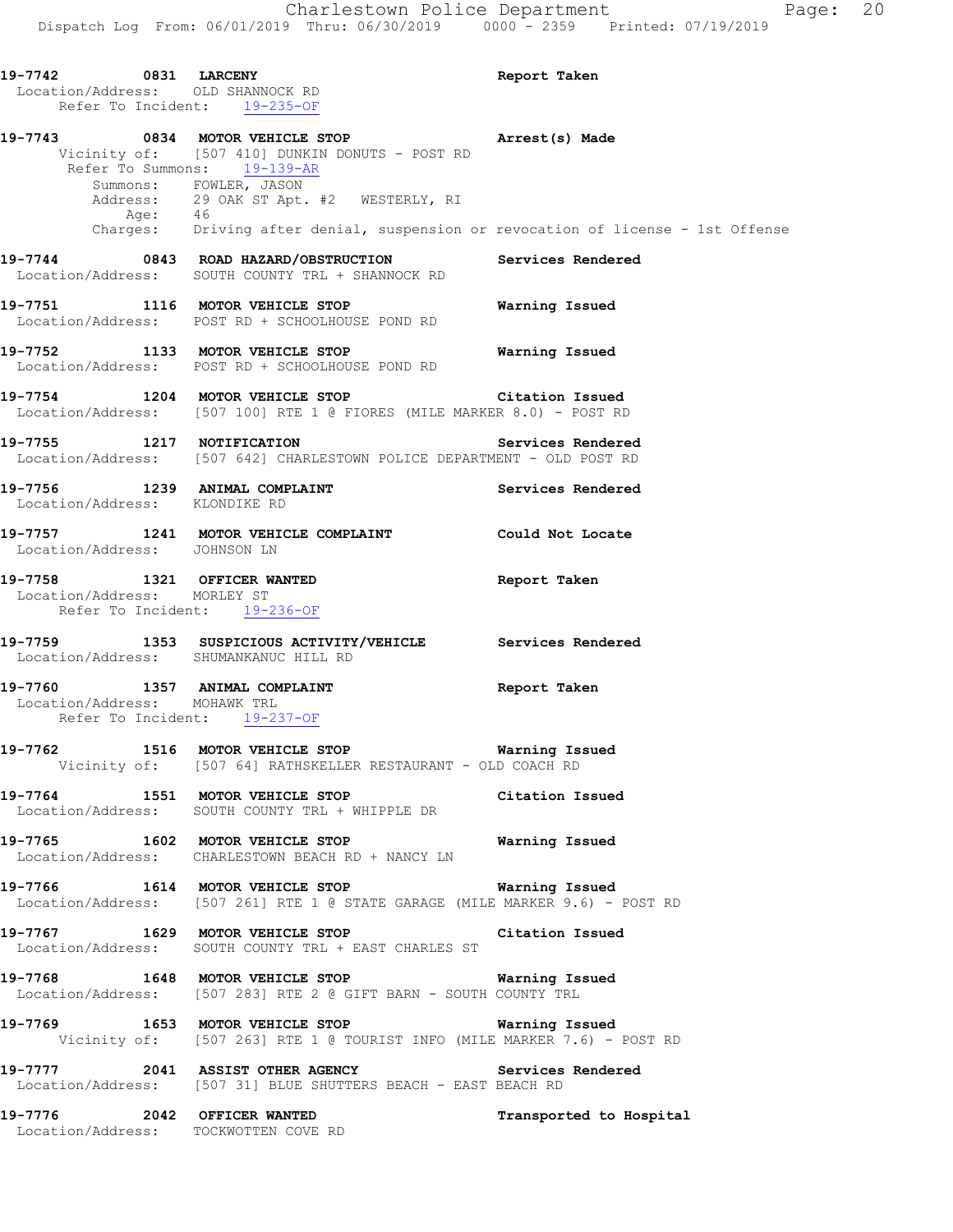**19-7742 0831 LARCENY Report Taken**  Location/Address: OLD SHANNOCK RD Refer To Incident: 19-235-OF **19-7743 0834 MOTOR VEHICLE STOP Arrest(s) Made**  Vicinity of: [507 410] DUNKIN DONUTS - POST RD Refer To Summons: 19-139-AR Summons: FOWLER, JASON Address: 29 OAK ST Apt. #2 WESTERLY, RI Age: 46 Charges: Driving after denial, suspension or revocation of license - 1st Offense **19-7744 0843 ROAD HAZARD/OBSTRUCTION Services Rendered**  Location/Address: SOUTH COUNTY TRL + SHANNOCK RD **19-7751 1116 MOTOR VEHICLE STOP Warning Issued**  Location/Address: POST RD + SCHOOLHOUSE POND RD **19-7752 1133 MOTOR VEHICLE STOP Warning Issued**  Location/Address: POST RD + SCHOOLHOUSE POND RD **19-7754 1204 MOTOR VEHICLE STOP Citation Issued**  Location/Address: [507 100] RTE 1 @ FIORES (MILE MARKER 8.0) - POST RD **19-7755 1217 NOTIFICATION Services Rendered**  Location/Address: [507 642] CHARLESTOWN POLICE DEPARTMENT - OLD POST RD 19-7756 1239 ANIMAL COMPLAINT **Services Rendered**  Location/Address: KLONDIKE RD **19-7757 1241 MOTOR VEHICLE COMPLAINT Could Not Locate**  Location/Address: JOHNSON LN **19-7758 1321 OFFICER WANTED Report Taken**  Location/Address: MORLEY ST Refer To Incident: 19-236-OF **19-7759 1353 SUSPICIOUS ACTIVITY/VEHICLE Services Rendered**  Location/Address: SHUMANKANUC HILL RD **19-7760 1357 ANIMAL COMPLAINT Report Taken**  Location/Address: MOHAWK TRL Refer To Incident: 19-237-OF **19-7762 1516 MOTOR VEHICLE STOP Warning Issued**  Vicinity of: [507 64] RATHSKELLER RESTAURANT - OLD COACH RD **19-7764 1551 MOTOR VEHICLE STOP Citation Issued**  Location/Address: SOUTH COUNTY TRL + WHIPPLE DR **19-7765 1602 MOTOR VEHICLE STOP Warning Issued**  Location/Address: CHARLESTOWN BEACH RD + NANCY LN **19-7766 1614 MOTOR VEHICLE STOP Warning Issued**  Location/Address: [507 261] RTE 1 @ STATE GARAGE (MILE MARKER 9.6) - POST RD **19-7767 1629 MOTOR VEHICLE STOP Citation Issued**  Location/Address: SOUTH COUNTY TRL + EAST CHARLES ST **19-7768 1648 MOTOR VEHICLE STOP Warning Issued**  Location/Address: [507 283] RTE 2 @ GIFT BARN - SOUTH COUNTY TRL **19-7769 1653 MOTOR VEHICLE STOP Warning Issued**  Vicinity of: [507 263] RTE 1 @ TOURIST INFO (MILE MARKER 7.6) - POST RD **19-7777 2041 ASSIST OTHER AGENCY Services Rendered**  Location/Address: [507 31] BLUE SHUTTERS BEACH - EAST BEACH RD **19-7776 2042 OFFICER WANTED Transported to Hospital**  Location/Address: TOCKWOTTEN COVE RD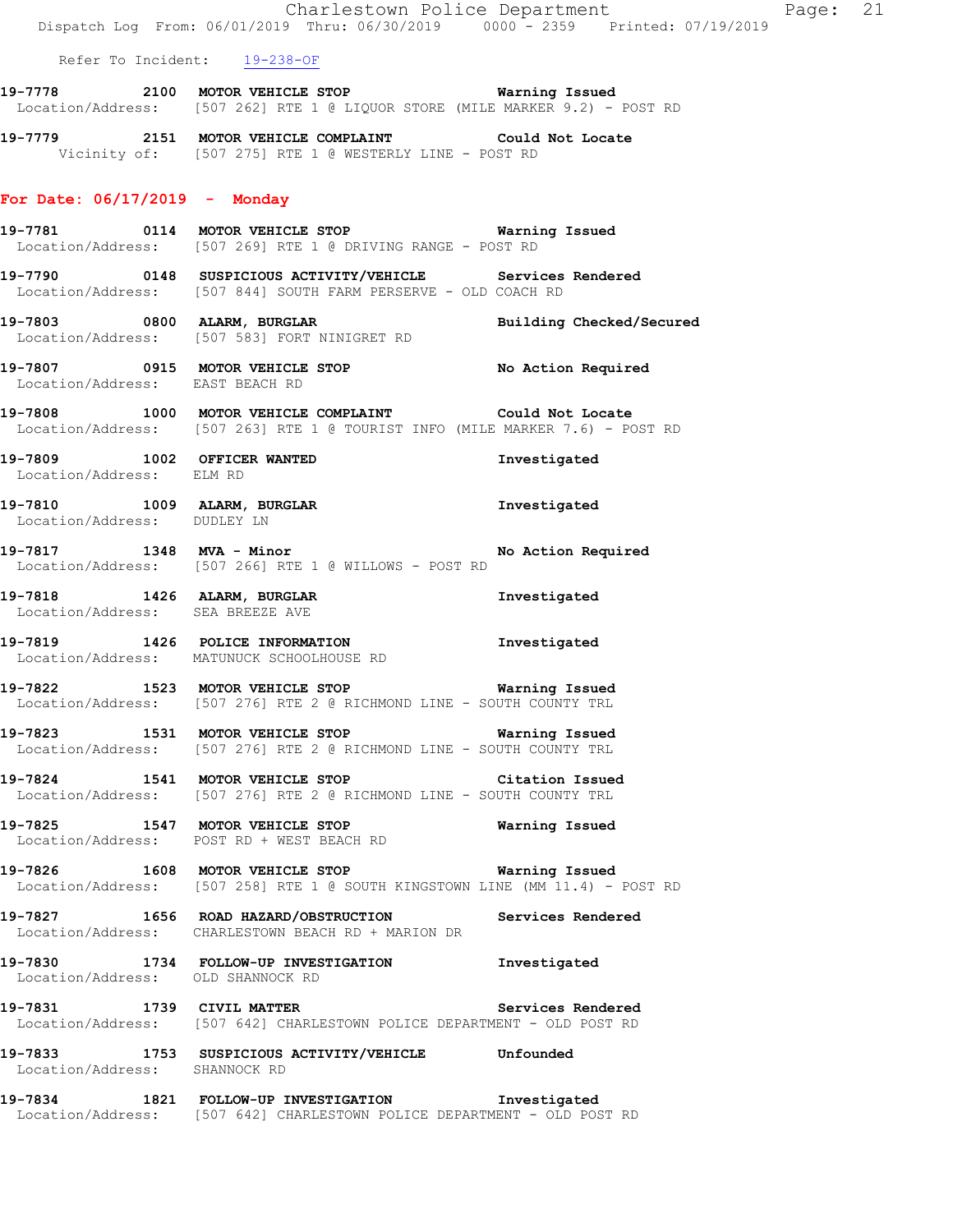Charlestown Police Department Fage: 21 Dispatch Log From: 06/01/2019 Thru: 06/30/2019 0000 - 2359 Printed: 07/19/2019 Refer To Incident: 19-238-OF **19-7778 2100 MOTOR VEHICLE STOP Warning Issued**  Location/Address: [507 262] RTE 1 @ LIQUOR STORE (MILE MARKER 9.2) - POST RD **19-7779 2151 MOTOR VEHICLE COMPLAINT Could Not Locate**  Vicinity of: [507 275] RTE 1 @ WESTERLY LINE - POST RD **For Date: 06/17/2019 - Monday 19-7781 0114 MOTOR VEHICLE STOP Warning Issued**  Location/Address: [507 269] RTE 1 @ DRIVING RANGE - POST RD **19-7790 0148 SUSPICIOUS ACTIVITY/VEHICLE Services Rendered**  Location/Address: [507 844] SOUTH FARM PERSERVE - OLD COACH RD **19-7803 0800 ALARM, BURGLAR Building Checked/Secured**  Location/Address: [507 583] FORT NINIGRET RD **19-7807 0915 MOTOR VEHICLE STOP No Action Required**  Location/Address: EAST BEACH RD **19-7808 1000 MOTOR VEHICLE COMPLAINT Could Not Locate**  Location/Address: [507 263] RTE 1 @ TOURIST INFO (MILE MARKER 7.6) - POST RD **19-7809 1002 OFFICER WANTED Investigated**  Location/Address: ELM RD **19-7810 1009 ALARM, BURGLAR Investigated**  Location/Address: DUDLEY LN 19-7817 1348 MVA - Minor **No Action Required**  Location/Address: [507 266] RTE 1 @ WILLOWS - POST RD **19-7818 1426 ALARM, BURGLAR Investigated**  Location/Address: SEA BREEZE AVE **19-7819 1426 POLICE INFORMATION Investigated**  Location/Address: MATUNUCK SCHOOLHOUSE RD **19-7822 1523 MOTOR VEHICLE STOP Warning Issued**  Location/Address: [507 276] RTE 2 @ RICHMOND LINE - SOUTH COUNTY TRL **19-7823 1531 MOTOR VEHICLE STOP Warning Issued**  Location/Address: [507 276] RTE 2 @ RICHMOND LINE - SOUTH COUNTY TRL **19-7824 1541 MOTOR VEHICLE STOP Citation Issued**  Location/Address: [507 276] RTE 2 @ RICHMOND LINE - SOUTH COUNTY TRL **19-7825 1547 MOTOR VEHICLE STOP Warning Issued**  Location/Address: POST RD + WEST BEACH RD **19-7826 1608 MOTOR VEHICLE STOP Warning Issued**  Location/Address: [507 258] RTE 1 @ SOUTH KINGSTOWN LINE (MM 11.4) - POST RD **19-7827 1656 ROAD HAZARD/OBSTRUCTION Services Rendered**  Location/Address: CHARLESTOWN BEACH RD + MARION DR **19-7830 1734 FOLLOW-UP INVESTIGATION Investigated**  Location/Address: OLD SHANNOCK RD **19-7831 1739 CIVIL MATTER Services Rendered**  Location/Address: [507 642] CHARLESTOWN POLICE DEPARTMENT - OLD POST RD **19-7833 1753 SUSPICIOUS ACTIVITY/VEHICLE Unfounded**  Location/Address: SHANNOCK RD **19-7834 1821 FOLLOW-UP INVESTIGATION Investigated**  Location/Address: [507 642] CHARLESTOWN POLICE DEPARTMENT - OLD POST RD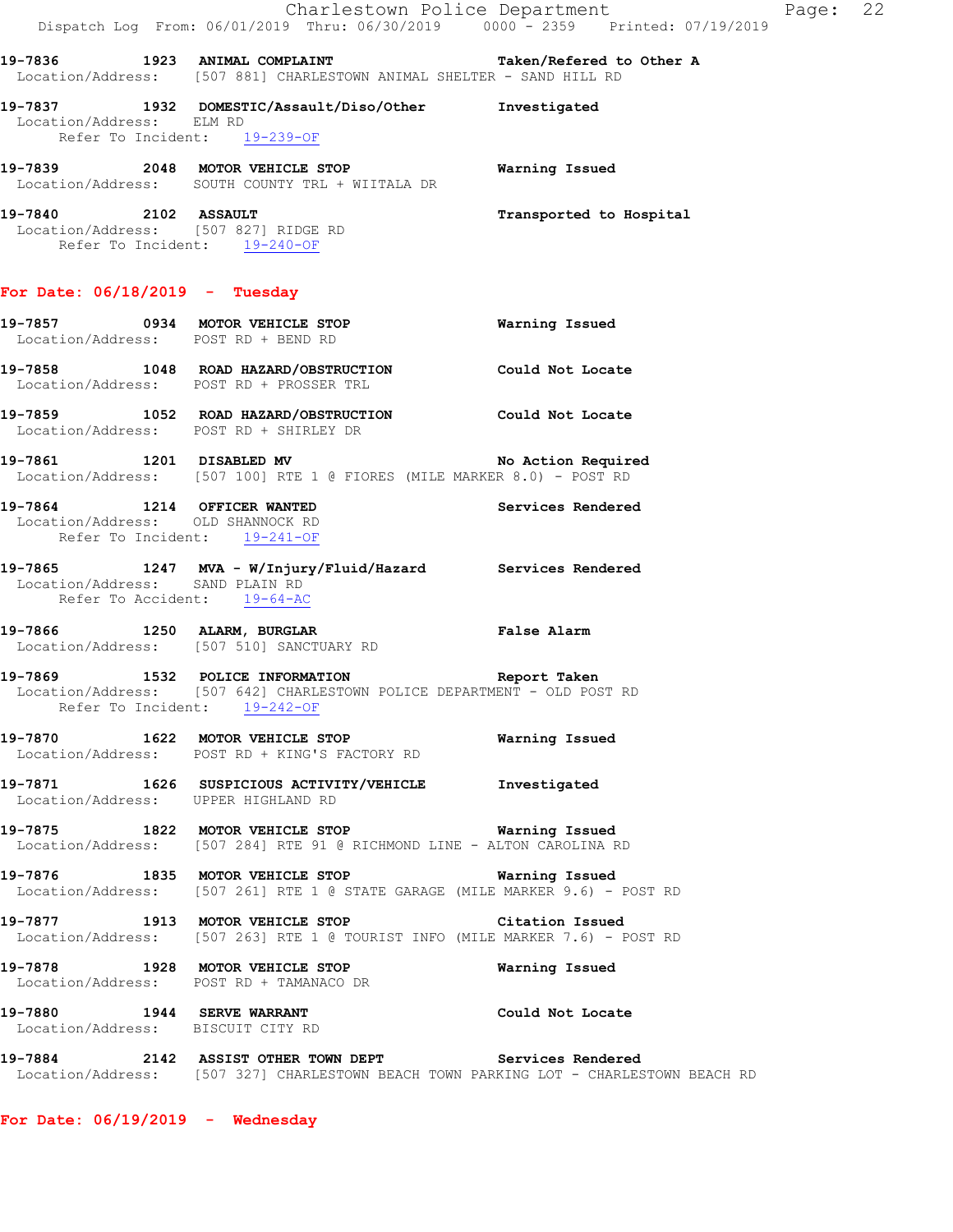|                                                                                                  | Dispatch Log From: 06/01/2019 Thru: 06/30/2019 0000 - 2359 Printed: 07/19/2019                                                                 | Charlestown Police Department | Page: 22 |  |
|--------------------------------------------------------------------------------------------------|------------------------------------------------------------------------------------------------------------------------------------------------|-------------------------------|----------|--|
|                                                                                                  | 19-7836 1923 ANIMAL COMPLAINT <b>19-7836</b> Taken/Refered to Other A<br>Location/Address: [507 881] CHARLESTOWN ANIMAL SHELTER - SAND HILL RD |                               |          |  |
| Location/Address: ELM RD                                                                         | 19-7837 1932 DOMESTIC/Assault/Diso/Other Investigated<br>Refer To Incident: 19-239-OF                                                          |                               |          |  |
|                                                                                                  | 19-7839 2048 MOTOR VEHICLE STOP<br>Location/Address: SOUTH COUNTY TRL + WIITALA DR                                                             | Warning Issued                |          |  |
| 19-7840 2102 ASSAULT<br>Refer To Incident: 19-240-OF                                             | Location/Address: [507 827] RIDGE RD                                                                                                           | Transported to Hospital       |          |  |
| For Date: 06/18/2019 - Tuesday                                                                   |                                                                                                                                                |                               |          |  |
| Location/Address: POST RD + BEND RD                                                              |                                                                                                                                                |                               |          |  |
|                                                                                                  | 19-7858 1048 ROAD HAZARD/OBSTRUCTION Could Not Locate<br>Location/Address: POST RD + PROSSER TRL                                               |                               |          |  |
|                                                                                                  | 19-7859 1052 ROAD HAZARD/OBSTRUCTION Could Not Locate<br>Location/Address: POST RD + SHIRLEY DR                                                |                               |          |  |
|                                                                                                  | 19-7861 1201 DISABLED MV 19-7861 No Action Required<br>Location/Address: [507 100] RTE 1 @ FIORES (MILE MARKER 8.0) - POST RD                  |                               |          |  |
| 19-7864 1214 OFFICER WANTED<br>Location/Address: OLD SHANNOCK RD<br>Refer To Incident: 19-241-OF |                                                                                                                                                | Services Rendered             |          |  |
| Location/Address: SAND PLAIN RD<br>Refer To Accident: 19-64-AC                                   | 19-7865 1247 MVA - W/Injury/Fluid/Hazard Services Rendered                                                                                     |                               |          |  |
|                                                                                                  | 19-7866 1250 ALARM, BURGLAR 19-7866 Palse Alarm<br>Location/Address: [507 510] SANCTUARY RD                                                    |                               |          |  |
| 19–7869                                                                                          | 1532 POLICE INFORMATION<br>Location/Address: [507 642] CHARLESTOWN POLICE DEPARTMENT - OLD POST RD<br>Refer To Incident: 19-242-OF             | Report Taken                  |          |  |
|                                                                                                  | 19-7870 1622 MOTOR VEHICLE STOP<br>Location/Address: POST RD + KING'S FACTORY RD                                                               | Warning Issued                |          |  |
| Location/Address: UPPER HIGHLAND RD                                                              | 19-7871 1626 SUSPICIOUS ACTIVITY/VEHICLE Investigated                                                                                          |                               |          |  |
|                                                                                                  | 19-7875 1822 MOTOR VEHICLE STOP <b>Warning Issued</b><br>Location/Address: [507 284] RTE 91 @ RICHMOND LINE - ALTON CAROLINA RD                |                               |          |  |
|                                                                                                  | 19-7876 1835 MOTOR VEHICLE STOP <b>Warning Issued</b><br>Location/Address: [507 261] RTE 1 @ STATE GARAGE (MILE MARKER 9.6) - POST RD          |                               |          |  |
|                                                                                                  | 19-7877 1913 MOTOR VEHICLE STOP<br>Location/Address: [507 263] RTE 1 @ TOURIST INFO (MILE MARKER 7.6) - POST RD                                | Citation Issued               |          |  |
|                                                                                                  | 19-7878 1928 MOTOR VEHICLE STOP<br>Location/Address: POST RD + TAMANACO DR                                                                     | Warning Issued                |          |  |
| Location/Address: BISCUIT CITY RD                                                                | 19-7880 1944 SERVE WARRANT                                                                                                                     | Could Not Locate              |          |  |
|                                                                                                  | 19-7884 2142 ASSIST OTHER TOWN DEPT Services Rendered<br>Location/Address: [507 327] CHARLESTOWN BEACH TOWN PARKING LOT - CHARLESTOWN BEACH RD |                               |          |  |
|                                                                                                  |                                                                                                                                                |                               |          |  |

**For Date: 06/19/2019 - Wednesday**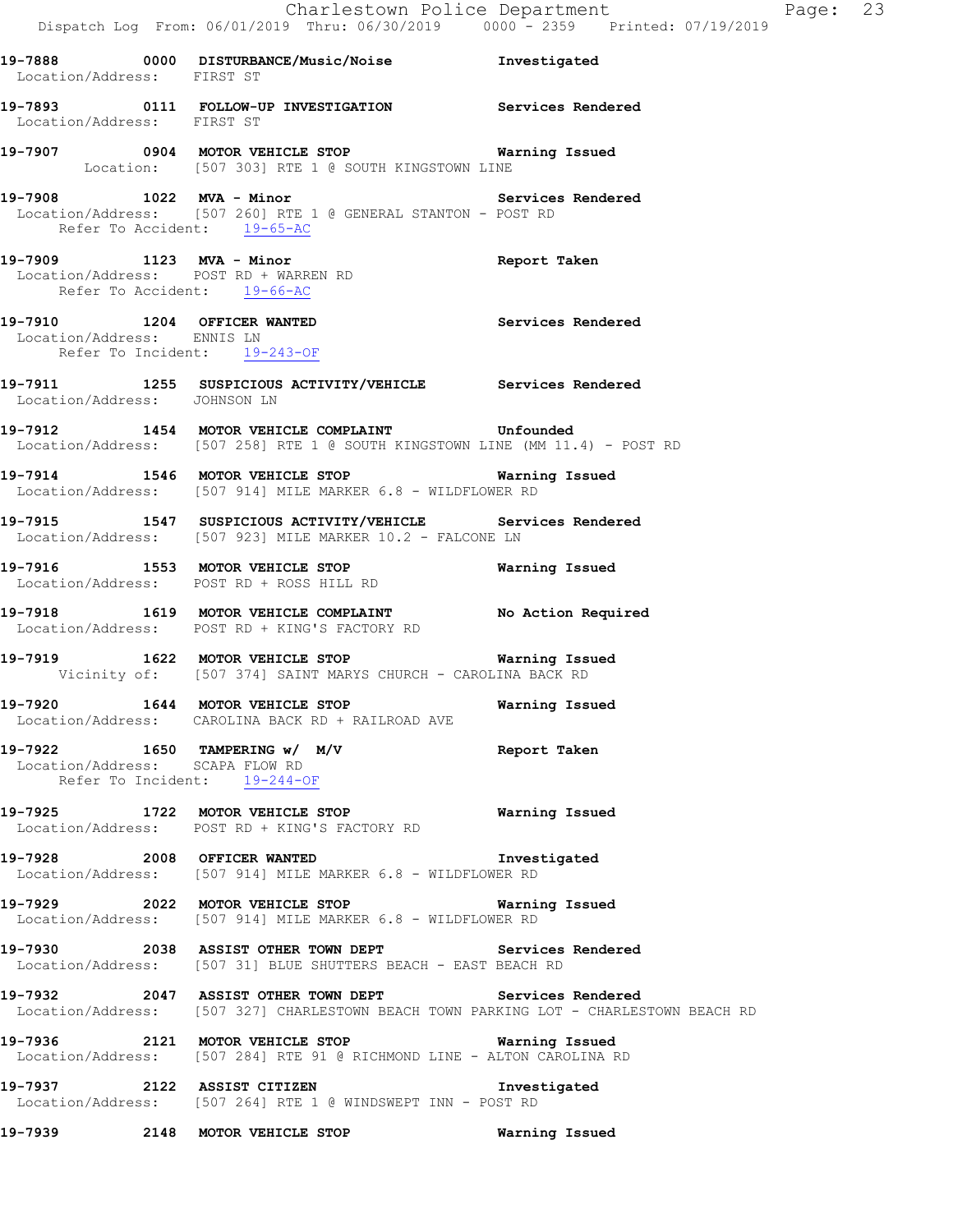**19-7888 0000 DISTURBANCE/Music/Noise Investigated**  Location/Address: FIRST ST **19-7893 0111 FOLLOW-UP INVESTIGATION Services Rendered**  Location/Address: FIRST ST **19-7907 0904 MOTOR VEHICLE STOP Warning Issued**  Location: [507 303] RTE 1 @ SOUTH KINGSTOWN LINE 19-7908 1022 MVA - Minor **1999 11 Services Rendered** Location/Address: [507 260] RTE 1 @ GENERAL STANTON - POST RD<br>Refer To Accident: 19-65-AC Refer To Accident: **19-7909 1123 MVA - Minor Report Taken**  Location/Address: POST RD + WARREN RD Refer To Accident: 19-66-AC **19-7910 1204 OFFICER WANTED Services Rendered**  Location/Address: ENNIS LN Refer To Incident: 19-243-OF **19-7911 1255 SUSPICIOUS ACTIVITY/VEHICLE Services Rendered**  Location/Address: JOHNSON LN **19-7912 1454 MOTOR VEHICLE COMPLAINT Unfounded**  Location/Address: [507 258] RTE 1 @ SOUTH KINGSTOWN LINE (MM 11.4) - POST RD **19-7914 1546 MOTOR VEHICLE STOP Warning Issued**  Location/Address: [507 914] MILE MARKER 6.8 - WILDFLOWER RD **19-7915 1547 SUSPICIOUS ACTIVITY/VEHICLE Services Rendered**  Location/Address: [507 923] MILE MARKER 10.2 - FALCONE LN **19-7916 1553 MOTOR VEHICLE STOP Warning Issued**  Location/Address: POST RD + ROSS HILL RD **19-7918 1619 MOTOR VEHICLE COMPLAINT No Action Required**  Location/Address: POST RD + KING'S FACTORY RD **19-7919 1622 MOTOR VEHICLE STOP Warning Issued**  Vicinity of: [507 374] SAINT MARYS CHURCH - CAROLINA BACK RD **19-7920 1644 MOTOR VEHICLE STOP Warning Issued**  Location/Address: CAROLINA BACK RD + RAILROAD AVE **19-7922 1650 TAMPERING w/ M/V Report Taken**  Location/Address: SCAPA FLOW RD Refer To Incident: 19-244-OF **19-7925 1722 MOTOR VEHICLE STOP Warning Issued**  Location/Address: POST RD + KING'S FACTORY RD **19-7928 2008 OFFICER WANTED Investigated**  Location/Address: [507 914] MILE MARKER 6.8 - WILDFLOWER RD **19-7929 2022 MOTOR VEHICLE STOP Warning Issued**  Location/Address: [507 914] MILE MARKER 6.8 - WILDFLOWER RD **19-7930 2038 ASSIST OTHER TOWN DEPT Services Rendered**  Location/Address: [507 31] BLUE SHUTTERS BEACH - EAST BEACH RD **19-7932 2047 ASSIST OTHER TOWN DEPT Services Rendered**  Location/Address: [507 327] CHARLESTOWN BEACH TOWN PARKING LOT - CHARLESTOWN BEACH RD **19-7936 2121 MOTOR VEHICLE STOP Warning Issued**  Location/Address: [507 284] RTE 91 @ RICHMOND LINE - ALTON CAROLINA RD

Dispatch Log From: 06/01/2019 Thru: 06/30/2019 0000 - 2359 Printed: 07/19/2019

Charlestown Police Department Fage: 23

**19-7937 2122 ASSIST CITIZEN Investigated**  Location/Address: [507 264] RTE 1 @ WINDSWEPT INN - POST RD

**19-7939 2148 MOTOR VEHICLE STOP Warning Issued**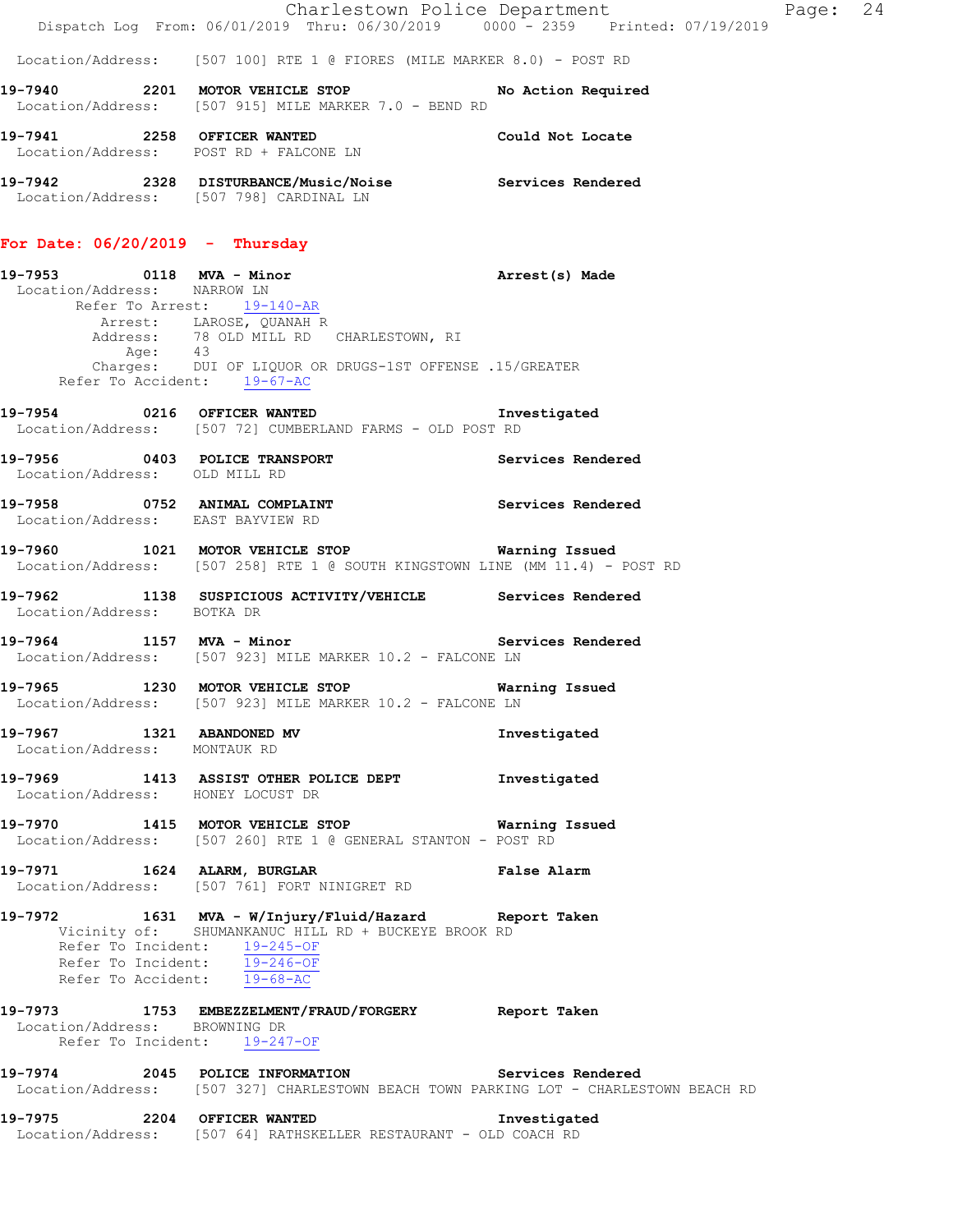Charlestown Police Department Page: 24 Dispatch Log From: 06/01/2019 Thru: 06/30/2019 0000 - 2359 Printed: 07/19/2019

Location/Address: [507 100] RTE 1 @ FIORES (MILE MARKER 8.0) - POST RD

| 19-7940 | 2201 MOTOR VEHICLE STOP<br>Location/Address: [507 915] MILE MARKER 7.0 - BEND RD | No Action Required |
|---------|----------------------------------------------------------------------------------|--------------------|
| 19–7941 | 2258 OFFICER WANTED<br>Location/Address: POST RD + FALCONE LN                    | Could Not Locate   |

**19-7942 2328 DISTURBANCE/Music/Noise Services Rendered**  Location/Address: [507 798] CARDINAL LN

### **For Date: 06/20/2019 - Thursday**

**19-7953 0118 MVA - Minor Arrest(s) Made**  Location/Address: NARROW LN Refer To Arrest: 19-140-AR Arrest: LAROSE, QUANAH R<br>Address: 78 OLD MILL RD 78 OLD MILL RD CHARLESTOWN, RI<br>43 Age: 43 Charges: DUI OF LIQUOR OR DRUGS-1ST OFFENSE .15/GREATER Refer To Accident: 19-67-AC

**19-7954 0216 OFFICER WANTED Investigated**  Location/Address: [507 72] CUMBERLAND FARMS - OLD POST RD

**19-7956 0403 POLICE TRANSPORT Services Rendered**  Location/Address: OLD MILL RD

**19-7958 0752 ANIMAL COMPLAINT Services Rendered**  Location/Address: EAST BAYVIEW RD

**19-7960 1021 MOTOR VEHICLE STOP Warning Issued**  Location/Address: [507 258] RTE 1 @ SOUTH KINGSTOWN LINE (MM 11.4) - POST RD

**19-7962 1138 SUSPICIOUS ACTIVITY/VEHICLE Services Rendered**  Location/Address: BOTKA DR

19-7964 1157 MVA - Minor **Night Services Rendered** Location/Address: [507 923] MILE MARKER 10.2 - FALCONE LN

**19-7965 1230 MOTOR VEHICLE STOP Warning Issued**  Location/Address: [507 923] MILE MARKER 10.2 - FALCONE LN

**19-7967 1321 ABANDONED MV Investigated**  Location/Address: MONTAUK RD

**19-7969 1413 ASSIST OTHER POLICE DEPT Investigated**  Location/Address: HONEY LOCUST DR

**19-7970 1415 MOTOR VEHICLE STOP Warning Issued**  Location/Address: [507 260] RTE 1 @ GENERAL STANTON - POST RD

**19-7971 1624 ALARM, BURGLAR False Alarm**  Location/Address: [507 761] FORT NINIGRET RD

**19-7972 1631 MVA - W/Injury/Fluid/Hazard Report Taken**  Vicinity of: SHUMANKANUC HILL RD + BUCKEYE BROOK RD Refer To Incident:  $\frac{19-245-OF}{19-246-OF}$ Refer To Incident: Refer To Accident: 19-68-AC

### **19-7973 1753 EMBEZZELMENT/FRAUD/FORGERY Report Taken**  Location/Address: BROWNING DR Refer To Incident: 19-247-OF

**19-7974 2045 POLICE INFORMATION Services Rendered**  Location/Address: [507 327] CHARLESTOWN BEACH TOWN PARKING LOT - CHARLESTOWN BEACH RD

**19-7975 2204 OFFICER WANTED Investigated**  Location/Address: [507 64] RATHSKELLER RESTAURANT - OLD COACH RD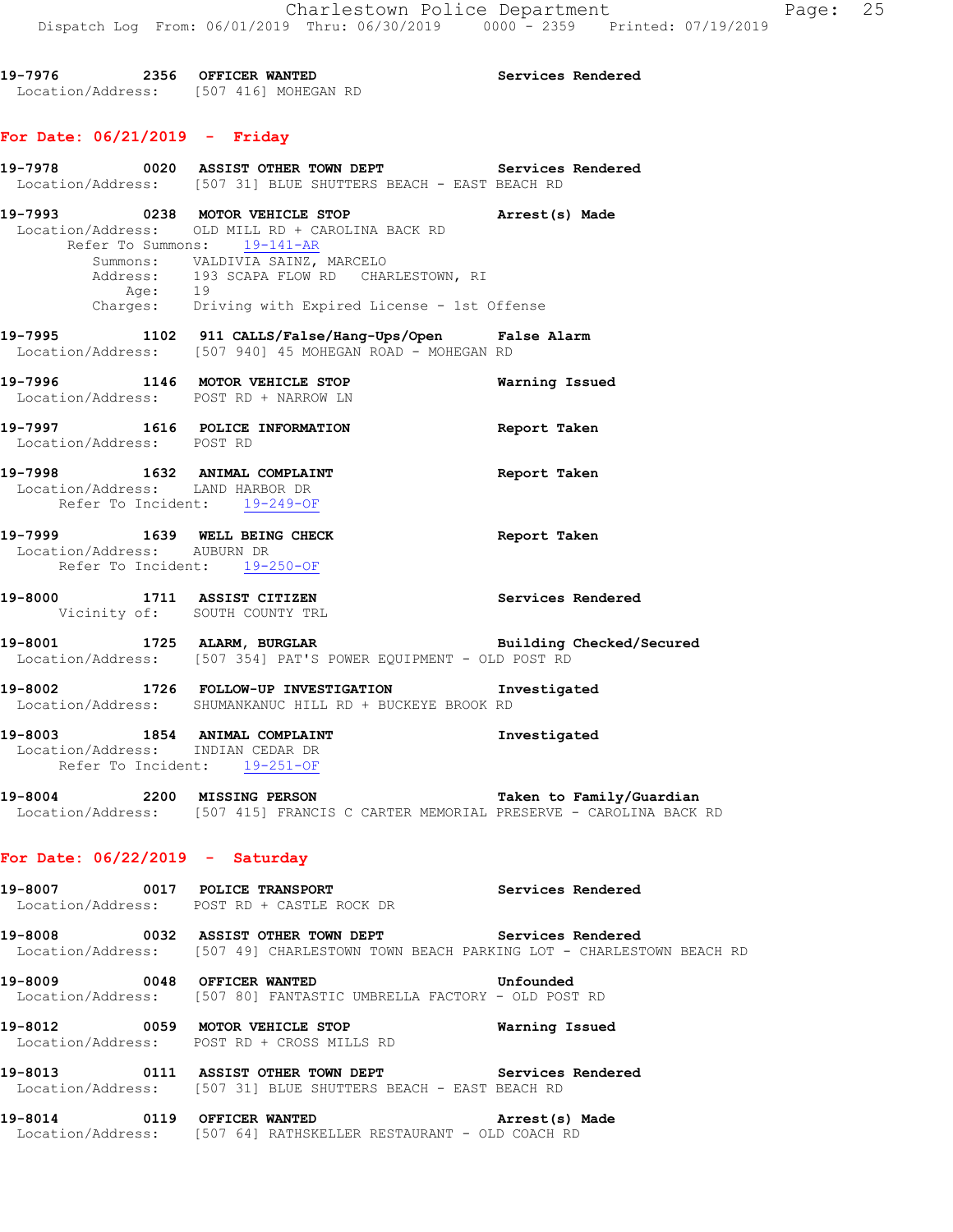**19-7976 2356 OFFICER WANTED Services Rendered**  Location/Address: [507 416] MOHEGAN RD

# **For Date: 06/21/2019 - Friday**

|                                   | 19-7978 6020 ASSIST OTHER TOWN DEPT Services Rendered<br>Location/Address: [507 31] BLUE SHUTTERS BEACH - EAST BEACH RD                          |                   |
|-----------------------------------|--------------------------------------------------------------------------------------------------------------------------------------------------|-------------------|
|                                   | 19-7993 0238 MOTOR VEHICLE STOP<br>Location/Address: OLD MILL RD + CAROLINA BACK RD<br>Refer To Summons: 19-141-AR                               | Arrest(s) Made    |
|                                   | Summons: VALDIVIA SAINZ, MARCELO<br>Address: 193 SCAPA FLOW RD CHARLESTOWN, RI<br>Age: 19<br>Charges: Driving with Expired License - 1st Offense |                   |
|                                   |                                                                                                                                                  |                   |
|                                   | 19-7995 1102 911 CALLS/False/Hang-Ups/Open False Alarm<br>Location/Address: [507 940] 45 MOHEGAN ROAD - MOHEGAN RD                               |                   |
|                                   | 19-7996 1146 MOTOR VEHICLE STOP<br>Location/Address: POST RD + NARROW LN                                                                         | Warning Issued    |
| Location/Address: POST RD         | 19-7997 1616 POLICE INFORMATION<br>Report Taken                                                                                                  |                   |
| Location/Address: LAND HARBOR DR  | 19-7998 1632 ANIMAL COMPLAINT<br>Refer To Incident: 19-249-OF                                                                                    | Report Taken      |
| Location/Address: AUBURN DR       | 19-7999 1639 WELL BEING CHECK<br>Refer To Incident: 19-250-OF                                                                                    | Report Taken      |
|                                   | 19-8000 1711 ASSIST CITIZEN Services Rendered<br>Vicinity of: SOUTH COUNTY TRL                                                                   |                   |
|                                   | 19-8001 1725 ALARM, BURGLAR BURGLAR Building Checked/Secured<br>Location/Address: [507 354] PAT'S POWER EQUIPMENT - OLD POST RD                  |                   |
|                                   | 19-8002 1726 FOLLOW-UP INVESTIGATION Investigated<br>Location/Address: SHUMANKANUC HILL RD + BUCKEYE BROOK RD                                    |                   |
|                                   | 19-8003 1854 ANIMAL COMPLAINT<br>Location/Address: INDIAN CEDAR DR<br>Refer To Incident: 19-251-OF                                               | Investigated      |
|                                   | 19-8004 2200 MISSING PERSON Taken to Family/Guardian<br>Location/Address: [507 415] FRANCIS C CARTER MEMORIAL PRESERVE - CAROLINA BACK RD        |                   |
| For Date: $06/22/2019$ - Saturday |                                                                                                                                                  |                   |
|                                   | 19-8007 0017 POLICE TRANSPORT<br>Location/Address: POST RD + CASTLE ROCK DR                                                                      | Services Rendered |
|                                   | 19-8008 0032 ASSIST OTHER TOWN DEPT Services Rendered<br>Location/Address: [507 49] CHARLESTOWN TOWN BEACH PARKING LOT - CHARLESTOWN BEACH RD    |                   |
|                                   | 19-8009 0048 OFFICER WANTED<br>Location/Address: [507 80] FANTASTIC UMBRELLA FACTORY - OLD POST RD                                               | Unfounded         |
|                                   | 19-8012 0059 MOTOR VEHICLE STOP<br>Location/Address: POST RD + CROSS MILLS RD                                                                    | Warning Issued    |
|                                   | 19-8013 0111 ASSIST OTHER TOWN DEPT Services Rendered<br>Location/Address: [507 31] BLUE SHUTTERS BEACH - EAST BEACH RD                          |                   |
|                                   | 19-8014 0119 OFFICER WANTED<br>Location/Address: [507 64] RATHSKELLER RESTAURANT - OLD COACH RD                                                  | Arrest(s) Made    |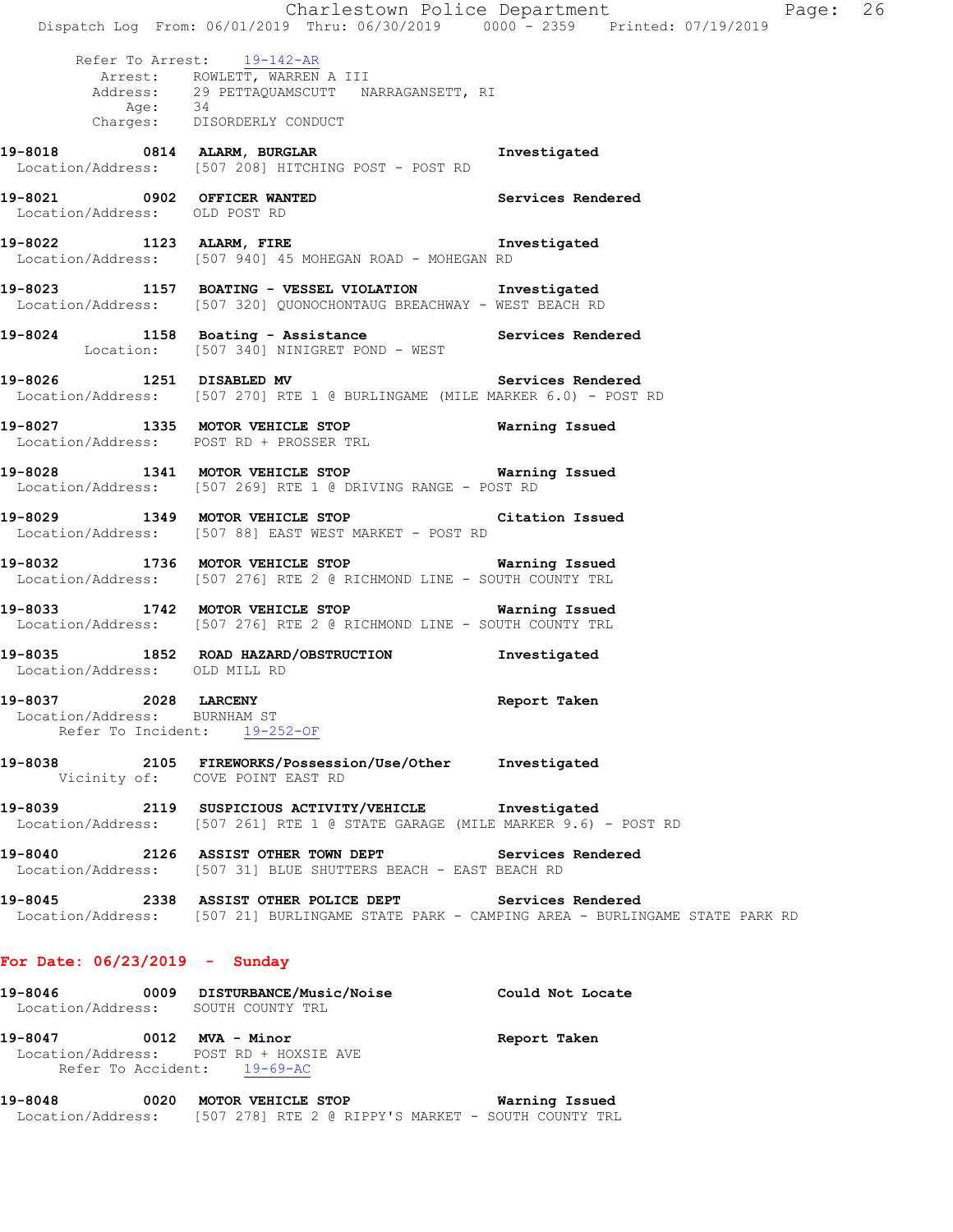Charlestown Police Department Fage: 26 Dispatch Log From: 06/01/2019 Thru: 06/30/2019 0000 - 2359 Printed: 07/19/2019 Refer To Arrest: 19-142-AR Arrest: ROWLETT, WARREN A III Address: 29 PETTAQUAMSCUTT NARRAGANSETT, RI<br>Age: 34 Age: 34 Charges: DISORDERLY CONDUCT **19-8018 0814 ALARM, BURGLAR Investigated**  Location/Address: [507 208] HITCHING POST - POST RD **19-8021 0902 OFFICER WANTED Services Rendered**  Location/Address: OLD POST RD **19-8022 1123 ALARM, FIRE Investigated**  Location/Address: [507 940] 45 MOHEGAN ROAD - MOHEGAN RD **19-8023 1157 BOATING - VESSEL VIOLATION Investigated**  Location/Address: [507 320] QUONOCHONTAUG BREACHWAY - WEST BEACH RD **19-8024 1158 Boating - Assistance Services Rendered**  Location: [507 340] NINIGRET POND - WEST **19-8026 1251 DISABLED MV Services Rendered**  Location/Address: [507 270] RTE 1 @ BURLINGAME (MILE MARKER 6.0) - POST RD **19-8027 1335 MOTOR VEHICLE STOP Warning Issued**  Location/Address: POST RD + PROSSER TRL **19-8028 1341 MOTOR VEHICLE STOP Warning Issued**  Location/Address: [507 269] RTE 1 @ DRIVING RANGE - POST RD **19-8029 1349 MOTOR VEHICLE STOP Citation Issued**  Location/Address: [507 88] EAST WEST MARKET - POST RD **19-8032 1736 MOTOR VEHICLE STOP Warning Issued**  Location/Address: [507 276] RTE 2 @ RICHMOND LINE - SOUTH COUNTY TRL **19-8033 1742 MOTOR VEHICLE STOP Warning Issued**  Location/Address: [507 276] RTE 2 @ RICHMOND LINE - SOUTH COUNTY TRL **19-8035 1852 ROAD HAZARD/OBSTRUCTION Investigated**  Location/Address: OLD MILL RD **19-8037 2028 LARCENY Report Taken**  Location/Address: BURNHAM ST Refer To Incident: 19-252-OF **19-8038 2105 FIREWORKS/Possession/Use/Other Investigated**  Vicinity of: COVE POINT EAST RD **19-8039 2119 SUSPICIOUS ACTIVITY/VEHICLE Investigated**  Location/Address: [507 261] RTE 1 @ STATE GARAGE (MILE MARKER 9.6) - POST RD **19-8040 2126 ASSIST OTHER TOWN DEPT Services Rendered**  Location/Address: [507 31] BLUE SHUTTERS BEACH - EAST BEACH RD **19-8045 2338 ASSIST OTHER POLICE DEPT Services Rendered**  Location/Address: [507 21] BURLINGAME STATE PARK - CAMPING AREA - BURLINGAME STATE PARK RD **For Date: 06/23/2019 - Sunday 19-8046 0009 DISTURBANCE/Music/Noise Could Not Locate**  Location/Address: SOUTH COUNTY TRL **19-8047 0012 MVA - Minor Report Taken**  Location/Address: POST RD + HOXSIE AVE

**19-8048 0020 MOTOR VEHICLE STOP Warning Issued**  Location/Address: [507 278] RTE 2 @ RIPPY'S MARKET - SOUTH COUNTY TRL

Refer To Accident: 19-69-AC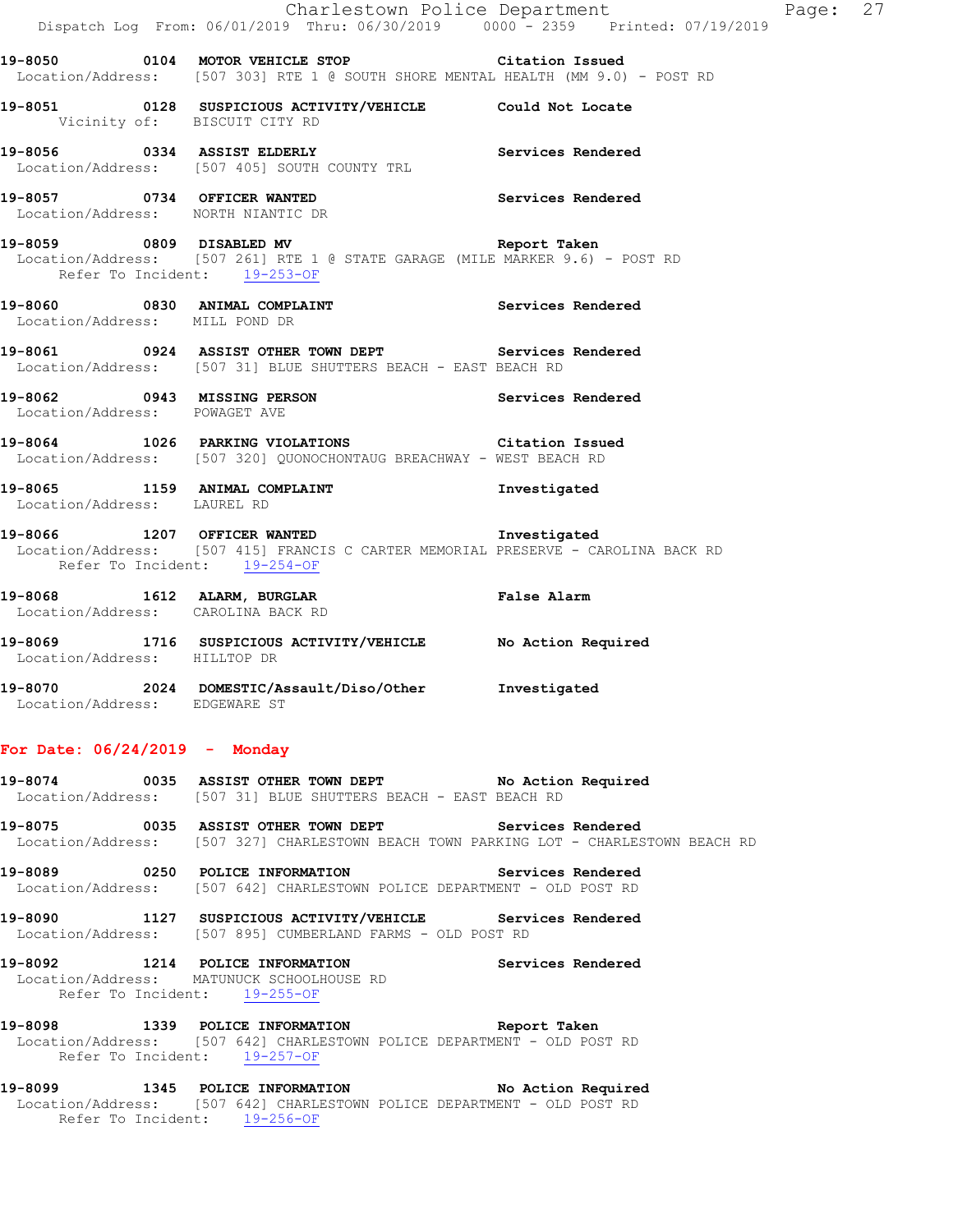|                                | Charlestown Police Department                                                                                                                            |                 |
|--------------------------------|----------------------------------------------------------------------------------------------------------------------------------------------------------|-----------------|
|                                | Dispatch Log From: 06/01/2019 Thru: 06/30/2019 0000 - 2359 Printed: 07/19/2019                                                                           |                 |
|                                | 19-8050 0104 MOTOR VEHICLE STOP Citation Issued<br>Location/Address: [507 303] RTE 1 @ SOUTH SHORE MENTAL HEALTH (MM 9.0) - POST RD                      |                 |
|                                | 19-8051 0128 SUSPICIOUS ACTIVITY/VEHICLE Could Not Locate<br>Vicinity of: BISCUIT CITY RD                                                                |                 |
|                                | 19-8056 0334 ASSIST ELDERLY Services Rendered Location/Address: [507 405] SOUTH COUNTY TRL                                                               |                 |
|                                | 19-8057 0734 OFFICER WANTED<br>Location/Address: NORTH NIANTIC DR<br>Location/Address: NORTH NIANTIC DR                                                  |                 |
|                                | 19-8059 0809 DISABLED MV<br>Location/Address: [507 261] RTE 1 @ STATE GARAGE (MILE MARKER 9.6) - POST RD<br>Refer To Incident: 19-253-OF                 | Report Taken    |
| Location/Address: MILL POND DR | 19-8060 0830 ANIMAL COMPLAINT Services Rendered                                                                                                          |                 |
|                                | 19-8061 0924 ASSIST OTHER TOWN DEPT Services Rendered<br>Location/Address: [507 31] BLUE SHUTTERS BEACH - EAST BEACH RD                                  |                 |
| Location/Address: POWAGET AVE  | 19-8062 0943 MISSING PERSON Services Rendered                                                                                                            |                 |
|                                | 19-8064 1026 PARKING VIOLATIONS<br>Location/Address: [507 320] QUONOCHONTAUG BREACHWAY - WEST BEACH RD                                                   | Citation Issued |
|                                | 19-8065 1159 ANIMAL COMPLAINT 19-8065 Investigated<br>Location/Address: LAUREL RD                                                                        |                 |
|                                | 19-8066 1207 OFFICER WANTED 19-8066<br>Location/Address: [507 415] FRANCIS C CARTER MEMORIAL PRESERVE - CAROLINA BACK RD<br>Refer To Incident: 19-254-OF |                 |
|                                | 19-8068 1612 ALARM, BURGLAR False Alarm<br>Location/Address: CAROLINA BACK RD<br>Location/Address: CAROLINA BACK RD                                      |                 |
| Location/Address: HILLTOP DR   | 19-8069 1716 SUSPICIOUS ACTIVITY/VEHICLE No Action Required                                                                                              |                 |
| Location/Address: EDGEWARE ST  | 19-8070 2024 DOMESTIC/Assault/Diso/Other Investigated                                                                                                    |                 |

Page: 27

### **For Date: 06/24/2019 - Monday**

| 19-8074           |  |  | 0035 ASSIST OTHER TOWN DEPT                  |  |  | No Action Required |
|-------------------|--|--|----------------------------------------------|--|--|--------------------|
| Location/Address: |  |  | [507 31] BLUE SHUTTERS BEACH - EAST BEACH RD |  |  |                    |

**19-8075 0035 ASSIST OTHER TOWN DEPT Services Rendered**  Location/Address: [507 327] CHARLESTOWN BEACH TOWN PARKING LOT - CHARLESTOWN BEACH RD

**19-8089 0250 POLICE INFORMATION Services Rendered**  Location/Address: [507 642] CHARLESTOWN POLICE DEPARTMENT - OLD POST RD

**19-8090 1127 SUSPICIOUS ACTIVITY/VEHICLE Services Rendered**  Location/Address: [507 895] CUMBERLAND FARMS - OLD POST RD

**19-8092 1214 POLICE INFORMATION Services Rendered**  Location/Address: MATUNUCK SCHOOLHOUSE RD Refer To Incident: 19-255-OF

**19-8098 1339 POLICE INFORMATION Report Taken**  Location/Address: [507 642] CHARLESTOWN POLICE DEPARTMENT - OLD POST RD Refer To Incident: 19-257-OF

**19-8099 1345 POLICE INFORMATION No Action Required**  Location/Address: [507 642] CHARLESTOWN POLICE DEPARTMENT - OLD POST RD Refer To Incident: 19-256-OF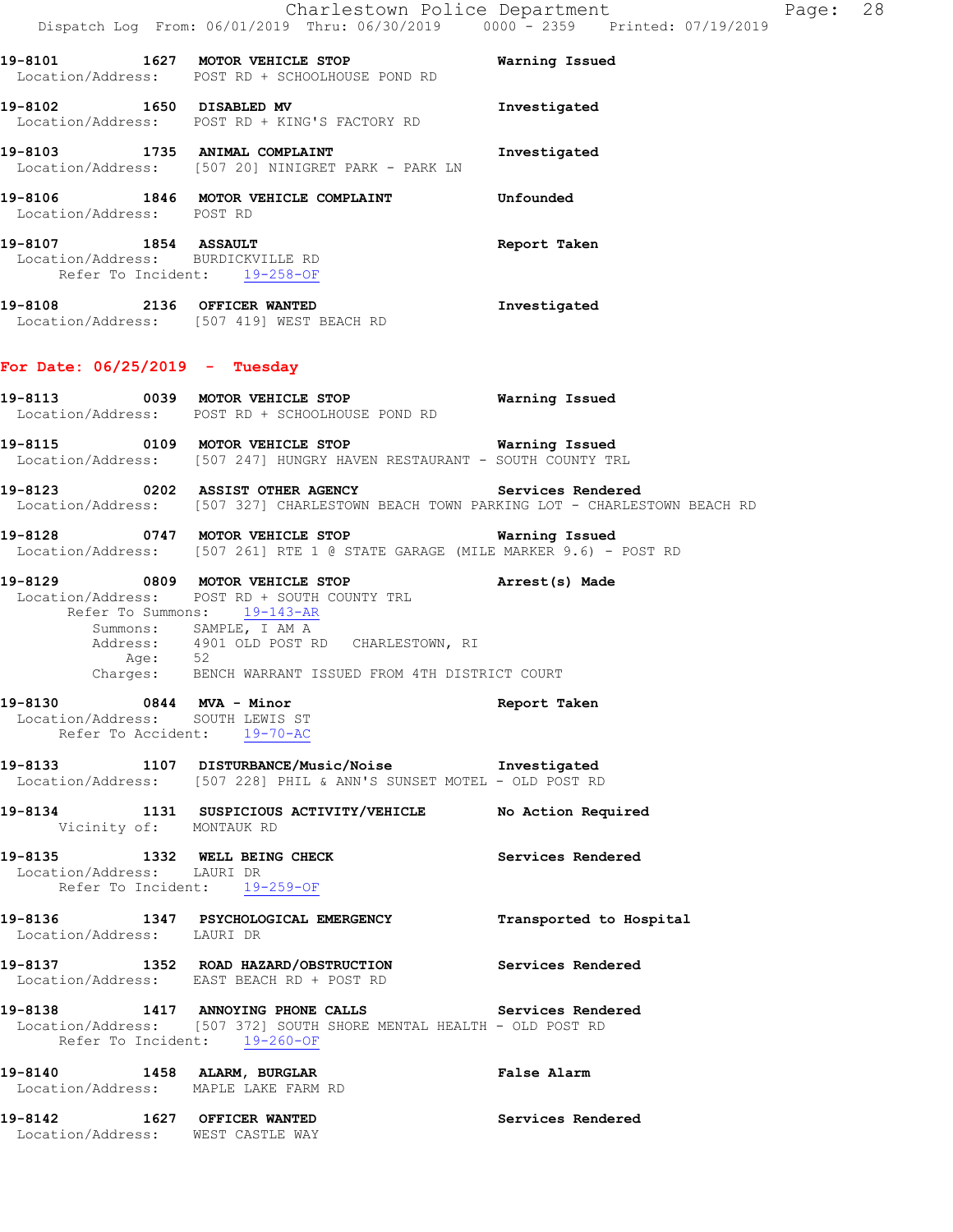|                                  |                                                                                                                                                                                                                                                            | Charlestown Police Department<br>Dispatch Log From: 06/01/2019 Thru: 06/30/2019 0000 - 2359 Printed: 07/19/2019 | Page: 28 |
|----------------------------------|------------------------------------------------------------------------------------------------------------------------------------------------------------------------------------------------------------------------------------------------------------|-----------------------------------------------------------------------------------------------------------------|----------|
|                                  | 19-8101 1627 MOTOR VEHICLE STOP<br>Location/Address: POST RD + SCHOOLHOUSE POND RD                                                                                                                                                                         | Warning Issued                                                                                                  |          |
| 19-8102 1650 DISABLED MV         | Location/Address: POST RD + KING'S FACTORY RD                                                                                                                                                                                                              | Investigated                                                                                                    |          |
|                                  | 19-8103 1735 ANIMAL COMPLAINT<br>Location/Address: [507 20] NINIGRET PARK - PARK LN                                                                                                                                                                        | Investigated                                                                                                    |          |
| Location/Address: POST RD        |                                                                                                                                                                                                                                                            |                                                                                                                 |          |
|                                  | 19-8107 1854 ASSAULT<br>Location/Address: BURDICKVILLE RD<br>Refer To Incident: 19-258-OF                                                                                                                                                                  | Report Taken                                                                                                    |          |
|                                  | 19-8108 2136 OFFICER WANTED<br>Location/Address: [507 419] WEST BEACH RD                                                                                                                                                                                   | Investigated                                                                                                    |          |
| For Date: $06/25/2019$ - Tuesday |                                                                                                                                                                                                                                                            |                                                                                                                 |          |
|                                  | 19-8113 0039 MOTOR VEHICLE STOP<br>Location/Address: POST RD + SCHOOLHOUSE POND RD                                                                                                                                                                         | Warning Issued                                                                                                  |          |
|                                  | Location/Address: [507 247] HUNGRY HAVEN RESTAURANT - SOUTH COUNTY TRL                                                                                                                                                                                     |                                                                                                                 |          |
|                                  | 19-8123 		 0202 ASSIST OTHER AGENCY 		 Services Rendered<br>Location/Address: [507 327] CHARLESTOWN BEACH TOWN PARKING LOT - CHARLESTOWN BEACH RD                                                                                                          |                                                                                                                 |          |
|                                  | 19-8128 		 0747 MOTOR VEHICLE STOP 		 Warning Issued<br>Location/Address: [507 261] RTE 1 @ STATE GARAGE (MILE MARKER 9.6) - POST RD                                                                                                                       |                                                                                                                 |          |
|                                  | 19-8129 0809 MOTOR VEHICLE STOP<br>Location/Address: POST RD + SOUTH COUNTY TRL<br>Refer To Summons: 19-143-AR<br>Summons: SAMPLE, I AM A<br>Address: 4901 OLD POST RD CHARLESTOWN, RI<br>Age: 52<br>Charges: BENCH WARRANT ISSUED FROM 4TH DISTRICT COURT | Arrest(s) Made                                                                                                  |          |
| Location/Address: SOUTH LEWIS ST | 19-8130 0844 MVA - Minor<br>Refer To Accident: 19-70-AC                                                                                                                                                                                                    | Report Taken                                                                                                    |          |
|                                  | 19-8133 1107 DISTURBANCE/Music/Noise 1nvestigated<br>Location/Address: [507 228] PHIL & ANN'S SUNSET MOTEL - OLD POST RD                                                                                                                                   |                                                                                                                 |          |
| Vicinity of: MONTAUK RD          | 19-8134 1131 SUSPICIOUS ACTIVITY/VEHICLE No Action Required                                                                                                                                                                                                |                                                                                                                 |          |
| Location/Address: LAURI DR       | 19-8135 1332 WELL BEING CHECK<br>Refer To Incident: 19-259-OF                                                                                                                                                                                              | Services Rendered                                                                                               |          |
| Location/Address: LAURI DR       | 19-8136 1347 PSYCHOLOGICAL EMERGENCY                                                                                                                                                                                                                       | Transported to Hospital                                                                                         |          |
|                                  | 19-8137   1352   ROAD HAZARD/OBSTRUCTION   Services Rendered Location/Address: EAST BEACH RD + POST RD                                                                                                                                                     |                                                                                                                 |          |
|                                  | 19-8138 1417 ANNOYING PHONE CALLS 5 Services Rendered<br>Location/Address: [507 372] SOUTH SHORE MENTAL HEALTH - OLD POST RD<br>Refer To Incident: 19-260-OF                                                                                               |                                                                                                                 |          |
|                                  | 19-8140 1458 ALARM, BURGLAR<br>Location/Address: MAPLE LAKE FARM RD                                                                                                                                                                                        | False Alarm                                                                                                     |          |
|                                  | 19-8142 1627 OFFICER WANTED<br>Location/Address: WEST CASTLE WAY                                                                                                                                                                                           | Services Rendered                                                                                               |          |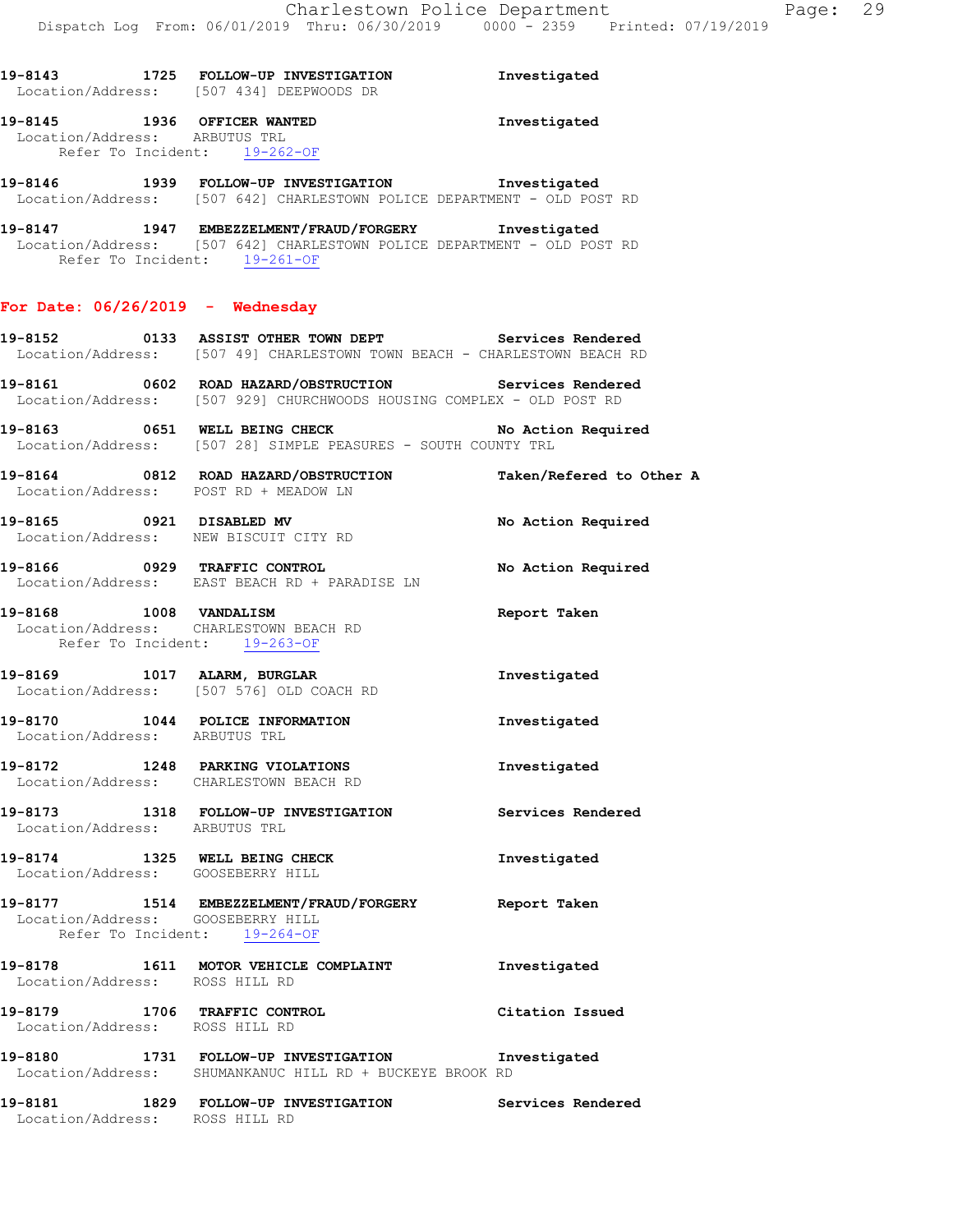**19-8143 1725 FOLLOW-UP INVESTIGATION Investigated**  Location/Address: [507 434] DEEPWOODS DR **19-8145 1936 OFFICER WANTED Investigated**  Location/Address: ARBUTUS TRL Refer To Incident: 19-262-OF **19-8146 1939 FOLLOW-UP INVESTIGATION Investigated**  Location/Address: [507 642] CHARLESTOWN POLICE DEPARTMENT - OLD POST RD **19-8147 1947 EMBEZZELMENT/FRAUD/FORGERY Investigated**  Location/Address: [507 642] CHARLESTOWN POLICE DEPARTMENT - OLD POST RD Refer To Incident: 19-261-OF **For Date: 06/26/2019 - Wednesday 19-8152 0133 ASSIST OTHER TOWN DEPT Services Rendered**  Location/Address: [507 49] CHARLESTOWN TOWN BEACH - CHARLESTOWN BEACH RD **19-8161 0602 ROAD HAZARD/OBSTRUCTION Services Rendered**  Location/Address: [507 929] CHURCHWOODS HOUSING COMPLEX - OLD POST RD **19-8163 0651 WELL BEING CHECK No Action Required**  Location/Address: [507 28] SIMPLE PEASURES - SOUTH COUNTY TRL **19-8164 0812 ROAD HAZARD/OBSTRUCTION Taken/Refered to Other A**  Location/Address: POST RD + MEADOW LN **19-8165 0921 DISABLED MV No Action Required**  Location/Address: NEW BISCUIT CITY RD **19-8166 0929 TRAFFIC CONTROL No Action Required**  Location/Address: EAST BEACH RD + PARADISE LN **19-8168 1008 VANDALISM Report Taken**  Location/Address: CHARLESTOWN BEACH RD Refer To Incident: 19-263-OF **19-8169 1017 ALARM, BURGLAR Investigated**  Location/Address: [507 576] OLD COACH RD **19-8170 1044 POLICE INFORMATION Investigated**  Location/Address: ARBUTUS TRL **19-8172 1248 PARKING VIOLATIONS Investigated**  Location/Address: CHARLESTOWN BEACH RD **19-8173 1318 FOLLOW-UP INVESTIGATION Services Rendered**  Location/Address: ARBUTUS TRL **19-8174 1325 WELL BEING CHECK Investigated**  Location/Address: GOOSEBERRY HILL **19-8177 1514 EMBEZZELMENT/FRAUD/FORGERY Report Taken**  Location/Address: GOOSEBERRY HILL Refer To Incident: 19-264-OF **19-8178 1611 MOTOR VEHICLE COMPLAINT Investigated**  Location/Address: ROSS HILL RD **19-8179 1706 TRAFFIC CONTROL Citation Issued**  Location/Address: ROSS HILL RD **19-8180 1731 FOLLOW-UP INVESTIGATION Investigated**  Location/Address: SHUMANKANUC HILL RD + BUCKEYE BROOK RD **19-8181 1829 FOLLOW-UP INVESTIGATION Services Rendered**  Location/Address: ROSS HILL RD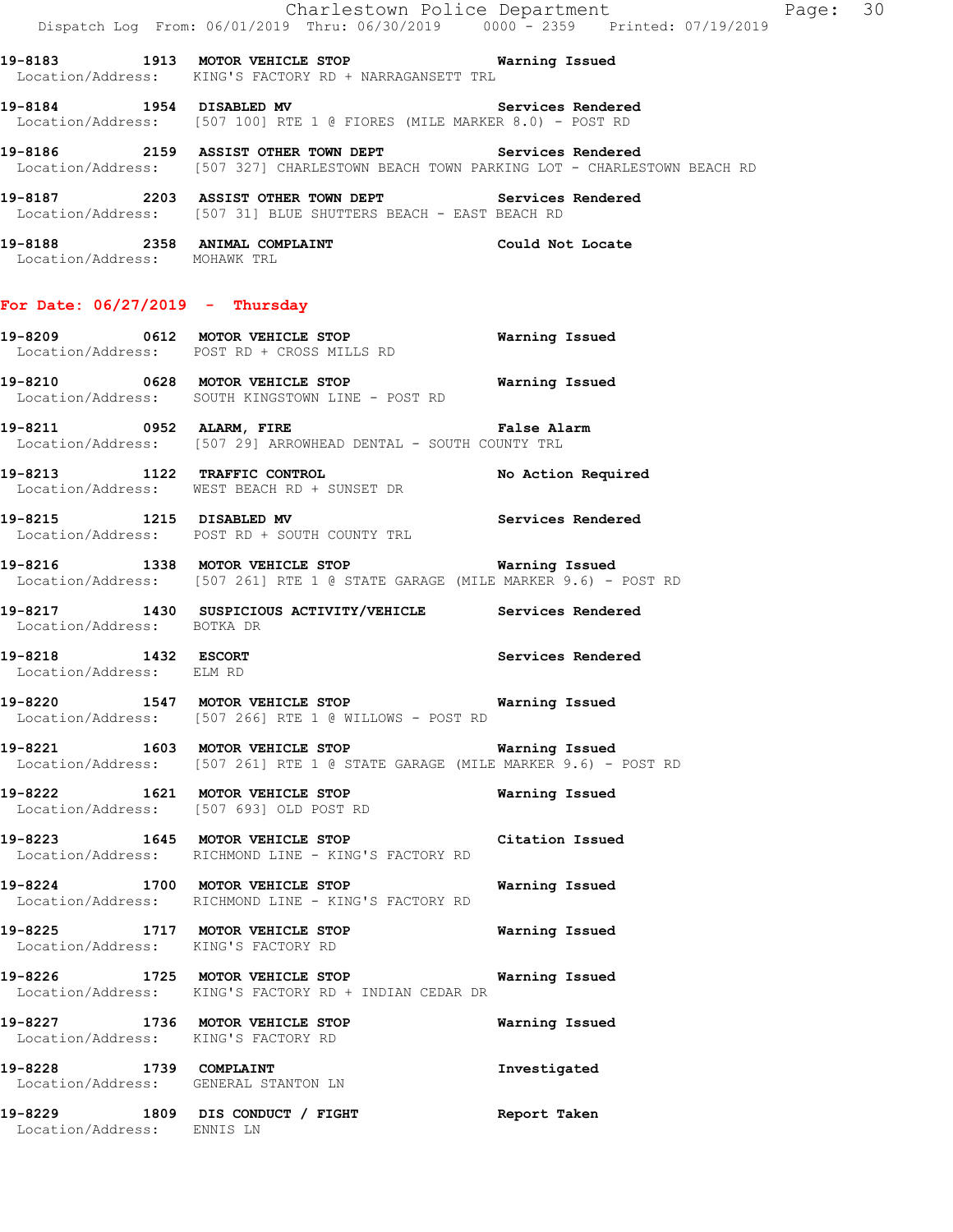|                                                                | Dispatch Log From: 06/01/2019 Thru: 06/30/2019 0000 <sup>-</sup> 2359 Printed: 07/19/2019                                                      | Charlestown Police Department The Page: 30 |  |
|----------------------------------------------------------------|------------------------------------------------------------------------------------------------------------------------------------------------|--------------------------------------------|--|
|                                                                | 19-8183 1913 MOTOR VEHICLE STOP <b>WATILLE READER</b><br>Location/Address: KING'S FACTORY RD + NARRAGANSETT TRL                                |                                            |  |
|                                                                | 19-8184 1954 DISABLED MV 3ervices Rendered<br>Location/Address: [507 100] RTE 1 @ FIORES (MILE MARKER 8.0) - POST RD                           |                                            |  |
|                                                                | 19-8186 2159 ASSIST OTHER TOWN DEPT Services Rendered<br>Location/Address: [507 327] CHARLESTOWN BEACH TOWN PARKING LOT - CHARLESTOWN BEACH RD |                                            |  |
|                                                                | 19-8187 2203 ASSIST OTHER TOWN DEPT Services Rendered<br>Location/Address: [507 31] BLUE SHUTTERS BEACH - EAST BEACH RD                        |                                            |  |
| Location/Address: MOHAWK TRL                                   | 19-8188 2358 ANIMAL COMPLAINT CONSTRUCTED Could Not Locate                                                                                     |                                            |  |
| For Date: $06/27/2019$ - Thursday                              |                                                                                                                                                |                                            |  |
|                                                                | 19-8209 0612 MOTOR VEHICLE STOP<br>Location/Address: POST RD + CROSS MILLS RD                                                                  | <b>Warning Issued</b>                      |  |
|                                                                | 19-8210 0628 MOTOR VEHICLE STOP <b>Warning Issued</b><br>Location/Address: SOUTH KINGSTOWN LINE - POST RD                                      |                                            |  |
|                                                                | 19-8211 0952 ALARM, FIRE 2001 2002 False Alarm<br>Location/Address: [507 29] ARROWHEAD DENTAL - SOUTH COUNTY TRL                               |                                            |  |
|                                                                | 19-8213 1122 TRAFFIC CONTROL<br>Location/Address: WEST BEACH RD + SUNSET DR                                                                    | No Action Required                         |  |
|                                                                | 19-8215 1215 DISABLED MV<br>Location/Address: POST RD + SOUTH COUNTY TRL                                                                       | Services Rendered                          |  |
|                                                                | 19-8216 1338 MOTOR VEHICLE STOP <b>Warning Issued</b><br>Location/Address: [507 261] RTE 1 @ STATE GARAGE (MILE MARKER 9.6) - POST RD          |                                            |  |
| Location/Address: BOTKA DR                                     | 19-8217 1430 SUSPICIOUS ACTIVITY/VEHICLE Services Rendered                                                                                     |                                            |  |
| 19-8218 1432 ESCORT<br>Location/Address: ELM RD                |                                                                                                                                                | Services Rendered                          |  |
|                                                                | 19-8220 1547 MOTOR VEHICLE STOP 6 Warning Issued<br>Location/Address: [507 266] RTE 1 @ WILLOWS - POST RD                                      |                                            |  |
|                                                                | 19-8221 1603 MOTOR VEHICLE STOP Warning Issued<br>Location/Address: [507 261] RTE 1 @ STATE GARAGE (MILE MARKER 9.6) - POST RD                 |                                            |  |
|                                                                | 19-8222 1621 MOTOR VEHICLE STOP<br>Location/Address: [507 693] OLD POST RD                                                                     | Warning Issued                             |  |
|                                                                | 19-8223 1645 MOTOR VEHICLE STOP Citation Issued<br>Location/Address: RICHMOND LINE - KING'S FACTORY RD                                         |                                            |  |
|                                                                | 19-8224 1700 MOTOR VEHICLE STOP<br>Location/Address: RICHMOND LINE - KING'S FACTORY RD                                                         | Warning Issued                             |  |
| Location/Address: KING'S FACTORY RD                            | 19-8225 1717 MOTOR VEHICLE STOP                                                                                                                | Warning Issued                             |  |
|                                                                | 19-8226 1725 MOTOR VEHICLE STOP 6 Warning Issued<br>Location/Address: KING'S FACTORY RD + INDIAN CEDAR DR                                      |                                            |  |
| Location/Address: KING'S FACTORY RD                            | 19-8227 1736 MOTOR VEHICLE STOP                                                                                                                | Warning Issued                             |  |
| 19-8228 1739 COMPLAINT<br>Location/Address: GENERAL STANTON LN |                                                                                                                                                | Investigated                               |  |
| Location/Address: ENNIS LN                                     | 19-8229 1809 DIS CONDUCT / FIGHT                                                                                                               | Report Taken                               |  |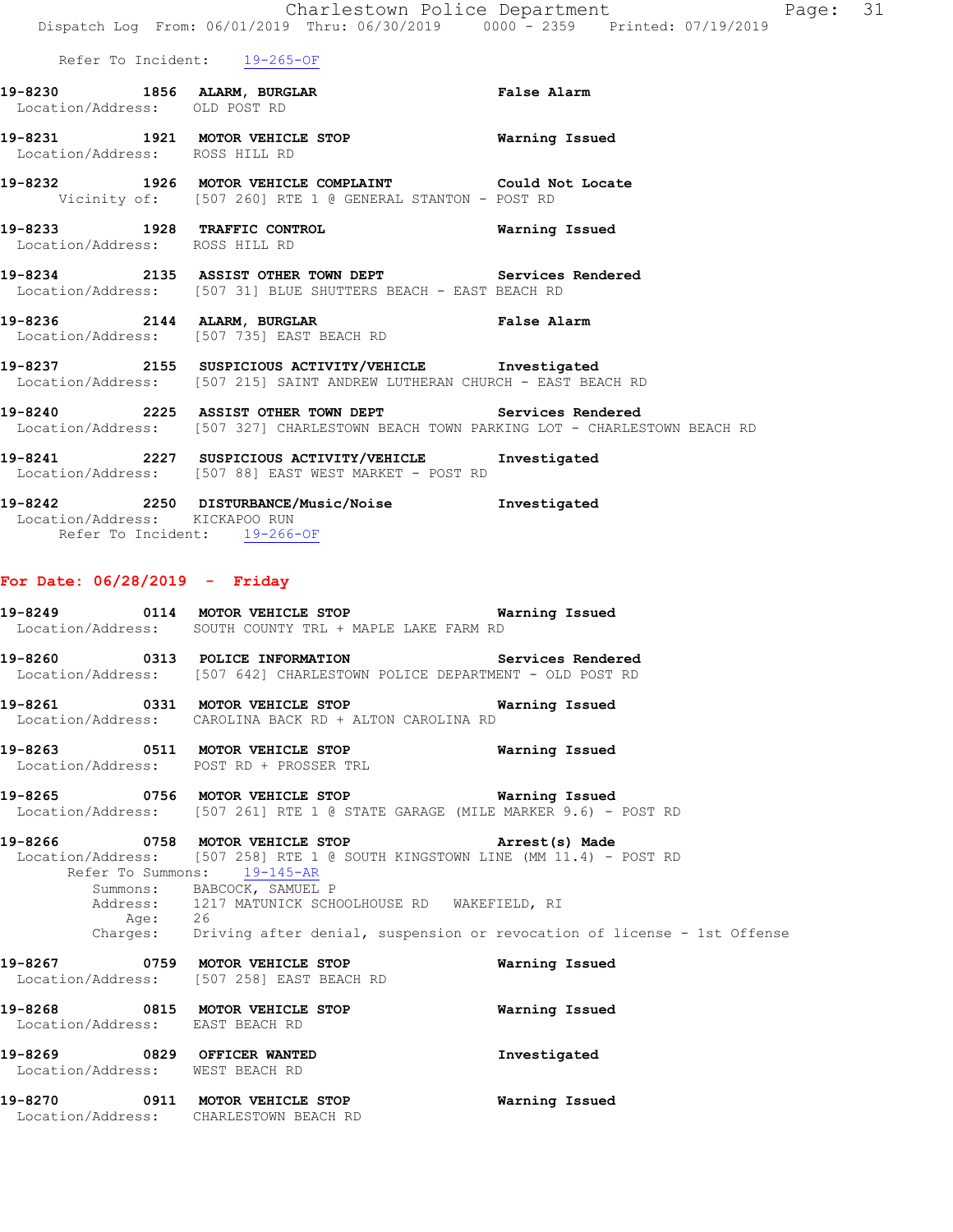| 19-8230           | 1856 ALARM, BURGLAR | <b>False Alarm</b> |
|-------------------|---------------------|--------------------|
| Location/Address: | OLD POST RD         |                    |
|                   |                     |                    |

 Location/Address: ROSS HILL RD **19-8232 1926 MOTOR VEHICLE COMPLAINT Could Not Locate**  Vicinity of: [507 260] RTE 1 @ GENERAL STANTON - POST RD

**19-8231 1921 MOTOR VEHICLE STOP Warning Issued** 

**19-8233 1928 TRAFFIC CONTROL Warning Issued**  Location/Address: ROSS HILL RD

**19-8234 2135 ASSIST OTHER TOWN DEPT Services Rendered**  Location/Address: [507 31] BLUE SHUTTERS BEACH - EAST BEACH RD

**19-8236 2144 ALARM, BURGLAR False Alarm**  Location/Address: [507 735] EAST BEACH RD

**19-8237 2155 SUSPICIOUS ACTIVITY/VEHICLE Investigated**  Location/Address: [507 215] SAINT ANDREW LUTHERAN CHURCH - EAST BEACH RD

**19-8240 2225 ASSIST OTHER TOWN DEPT Services Rendered**  Location/Address: [507 327] CHARLESTOWN BEACH TOWN PARKING LOT - CHARLESTOWN BEACH RD

**19-8241 2227 SUSPICIOUS ACTIVITY/VEHICLE Investigated**  Location/Address: [507 88] EAST WEST MARKET - POST RD

**19-8242 2250 DISTURBANCE/Music/Noise Investigated**  Location/Address: KICKAPOO RUN Refer To Incident: 19-266-OF

### **For Date: 06/28/2019 - Friday**

**19-8249 0114 MOTOR VEHICLE STOP Warning Issued**  Location/Address: SOUTH COUNTY TRL + MAPLE LAKE FARM RD

**19-8260 0313 POLICE INFORMATION Services Rendered**  Location/Address: [507 642] CHARLESTOWN POLICE DEPARTMENT - OLD POST RD

**19-8261 0331 MOTOR VEHICLE STOP Warning Issued**  Location/Address: CAROLINA BACK RD + ALTON CAROLINA RD

**19-8263 0511 MOTOR VEHICLE STOP Warning Issued**  Location/Address: POST RD + PROSSER TRL

**19-8265 0756 MOTOR VEHICLE STOP Warning Issued**  Location/Address: [507 261] RTE 1 @ STATE GARAGE (MILE MARKER 9.6) - POST RD

**19-8266 0758 MOTOR VEHICLE STOP Arrest(s) Made**  Location/Address: [507 258] RTE 1 @ SOUTH KINGSTOWN LINE (MM 11.4) - POST RD Refer To Summons: 19-145-AR Summons: BABCOCK, SAMUEL P<br>Address: 1217 MATUNICK SCHO 1217 MATUNICK SCHOOLHOUSE RD WAKEFIELD, RI Age: 26 Charges: Driving after denial, suspension or revocation of license - 1st Offense

**19-8267 0759 MOTOR VEHICLE STOP Warning Issued**  Location/Address: [507 258] EAST BEACH RD **19-8268 0815 MOTOR VEHICLE STOP Warning Issued**  Location/Address: EAST BEACH RD

**19-8269 0829 OFFICER WANTED Investigated**  Location/Address: WEST BEACH RD **19-8270 0911 MOTOR VEHICLE STOP Warning Issued** 

Location/Address: CHARLESTOWN BEACH RD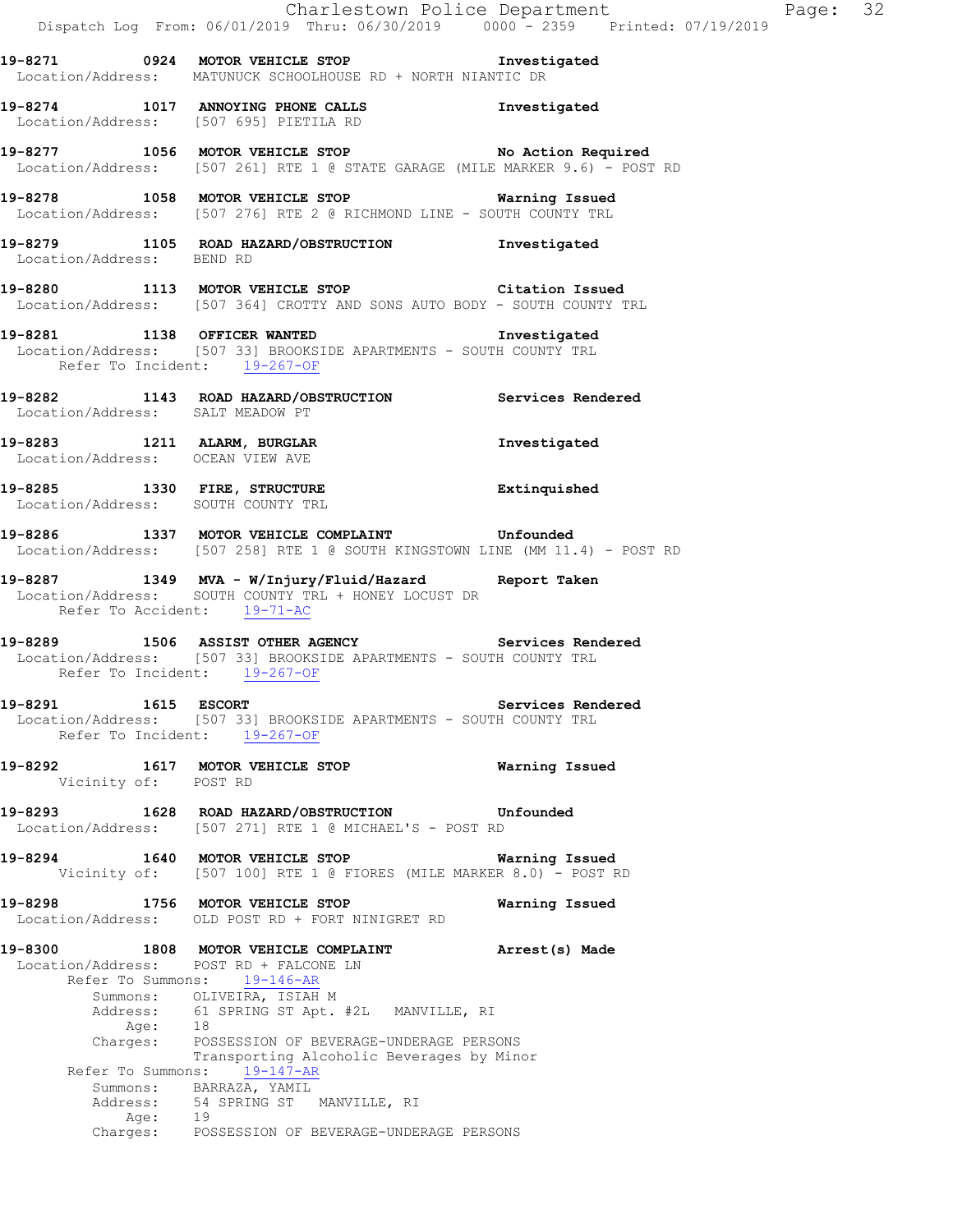**19-8271 0924 MOTOR VEHICLE STOP Investigated**  Location/Address: MATUNUCK SCHOOLHOUSE RD + NORTH NIANTIC DR

**19-8274 1017 ANNOYING PHONE CALLS Investigated**  Location/Address: [507 695] PIETILA RD

**19-8277 1056 MOTOR VEHICLE STOP No Action Required**  Location/Address: [507 261] RTE 1 @ STATE GARAGE (MILE MARKER 9.6) - POST RD

**19-8278 1058 MOTOR VEHICLE STOP Warning Issued**  Location/Address: [507 276] RTE 2 @ RICHMOND LINE - SOUTH COUNTY TRL

**19-8279 1105 ROAD HAZARD/OBSTRUCTION Investigated**  Location/Address: BEND RD

**19-8280 1113 MOTOR VEHICLE STOP Citation Issued**  Location/Address: [507 364] CROTTY AND SONS AUTO BODY - SOUTH COUNTY TRL

**19-8281 1138 OFFICER WANTED Investigated**  Location/Address: [507 33] BROOKSIDE APARTMENTS - SOUTH COUNTY TRL Refer To Incident: 19-267-OF

**19-8282 1143 ROAD HAZARD/OBSTRUCTION Services Rendered**  Location/Address: SALT MEADOW PT

**19-8283 1211 ALARM, BURGLAR Investigated**  Location/Address: OCEAN VIEW AVE

**19-8285 1330 FIRE, STRUCTURE Extinquished**  Location/Address: SOUTH COUNTY TRL

**19-8286 1337 MOTOR VEHICLE COMPLAINT Unfounded**  Location/Address: [507 258] RTE 1 @ SOUTH KINGSTOWN LINE (MM 11.4) - POST RD

**19-8287 1349 MVA - W/Injury/Fluid/Hazard Report Taken**  Location/Address: SOUTH COUNTY TRL + HONEY LOCUST DR Refer To Accident: 19-71-AC

**19-8289 1506 ASSIST OTHER AGENCY Services Rendered**  Location/Address: [507 33] BROOKSIDE APARTMENTS - SOUTH COUNTY TRL Refer To Incident: 19-267-OF

**19-8291 1615 ESCORT Services Rendered**  Location/Address: [507 33] BROOKSIDE APARTMENTS - SOUTH COUNTY TRL Refer To Incident: 19-267-OF

**19-8292 1617 MOTOR VEHICLE STOP Warning Issued**  Vicinity of: POST RD

**19-8293 1628 ROAD HAZARD/OBSTRUCTION Unfounded**  Location/Address: [507 271] RTE 1 @ MICHAEL'S - POST RD

**19-8294 1640 MOTOR VEHICLE STOP Warning Issued**  Vicinity of: [507 100] RTE 1 @ FIORES (MILE MARKER 8.0) - POST RD

**19-8298 1756 MOTOR VEHICLE STOP Warning Issued**  Location/Address: OLD POST RD + FORT NINIGRET RD

**19-8300 1808 MOTOR VEHICLE COMPLAINT Arrest(s) Made**  Location/Address: POST RD + FALCONE LN Refer To Summons: 19-146-AR Summons: OLIVEIRA, ISIAH M Address: 61 SPRING ST Apt. #2L MANVILLE, RI Age: 18<br>Charges: PO POSSESSION OF BEVERAGE-UNDERAGE PERSONS Transporting Alcoholic Beverages by Minor Refer To Summons: 19-147-AR Summons: BARRAZA, YAMIL Address: 54 SPRING ST MANVILLE, RI Age: 19<br>Charges: POS POSSESSION OF BEVERAGE-UNDERAGE PERSONS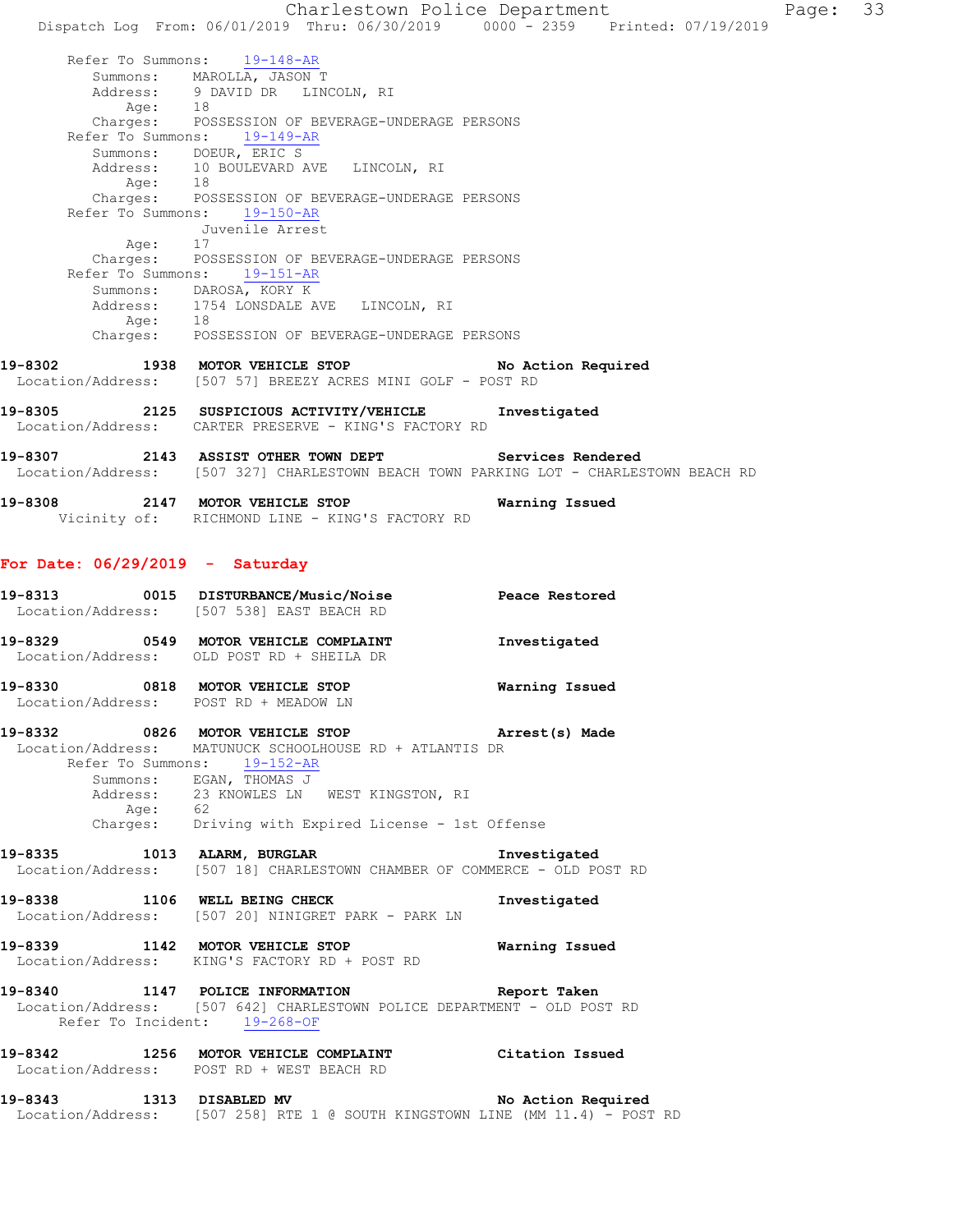Charlestown Police Department Page: 33 Dispatch Log From: 06/01/2019 Thru: 06/30/2019 0000 - 2359 Printed: 07/19/2019 Refer To Summons: 19-148-AR Summons: MAROLLA, JASON T Address: 9 DAVID DR LINCOLN, RI<br>Age: 18 Age: 18 Charges: POSSESSION OF BEVERAGE-UNDERAGE PERSONS Refer To Summons: 19-149-AR Summons: DOEUR, ERIC S Address: 10 BOULEVARD AVE LINCOLN, RI Age: 18 Charges: POSSESSION OF BEVERAGE-UNDERAGE PERSONS Refer To Summons: 19-150-AR Juvenile Arrest Age: 17 Charges: POSSESSION OF BEVERAGE-UNDERAGE PERSONS Refer To Summons: 19-151-AR Summons: DAROSA, KORY K Address: 1754 LONSDALE AVE LINCOLN, RI Age: 18 Charges: POSSESSION OF BEVERAGE-UNDERAGE PERSONS **19-8302 1938 MOTOR VEHICLE STOP No Action Required**  Location/Address: [507 57] BREEZY ACRES MINI GOLF - POST RD **19-8305 2125 SUSPICIOUS ACTIVITY/VEHICLE Investigated**  Location/Address: CARTER PRESERVE - KING'S FACTORY RD **19-8307 2143 ASSIST OTHER TOWN DEPT Services Rendered**  Location/Address: [507 327] CHARLESTOWN BEACH TOWN PARKING LOT - CHARLESTOWN BEACH RD **19-8308 2147 MOTOR VEHICLE STOP Warning Issued**  Vicinity of: RICHMOND LINE - KING'S FACTORY RD **For Date: 06/29/2019 - Saturday 19-8313 0015 DISTURBANCE/Music/Noise Peace Restored**  Location/Address: [507 538] EAST BEACH RD **19-8329 0549 MOTOR VEHICLE COMPLAINT Investigated**  Location/Address: OLD POST RD + SHEILA DR **19-8330 0818 MOTOR VEHICLE STOP Warning Issued**  Location/Address: POST RD + MEADOW LN **19-8332 0826 MOTOR VEHICLE STOP Arrest(s) Made**  Location/Address: MATUNUCK SCHOOLHOUSE RD + ATLANTIS DR Refer To Summons: 19-152-AR Summons: EGAN, THOMAS J Address: 23 KNOWLES LN WEST KINGSTON, RI Age: 62 Charges: Driving with Expired License - 1st Offense 19-8335 1013 ALARM, BURGLAR **Investigated**  Location/Address: [507 18] CHARLESTOWN CHAMBER OF COMMERCE - OLD POST RD **19-8338 1106 WELL BEING CHECK Investigated**  Location/Address: [507 20] NINIGRET PARK - PARK LN **19-8339 1142 MOTOR VEHICLE STOP Warning Issued**  Location/Address: KING'S FACTORY RD + POST RD **19-8340 1147 POLICE INFORMATION Report Taken**  Location/Address: [507 642] CHARLESTOWN POLICE DEPARTMENT - OLD POST RD Refer To Incident: 19-268-OF **19-8342 1256 MOTOR VEHICLE COMPLAINT Citation Issued**  Location/Address: POST RD + WEST BEACH RD **19-8343 1313 DISABLED MV No Action Required**  Location/Address: [507 258] RTE 1 @ SOUTH KINGSTOWN LINE (MM 11.4) - POST RD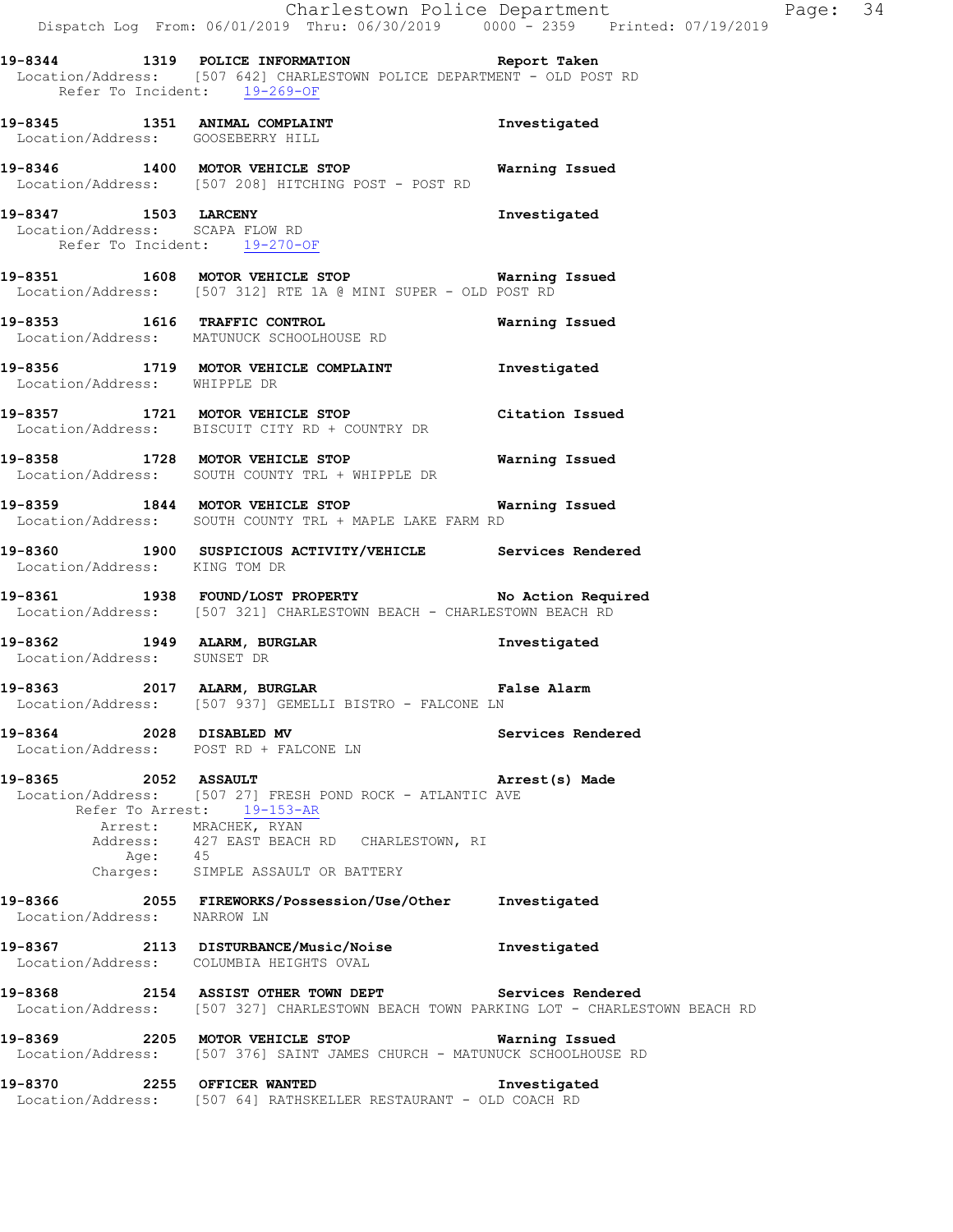**19-8344 1319 POLICE INFORMATION Report Taken**  Location/Address: [507 642] CHARLESTOWN POLICE DEPARTMENT - OLD POST RD Refer To Incident: 19-269-OF **19-8345 1351 ANIMAL COMPLAINT Investigated**  Location/Address: GOOSEBERRY HILL **19-8346 1400 MOTOR VEHICLE STOP Warning Issued**  Location/Address: [507 208] HITCHING POST - POST RD **19-8347 1503 LARCENY Investigated**  Location/Address: SCAPA FLOW RD Refer To Incident: 19-270-OF **19-8351 1608 MOTOR VEHICLE STOP Warning Issued**  Location/Address: [507 312] RTE 1A @ MINI SUPER - OLD POST RD **19-8353 1616 TRAFFIC CONTROL Warning Issued**  Location/Address: MATUNUCK SCHOOLHOUSE RD **19-8356 1719 MOTOR VEHICLE COMPLAINT Investigated**  Location/Address: WHIPPLE DR **19-8357 1721 MOTOR VEHICLE STOP Citation Issued**  Location/Address: BISCUIT CITY RD + COUNTRY DR **19-8358 1728 MOTOR VEHICLE STOP Warning Issued**  Location/Address: SOUTH COUNTY TRL + WHIPPLE DR **19-8359 1844 MOTOR VEHICLE STOP Warning Issued**  SOUTH COUNTY TRL + MAPLE LAKE FARM RD **19-8360 1900 SUSPICIOUS ACTIVITY/VEHICLE Services Rendered**  Location/Address: KING TOM DR **19-8361 1938 FOUND/LOST PROPERTY No Action Required**  Location/Address: [507 321] CHARLESTOWN BEACH - CHARLESTOWN BEACH RD **19-8362 1949 ALARM, BURGLAR Investigated**  Location/Address: SUNSET DR **19-8363 2017 ALARM, BURGLAR False Alarm**  Location/Address: [507 937] GEMELLI BISTRO - FALCONE LN **19-8364 2028 DISABLED MV Services Rendered**  Location/Address: POST RD + FALCONE LN **19-8365 2052 ASSAULT Arrest(s) Made**  Location/Address: [507 27] FRESH POND ROCK - ATLANTIC AVE Refer To Arrest: 19-153-AR Arrest: MRACHEK, RYAN Address: 427 EAST BEACH RD CHARLESTOWN, RI Age: 45 Charges: SIMPLE ASSAULT OR BATTERY **19-8366 2055 FIREWORKS/Possession/Use/Other Investigated**  Location/Address: NARROW LN **19-8367 2113 DISTURBANCE/Music/Noise Investigated**  Location/Address: COLUMBIA HEIGHTS OVAL **19-8368 2154 ASSIST OTHER TOWN DEPT Services Rendered**  Location/Address: [507 327] CHARLESTOWN BEACH TOWN PARKING LOT - CHARLESTOWN BEACH RD **19-8369 2205 MOTOR VEHICLE STOP Warning Issued**  Location/Address: [507 376] SAINT JAMES CHURCH - MATUNUCK SCHOOLHOUSE RD **19-8370 2255 OFFICER WANTED Investigated**  Location/Address: [507 64] RATHSKELLER RESTAURANT - OLD COACH RD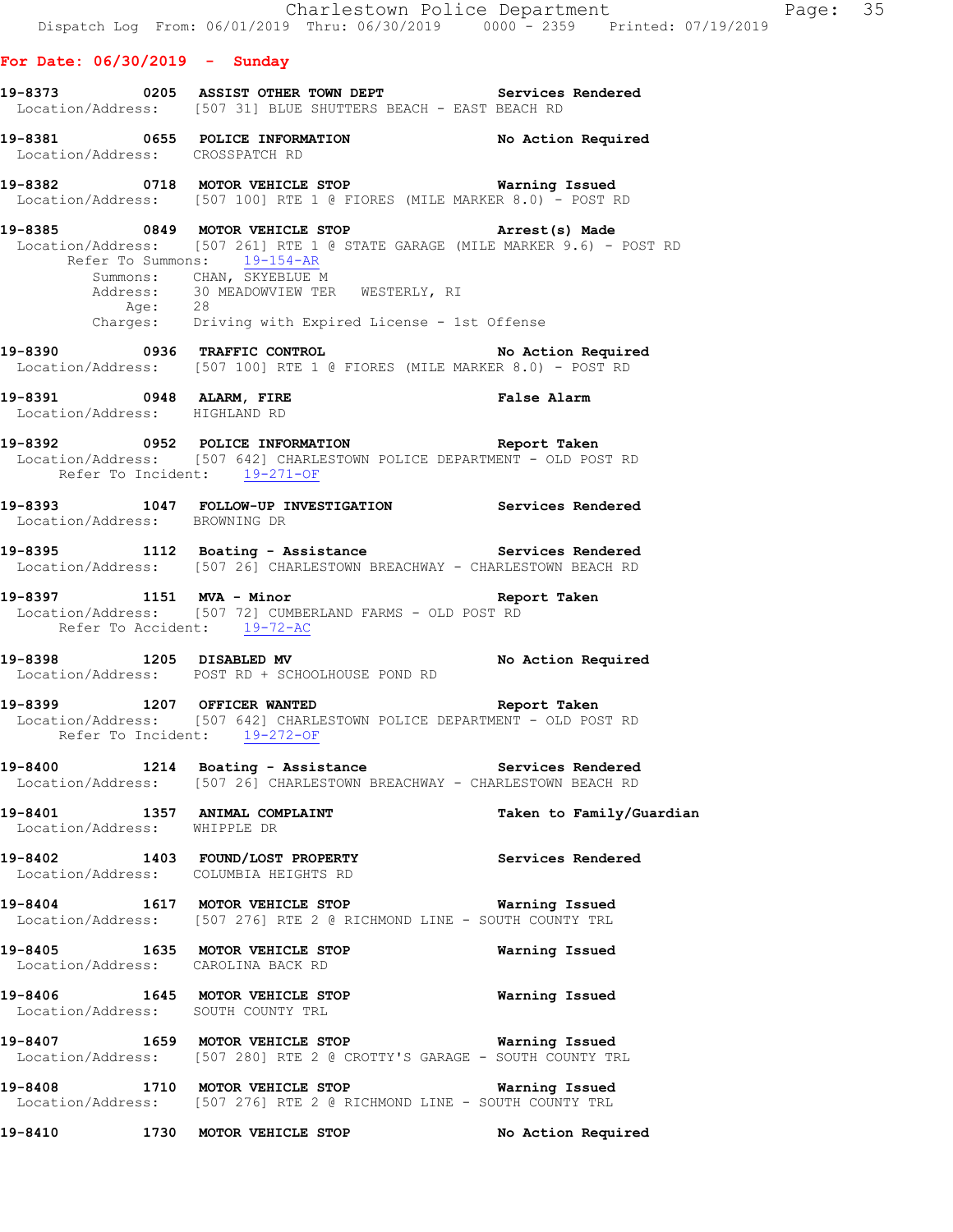## **For Date: 06/30/2019 - Sunday**

| 19-8373           |  |  | 0205 ASSIST OTHER TOWN DEPT                  |  |  | Services Rendered |  |
|-------------------|--|--|----------------------------------------------|--|--|-------------------|--|
| Location/Address: |  |  | [507 31] BLUE SHUTTERS BEACH - EAST BEACH RD |  |  |                   |  |

**19-8381 0655 POLICE INFORMATION No Action Required**  Location/Address: CROSSPATCH RD

**19-8382 0718 MOTOR VEHICLE STOP Warning Issued**  Location/Address: [507 100] RTE 1 @ FIORES (MILE MARKER 8.0) - POST RD

**19-8385 0849 MOTOR VEHICLE STOP Arrest(s) Made**  Location/Address: [507 261] RTE 1 @ STATE GARAGE (MILE MARKER 9.6) - POST RD Refer To Summons: 19-154-AR Summons: CHAN, SKYEBLUE M<br>Address: 30 MEADOWVIEW TEE 30 MEADOWVIEW TER WESTERLY, RI Age: 28 Charges: Driving with Expired License - 1st Offense

**19-8390 0936 TRAFFIC CONTROL No Action Required**  Location/Address: [507 100] RTE 1 @ FIORES (MILE MARKER 8.0) - POST RD

**19-8391 0948 ALARM, FIRE False Alarm**  Location/Address: HIGHLAND RD

**19-8392 0952 POLICE INFORMATION Report Taken**  Location/Address: [507 642] CHARLESTOWN POLICE DEPARTMENT - OLD POST RD Refer To Incident: 19-271-OF

**19-8393 1047 FOLLOW-UP INVESTIGATION Services Rendered**  Location/Address: BROWNING DR

**19-8395 1112 Boating - Assistance Services Rendered**  Location/Address: [507 26] CHARLESTOWN BREACHWAY - CHARLESTOWN BEACH RD

**19-8397 1151 MVA - Minor Report Taken**  Location/Address: [507 72] CUMBERLAND FARMS - OLD POST RD Refer To Accident: 19-72-AC

**19-8398 1205 DISABLED MV No Action Required**  Location/Address: POST RD + SCHOOLHOUSE POND RD

**19-8399 1207 OFFICER WANTED Report Taken**  Location/Address: [507 642] CHARLESTOWN POLICE DEPARTMENT - OLD POST RD Refer To Incident: 19-272-OF

**19-8400 1214 Boating - Assistance Services Rendered**  Location/Address: [507 26] CHARLESTOWN BREACHWAY - CHARLESTOWN BEACH RD

**19-8401 1357 ANIMAL COMPLAINT Taken to Family/Guardian**  Location/Address: WHIPPLE DR

**19-8402 1403 FOUND/LOST PROPERTY Services Rendered**  Location/Address: COLUMBIA HEIGHTS RD

**19-8404 1617 MOTOR VEHICLE STOP Warning Issued**  Location/Address: [507 276] RTE 2 @ RICHMOND LINE - SOUTH COUNTY TRL

**19-8405 1635 MOTOR VEHICLE STOP Warning Issued**  Location/Address: CAROLINA BACK RD

**19-8406 1645 MOTOR VEHICLE STOP Warning Issued**  Location/Address: SOUTH COUNTY TRL

**19-8407 1659 MOTOR VEHICLE STOP Warning Issued**  Location/Address: [507 280] RTE 2 @ CROTTY'S GARAGE - SOUTH COUNTY TRL

**19-8408 1710 MOTOR VEHICLE STOP Warning Issued**  Location/Address: [507 276] RTE 2 @ RICHMOND LINE - SOUTH COUNTY TRL

**19-8410 1730 MOTOR VEHICLE STOP No Action Required**